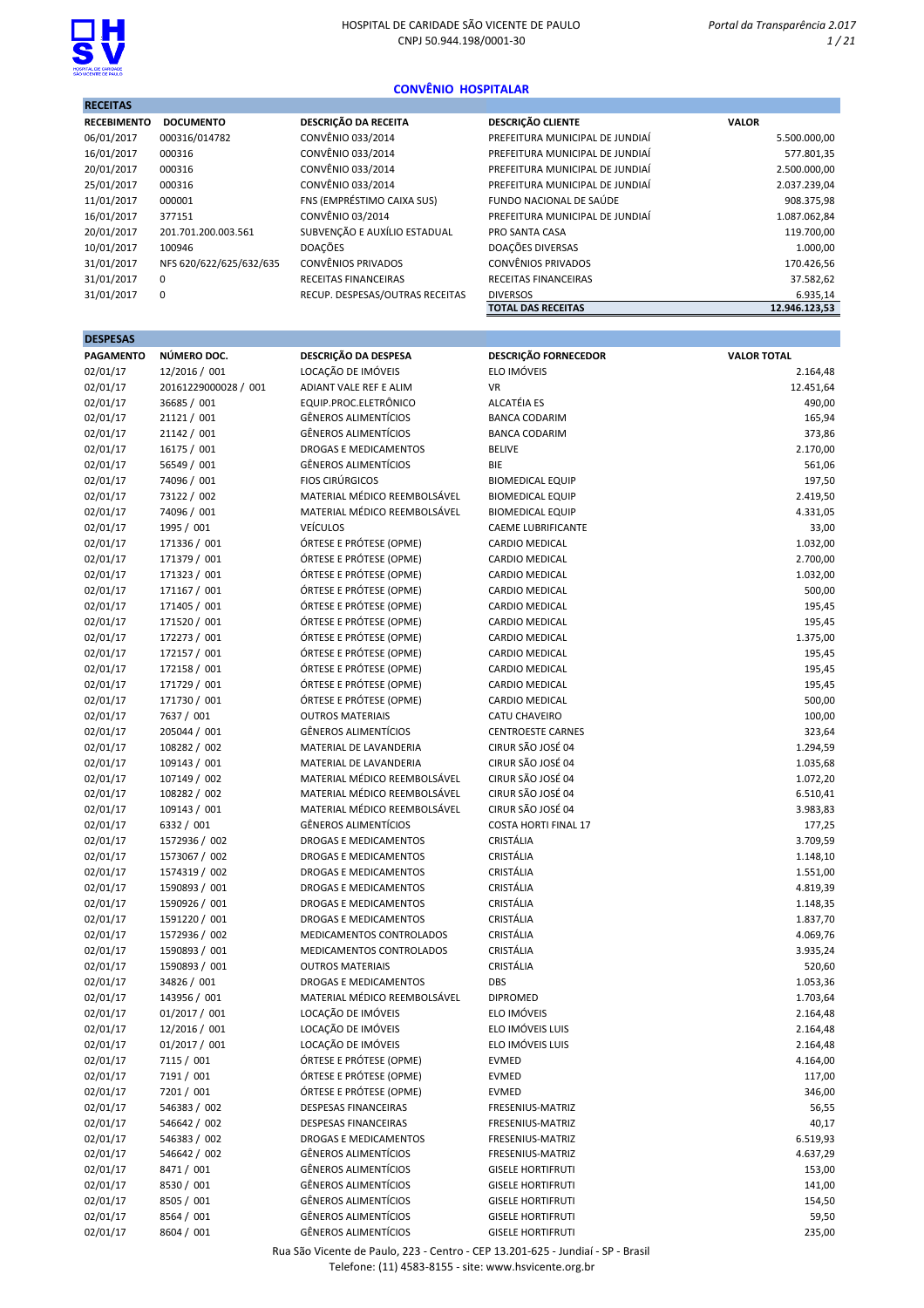

RECEITAS

### CONVÊNIO HOSPITALAR

| <b>RECEBIMENTO</b> | <b>DOCUMENTO</b>        | DESCRIÇÃO DA RECEITA            | <b>DESCRIÇÃO CLIENTE</b>        | <b>VALOR</b>  |
|--------------------|-------------------------|---------------------------------|---------------------------------|---------------|
| 06/01/2017         | 000316/014782           | CONVÊNIO 033/2014               | PREFEITURA MUNICIPAL DE JUNDIAÍ | 5.500.000,00  |
| 16/01/2017         | 000316                  | CONVÊNIO 033/2014               | PREFEITURA MUNICIPAL DE JUNDIAÍ | 577.801,35    |
| 20/01/2017         | 000316                  | CONVÊNIO 033/2014               | PREFEITURA MUNICIPAL DE JUNDIAÍ | 2.500.000,00  |
| 25/01/2017         | 000316                  | CONVÊNIO 033/2014               | PREFEITURA MUNICIPAL DE JUNDIAÍ | 2.037.239,04  |
| 11/01/2017         | 000001                  | FNS (EMPRÉSTIMO CAIXA SUS)      | FUNDO NACIONAL DE SAÚDE         | 908.375,98    |
| 16/01/2017         | 377151                  | CONVÊNIO 03/2014                | PREFEITURA MUNICIPAL DE JUNDIAÍ | 1.087.062,84  |
| 20/01/2017         | 201.701.200.003.561     | SUBVENÇÃO E AUXÍLIO ESTADUAL    | PRO SANTA CASA                  | 119.700,00    |
| 10/01/2017         | 100946                  | <b>DOACÕES</b>                  | DOAÇÕES DIVERSAS                | 1.000,00      |
| 31/01/2017         | NFS 620/622/625/632/635 | <b>CONVÊNIOS PRIVADOS</b>       | <b>CONVÊNIOS PRIVADOS</b>       | 170.426,56    |
| 31/01/2017         | $\Omega$                | RECEITAS FINANCEIRAS            | <b>RECEITAS FINANCEIRAS</b>     | 37.582,62     |
| 31/01/2017         | $\mathbf 0$             | RECUP. DESPESAS/OUTRAS RECEITAS | <b>DIVERSOS</b>                 | 6.935,14      |
|                    |                         |                                 | <b>TOTAL DAS RECEITAS</b>       | 12.946.123.53 |

| <b>DESPESAS</b>  |                      |                              |                             |                    |
|------------------|----------------------|------------------------------|-----------------------------|--------------------|
| <b>PAGAMENTO</b> | NÚMERO DOC.          | DESCRIÇÃO DA DESPESA         | DESCRIÇÃO FORNECEDOR        | <b>VALOR TOTAL</b> |
| 02/01/17         | 12/2016 / 001        | LOCAÇÃO DE IMÓVEIS           | ELO IMÓVEIS                 | 2.164,48           |
| 02/01/17         | 20161229000028 / 001 | ADIANT VALE REF E ALIM       | <b>VR</b>                   | 12.451,64          |
| 02/01/17         | 36685 / 001          | EQUIP.PROC.ELETRÔNICO        | <b>ALCATÉIA ES</b>          | 490,00             |
| 02/01/17         | 21121 / 001          | <b>GÊNEROS ALIMENTÍCIOS</b>  | <b>BANCA CODARIM</b>        | 165,94             |
| 02/01/17         | 21142 / 001          | <b>GÊNEROS ALIMENTÍCIOS</b>  | <b>BANCA CODARIM</b>        | 373,86             |
| 02/01/17         | 16175 / 001          | <b>DROGAS E MEDICAMENTOS</b> | <b>BELIVE</b>               | 2.170,00           |
| 02/01/17         | 56549 / 001          | <b>GÊNEROS ALIMENTÍCIOS</b>  | BIE                         | 561,06             |
| 02/01/17         | 74096 / 001          | <b>FIOS CIRÚRGICOS</b>       | <b>BIOMEDICAL EQUIP</b>     | 197,50             |
| 02/01/17         | 73122 / 002          | MATERIAL MÉDICO REEMBOLSÁVEL | <b>BIOMEDICAL EQUIP</b>     | 2.419,50           |
| 02/01/17         | 74096 / 001          | MATERIAL MÉDICO REEMBOLSÁVEL | <b>BIOMEDICAL EQUIP</b>     | 4.331,05           |
| 02/01/17         | 1995 / 001           | <b>VEÍCULOS</b>              | <b>CAEME LUBRIFICANTE</b>   | 33,00              |
| 02/01/17         | 171336 / 001         | ÓRTESE E PRÓTESE (OPME)      | <b>CARDIO MEDICAL</b>       | 1.032,00           |
| 02/01/17         | 171379 / 001         | ÓRTESE E PRÓTESE (OPME)      | CARDIO MEDICAL              | 2.700,00           |
| 02/01/17         | 171323 / 001         | ÓRTESE E PRÓTESE (OPME)      | <b>CARDIO MEDICAL</b>       | 1.032,00           |
| 02/01/17         | 171167 / 001         | ÓRTESE E PRÓTESE (OPME)      | CARDIO MEDICAL              | 500,00             |
| 02/01/17         | 171405 / 001         | ÓRTESE E PRÓTESE (OPME)      | CARDIO MEDICAL              | 195,45             |
| 02/01/17         | 171520 / 001         | ÓRTESE E PRÓTESE (OPME)      | <b>CARDIO MEDICAL</b>       | 195,45             |
| 02/01/17         | 172273 / 001         | ÓRTESE E PRÓTESE (OPME)      | CARDIO MEDICAL              | 1.375,00           |
| 02/01/17         | 172157 / 001         | ÓRTESE E PRÓTESE (OPME)      | CARDIO MEDICAL              | 195,45             |
| 02/01/17         | 172158 / 001         | ÓRTESE E PRÓTESE (OPME)      | <b>CARDIO MEDICAL</b>       | 195,45             |
| 02/01/17         | 171729 / 001         | ÓRTESE E PRÓTESE (OPME)      | <b>CARDIO MEDICAL</b>       | 195,45             |
| 02/01/17         | 171730 / 001         | ÓRTESE E PRÓTESE (OPME)      | <b>CARDIO MEDICAL</b>       | 500,00             |
| 02/01/17         | 7637 / 001           | <b>OUTROS MATERIAIS</b>      | <b>CATU CHAVEIRO</b>        | 100,00             |
| 02/01/17         | 205044 / 001         | <b>GÊNEROS ALIMENTÍCIOS</b>  | <b>CENTROESTE CARNES</b>    | 323,64             |
| 02/01/17         | 108282 / 002         | MATERIAL DE LAVANDERIA       | CIRUR SÃO JOSÉ 04           | 1.294,59           |
| 02/01/17         | 109143 / 001         | MATERIAL DE LAVANDERIA       | CIRUR SÃO JOSÉ 04           | 1.035,68           |
| 02/01/17         | 107149 / 002         | MATERIAL MÉDICO REEMBOLSÁVEL | CIRUR SÃO JOSÉ 04           | 1.072,20           |
| 02/01/17         | 108282 / 002         | MATERIAL MÉDICO REEMBOLSÁVEL | CIRUR SÃO JOSÉ 04           | 6.510,41           |
| 02/01/17         | 109143 / 001         | MATERIAL MÉDICO REEMBOLSÁVEL | CIRUR SÃO JOSÉ 04           | 3.983,83           |
| 02/01/17         | 6332 / 001           | <b>GÊNEROS ALIMENTÍCIOS</b>  | <b>COSTA HORTI FINAL 17</b> | 177,25             |
| 02/01/17         | 1572936 / 002        | DROGAS E MEDICAMENTOS        | CRISTÁLIA                   | 3.709,59           |
| 02/01/17         | 1573067 / 002        | <b>DROGAS E MEDICAMENTOS</b> | CRISTÁLIA                   | 1.148,10           |
| 02/01/17         | 1574319 / 002        | DROGAS E MEDICAMENTOS        | CRISTÁLIA                   | 1.551,00           |
| 02/01/17         | 1590893 / 001        | DROGAS E MEDICAMENTOS        | CRISTÁLIA                   | 4.819,39           |
| 02/01/17         | 1590926 / 001        | <b>DROGAS E MEDICAMENTOS</b> | CRISTÁLIA                   | 1.148,35           |
| 02/01/17         | 1591220 / 001        | <b>DROGAS E MEDICAMENTOS</b> | CRISTÁLIA                   | 1.837,70           |
| 02/01/17         | 1572936 / 002        | MEDICAMENTOS CONTROLADOS     | CRISTÁLIA                   | 4.069,76           |
| 02/01/17         | 1590893 / 001        | MEDICAMENTOS CONTROLADOS     | <b>CRISTÁLIA</b>            | 3.935,24           |
| 02/01/17         | 1590893 / 001        | <b>OUTROS MATERIAIS</b>      | CRISTÁLIA                   | 520,60             |
| 02/01/17         | 34826 / 001          | <b>DROGAS E MEDICAMENTOS</b> | DBS                         | 1.053,36           |
| 02/01/17         | 143956 / 001         | MATERIAL MÉDICO REEMBOLSÁVEL | <b>DIPROMED</b>             | 1.703,64           |
| 02/01/17         | 01/2017 / 001        | LOCAÇÃO DE IMÓVEIS           | ELO IMÓVEIS                 | 2.164,48           |
| 02/01/17         | 12/2016 / 001        | LOCAÇÃO DE IMÓVEIS           | ELO IMÓVEIS LUIS            | 2.164,48           |
| 02/01/17         | 01/2017 / 001        | LOCAÇÃO DE IMÓVEIS           | ELO IMÓVEIS LUIS            | 2.164,48           |
| 02/01/17         | 7115 / 001           | ÓRTESE E PRÓTESE (OPME)      | <b>EVMED</b>                | 4.164,00           |
| 02/01/17         | 7191 / 001           | ÓRTESE E PRÓTESE (OPME)      | <b>EVMED</b>                | 117,00             |
| 02/01/17         | 7201 / 001           | ÓRTESE E PRÓTESE (OPME)      | <b>EVMED</b>                | 346,00             |
| 02/01/17         | 546383 / 002         | DESPESAS FINANCEIRAS         | FRESENIUS-MATRIZ            | 56,55              |
| 02/01/17         | 546642 / 002         | DESPESAS FINANCEIRAS         | FRESENIUS-MATRIZ            | 40,17              |
| 02/01/17         | 546383 / 002         | <b>DROGAS E MEDICAMENTOS</b> | FRESENIUS-MATRIZ            | 6.519,93           |
| 02/01/17         | 546642 / 002         | <b>GÊNEROS ALIMENTÍCIOS</b>  | FRESENIUS-MATRIZ            | 4.637,29           |
| 02/01/17         | 8471 / 001           | <b>GÊNEROS ALIMENTÍCIOS</b>  | <b>GISELE HORTIFRUTI</b>    | 153,00             |
| 02/01/17         | 8530 / 001           | <b>GÊNEROS ALIMENTÍCIOS</b>  | <b>GISELE HORTIFRUTI</b>    | 141,00             |
| 02/01/17         | 8505 / 001           | <b>GÊNEROS ALIMENTÍCIOS</b>  | <b>GISELE HORTIFRUTI</b>    | 154,50             |
| 02/01/17         | 8564 / 001           | <b>GÊNEROS ALIMENTÍCIOS</b>  | <b>GISELE HORTIFRUTI</b>    | 59,50              |
| 02/01/17         | 8604 / 001           | <b>GÊNEROS ALIMENTÍCIOS</b>  | <b>GISELE HORTIFRUTI</b>    | 235,00             |
|                  |                      |                              |                             |                    |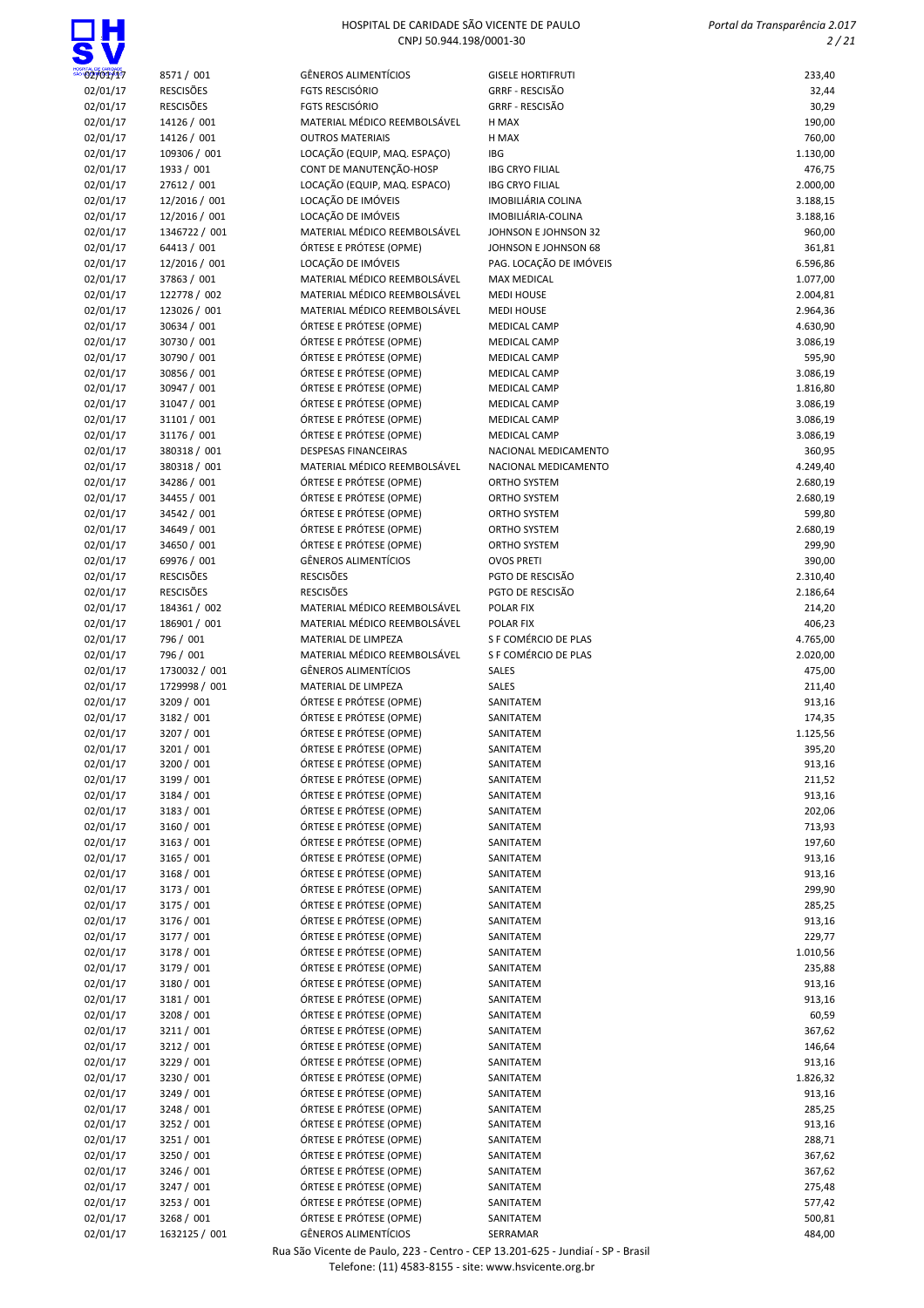ıн

| 02/01/17             | 8571 / 001                  | GÊNEROS ALIMENTÍCIOS                                         | <b>GISELE HORTIFRUTI</b>               | 233,40               |
|----------------------|-----------------------------|--------------------------------------------------------------|----------------------------------------|----------------------|
| 02/01/17             | <b>RESCISÕES</b>            | FGTS RESCISÓRIO                                              | <b>GRRF - RESCISÃO</b>                 | 32,44                |
| 02/01/17             | <b>RESCISÕES</b>            | FGTS RESCISÓRIO                                              | <b>GRRF - RESCISÃO</b>                 | 30,29                |
| 02/01/17             | 14126 / 001                 | MATERIAL MÉDICO REEMBOLSÁVEL                                 | H MAX                                  | 190,00               |
| 02/01/17             | 14126 / 001                 | <b>OUTROS MATERIAIS</b>                                      | H MAX                                  | 760,00               |
| 02/01/17             | 109306 / 001                | LOCAÇÃO (EQUIP, MAQ. ESPAÇO)                                 | <b>IBG</b>                             | 1.130,00             |
| 02/01/17             | 1933 / 001                  | CONT DE MANUTENÇÃO-HOSP                                      | <b>IBG CRYO FILIAL</b>                 | 476,75               |
| 02/01/17             | 27612 / 001                 | LOCAÇÃO (EQUIP, MAQ. ESPACO)                                 | <b>IBG CRYO FILIAL</b>                 | 2.000,00             |
| 02/01/17             | 12/2016 / 001               | LOCAÇÃO DE IMÓVEIS                                           | IMOBILIÁRIA COLINA                     | 3.188,15             |
| 02/01/17             | 12/2016 / 001               | LOCAÇÃO DE IMÓVEIS                                           | IMOBILIÁRIA-COLINA                     | 3.188,16             |
| 02/01/17             | 1346722 / 001               | MATERIAL MÉDICO REEMBOLSÁVEL                                 | JOHNSON E JOHNSON 32                   | 960,00               |
| 02/01/17             | 64413 / 001                 | ÓRTESE E PRÓTESE (OPME)                                      | JOHNSON E JOHNSON 68                   | 361,81               |
| 02/01/17             | 12/2016 / 001               | LOCAÇÃO DE IMÓVEIS                                           | PAG. LOCAÇÃO DE IMÓVEIS                | 6.596,86             |
| 02/01/17             | 37863 / 001<br>122778 / 002 | MATERIAL MÉDICO REEMBOLSÁVEL<br>MATERIAL MÉDICO REEMBOLSÁVEL | <b>MAX MEDICAL</b>                     | 1.077,00             |
| 02/01/17<br>02/01/17 | 123026 / 001                | MATERIAL MÉDICO REEMBOLSÁVEL                                 | <b>MEDI HOUSE</b><br><b>MEDI HOUSE</b> | 2.004,81<br>2.964,36 |
| 02/01/17             | 30634 / 001                 | ÓRTESE E PRÓTESE (OPME)                                      | <b>MEDICAL CAMP</b>                    | 4.630,90             |
| 02/01/17             | 30730 / 001                 | ÓRTESE E PRÓTESE (OPME)                                      | <b>MEDICAL CAMP</b>                    | 3.086,19             |
| 02/01/17             | 30790 / 001                 | ÓRTESE E PRÓTESE (OPME)                                      | <b>MEDICAL CAMP</b>                    | 595,90               |
| 02/01/17             | 30856 / 001                 | ÓRTESE E PRÓTESE (OPME)                                      | <b>MEDICAL CAMP</b>                    | 3.086,19             |
| 02/01/17             | 30947 / 001                 | ÓRTESE E PRÓTESE (OPME)                                      | <b>MEDICAL CAMP</b>                    | 1.816,80             |
| 02/01/17             | 31047 / 001                 | ÓRTESE E PRÓTESE (OPME)                                      | <b>MEDICAL CAMP</b>                    | 3.086,19             |
| 02/01/17             | 31101 / 001                 | ÓRTESE E PRÓTESE (OPME)                                      | <b>MEDICAL CAMP</b>                    | 3.086,19             |
| 02/01/17             | 31176 / 001                 | ÓRTESE E PRÓTESE (OPME)                                      | <b>MEDICAL CAMP</b>                    | 3.086,19             |
| 02/01/17             | 380318 / 001                | <b>DESPESAS FINANCEIRAS</b>                                  | NACIONAL MEDICAMENTO                   | 360,95               |
| 02/01/17             | 380318 / 001                | MATERIAL MÉDICO REEMBOLSÁVEL                                 | NACIONAL MEDICAMENTO                   | 4.249,40             |
| 02/01/17             | 34286 / 001                 | ÓRTESE E PRÓTESE (OPME)                                      | ORTHO SYSTEM                           | 2.680,19             |
| 02/01/17             | 34455 / 001                 | ÓRTESE E PRÓTESE (OPME)                                      | ORTHO SYSTEM                           | 2.680,19             |
| 02/01/17             | 34542 / 001                 | ÓRTESE E PRÓTESE (OPME)                                      | <b>ORTHO SYSTEM</b>                    | 599,80               |
| 02/01/17             | 34649 / 001                 | ÓRTESE E PRÓTESE (OPME)                                      | <b>ORTHO SYSTEM</b>                    | 2.680,19             |
| 02/01/17<br>02/01/17 | 34650 / 001<br>69976 / 001  | ÓRTESE E PRÓTESE (OPME)<br><b>GÊNEROS ALIMENTÍCIOS</b>       | ORTHO SYSTEM<br><b>OVOS PRETI</b>      | 299,90<br>390,00     |
| 02/01/17             | <b>RESCISÕES</b>            | <b>RESCISÕES</b>                                             | PGTO DE RESCISÃO                       | 2.310,40             |
| 02/01/17             | <b>RESCISÕES</b>            | <b>RESCISÕES</b>                                             | PGTO DE RESCISÃO                       | 2.186,64             |
| 02/01/17             | 184361 / 002                | MATERIAL MÉDICO REEMBOLSÁVEL                                 | POLAR FIX                              | 214,20               |
| 02/01/17             | 186901 / 001                | MATERIAL MÉDICO REEMBOLSÁVEL                                 | <b>POLAR FIX</b>                       | 406,23               |
| 02/01/17             | 796 / 001                   | MATERIAL DE LIMPEZA                                          | S F COMÉRCIO DE PLAS                   | 4.765,00             |
| 02/01/17             | 796 / 001                   | MATERIAL MÉDICO REEMBOLSÁVEL                                 | S F COMÉRCIO DE PLAS                   | 2.020,00             |
| 02/01/17             | 1730032 / 001               | GÊNEROS ALIMENTÍCIOS                                         | SALES                                  | 475,00               |
| 02/01/17             | 1729998 / 001               | MATERIAL DE LIMPEZA                                          | SALES                                  | 211,40               |
| 02/01/17             | 3209 / 001                  | ÓRTESE E PRÓTESE (OPME)                                      | SANITATEM                              | 913,16               |
| 02/01/17             | 3182 / 001                  | ÓRTESE E PRÓTESE (OPME)                                      | SANITATEM                              | 174,35               |
| 02/01/17             | 3207 / 001                  | ÓRTESE E PRÓTESE (OPME)                                      | SANITATEM                              | 1.125,56             |
| 02/01/17             | 3201 / 001                  | ÓRTESE E PRÓTESE (OPME)<br>ÓRTESE E PRÓTESE (OPME)           | SANITATEM                              | 395,20               |
| 02/01/17<br>02/01/17 | 3200 / 001<br>3199 / 001    | ÓRTESE E PRÓTESE (OPME)                                      | SANITATEM<br>SANITATEM                 | 913,16<br>211,52     |
| 02/01/17             | 3184 / 001                  | ÓRTESE E PRÓTESE (OPME)                                      | SANITATEM                              | 913,16               |
| 02/01/17             | 3183 / 001                  | ÓRTESE E PRÓTESE (OPME)                                      | SANITATEM                              | 202,06               |
| 02/01/17             | 3160 / 001                  | ÓRTESE E PRÓTESE (OPME)                                      | SANITATEM                              | 713,93               |
| 02/01/17             | 3163 / 001                  | ÓRTESE E PRÓTESE (OPME)                                      | SANITATEM                              | 197,60               |
| 02/01/17             | 3165 / 001                  | ÓRTESE E PRÓTESE (OPME)                                      | SANITATEM                              | 913,16               |
| 02/01/17             | 3168 / 001                  | ÓRTESE E PRÓTESE (OPME)                                      | SANITATEM                              | 913,16               |
| 02/01/17             | 3173 / 001                  | ÓRTESE E PRÓTESE (OPME)                                      | SANITATEM                              | 299,90               |
| 02/01/17             | 3175 / 001                  | ÓRTESE E PRÓTESE (OPME)                                      | SANITATEM                              | 285,25               |
| 02/01/17             | 3176 / 001                  | ÓRTESE E PRÓTESE (OPME)                                      | SANITATEM                              | 913,16               |
| 02/01/17             | 3177 / 001                  | ÓRTESE E PRÓTESE (OPME)                                      | SANITATEM                              | 229,77               |
| 02/01/17             | 3178 / 001                  | ÓRTESE E PRÓTESE (OPME)                                      | SANITATEM                              | 1.010,56             |
| 02/01/17             | 3179 / 001                  | ÓRTESE E PRÓTESE (OPME)                                      | SANITATEM                              | 235,88               |
| 02/01/17             | 3180 / 001                  | ÓRTESE E PRÓTESE (OPME)                                      | SANITATEM                              | 913,16               |
| 02/01/17             | 3181 / 001                  | ÓRTESE E PRÓTESE (OPME)<br>ÓRTESE E PRÓTESE (OPME)           | SANITATEM                              | 913,16               |
| 02/01/17<br>02/01/17 | 3208 / 001<br>3211 / 001    | ÓRTESE E PRÓTESE (OPME)                                      | SANITATEM<br>SANITATEM                 | 60,59<br>367,62      |
| 02/01/17             | 3212 / 001                  | ÓRTESE E PRÓTESE (OPME)                                      | SANITATEM                              | 146,64               |
| 02/01/17             | 3229 / 001                  | ÓRTESE E PRÓTESE (OPME)                                      | SANITATEM                              | 913,16               |
| 02/01/17             | 3230 / 001                  | ÓRTESE E PRÓTESE (OPME)                                      | SANITATEM                              | 1.826,32             |
| 02/01/17             | 3249 / 001                  | ÓRTESE E PRÓTESE (OPME)                                      | SANITATEM                              | 913,16               |
| 02/01/17             | 3248 / 001                  | ÓRTESE E PRÓTESE (OPME)                                      | SANITATEM                              | 285,25               |
| 02/01/17             | 3252 / 001                  | ÓRTESE E PRÓTESE (OPME)                                      | SANITATEM                              | 913,16               |
| 02/01/17             | 3251 / 001                  | ÓRTESE E PRÓTESE (OPME)                                      | SANITATEM                              | 288,71               |
| 02/01/17             | 3250 / 001                  | ÓRTESE E PRÓTESE (OPME)                                      | SANITATEM                              | 367,62               |
| 02/01/17             | 3246 / 001                  | ÓRTESE E PRÓTESE (OPME)                                      | SANITATEM                              | 367,62               |
| 02/01/17             | 3247 / 001                  | ÓRTESE E PRÓTESE (OPME)                                      | SANITATEM                              | 275,48               |
| 02/01/17             | 3253 / 001                  | ÓRTESE E PRÓTESE (OPME)                                      | SANITATEM                              | 577,42               |
| 02/01/17             | 3268 / 001                  | ÓRTESE E PRÓTESE (OPME)                                      | SANITATEM                              | 500,81               |
| 02/01/17             | 1632125 / 001               | GÊNEROS ALIMENTÍCIOS                                         | SERRAMAR                               | 484,00               |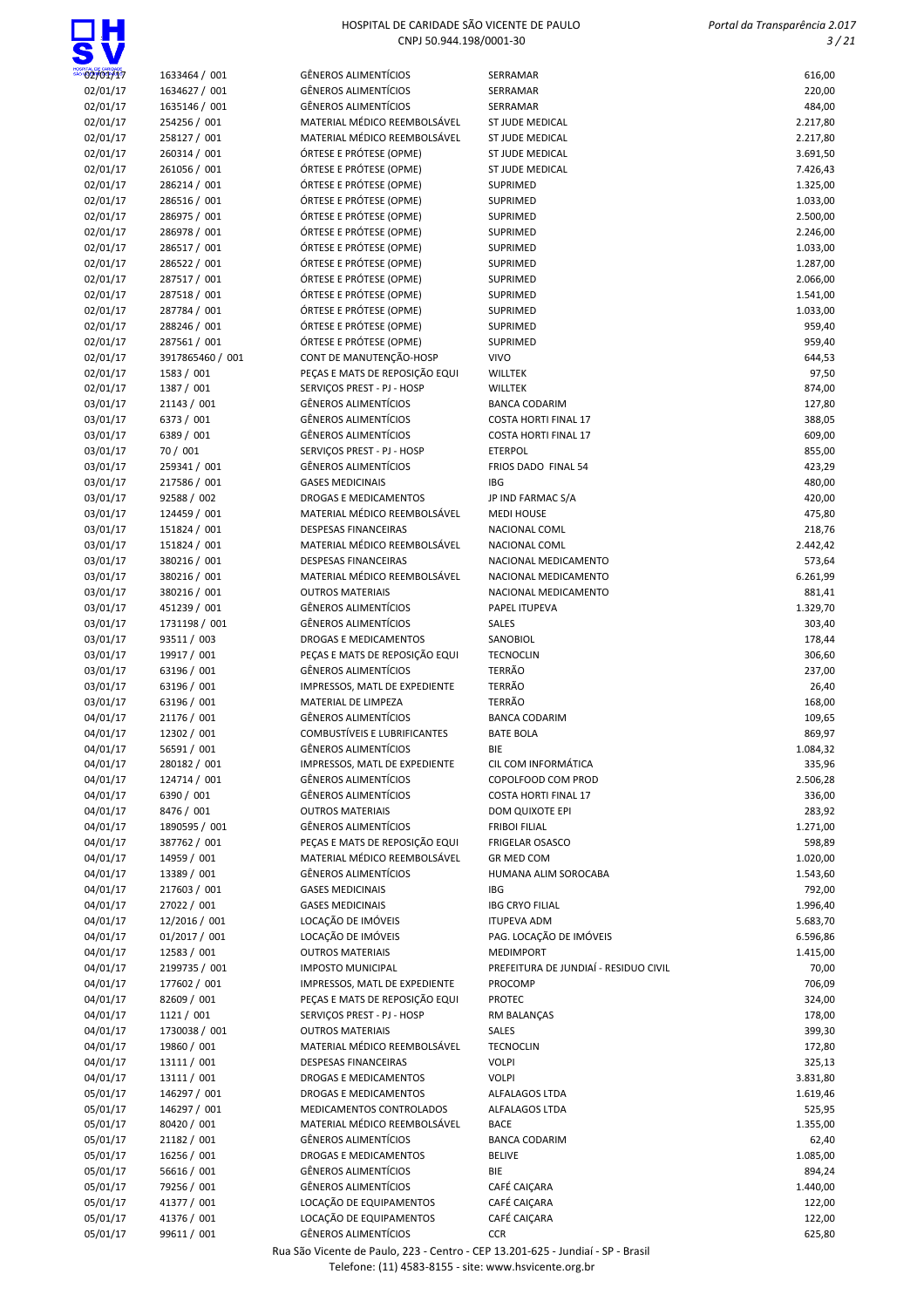

| 02/01/17 |                  | GÊNEROS ALIMENTÍCIOS           | SERRAMAR                              | 616,00   |
|----------|------------------|--------------------------------|---------------------------------------|----------|
|          | 1633464 / 001    | GÊNEROS ALIMENTÍCIOS           |                                       |          |
| 02/01/17 | 1634627 / 001    |                                | SERRAMAR                              | 220,00   |
| 02/01/17 | 1635146 / 001    | GÊNEROS ALIMENTÍCIOS           | SERRAMAR                              | 484,00   |
| 02/01/17 | 254256 / 001     | MATERIAL MÉDICO REEMBOLSÁVEL   | <b>ST JUDE MEDICAL</b>                | 2.217,80 |
| 02/01/17 | 258127 / 001     | MATERIAL MÉDICO REEMBOLSÁVEL   | ST JUDE MEDICAL                       | 2.217,80 |
| 02/01/17 | 260314 / 001     | ÓRTESE E PRÓTESE (OPME)        | <b>ST JUDE MEDICAL</b>                | 3.691,50 |
| 02/01/17 | 261056 / 001     | ÓRTESE E PRÓTESE (OPME)        | <b>ST JUDE MEDICAL</b>                | 7.426,43 |
| 02/01/17 | 286214 / 001     | ÓRTESE E PRÓTESE (OPME)        | SUPRIMED                              | 1.325,00 |
| 02/01/17 | 286516 / 001     | ÓRTESE E PRÓTESE (OPME)        | SUPRIMED                              | 1.033,00 |
| 02/01/17 | 286975 / 001     | ÓRTESE E PRÓTESE (OPME)        | SUPRIMED                              | 2.500,00 |
| 02/01/17 | 286978 / 001     | ÓRTESE E PRÓTESE (OPME)        | SUPRIMED                              | 2.246,00 |
| 02/01/17 | 286517 / 001     | ÓRTESE E PRÓTESE (OPME)        | SUPRIMED                              | 1.033,00 |
| 02/01/17 | 286522 / 001     | ÓRTESE E PRÓTESE (OPME)        | SUPRIMED                              | 1.287,00 |
| 02/01/17 | 287517 / 001     | ÓRTESE E PRÓTESE (OPME)        | SUPRIMED                              | 2.066,00 |
| 02/01/17 | 287518 / 001     | ÓRTESE E PRÓTESE (OPME)        | SUPRIMED                              | 1.541,00 |
|          |                  | ÓRTESE E PRÓTESE (OPME)        | SUPRIMED                              |          |
| 02/01/17 | 287784 / 001     |                                |                                       | 1.033,00 |
| 02/01/17 | 288246 / 001     | ÓRTESE E PRÓTESE (OPME)        | SUPRIMED                              | 959,40   |
| 02/01/17 | 287561 / 001     | ÓRTESE E PRÓTESE (OPME)        | SUPRIMED                              | 959,40   |
| 02/01/17 | 3917865460 / 001 | CONT DE MANUTENÇÃO-HOSP        | <b>VIVO</b>                           | 644,53   |
| 02/01/17 | 1583 / 001       | PEÇAS E MATS DE REPOSIÇÃO EQUI | <b>WILLTEK</b>                        | 97,50    |
| 02/01/17 | 1387 / 001       | SERVIÇOS PREST - PJ - HOSP     | <b>WILLTEK</b>                        | 874,00   |
| 03/01/17 | 21143 / 001      | <b>GÊNEROS ALIMENTÍCIOS</b>    | <b>BANCA CODARIM</b>                  | 127,80   |
| 03/01/17 | 6373 / 001       | GÊNEROS ALIMENTÍCIOS           | <b>COSTA HORTI FINAL 17</b>           | 388,05   |
| 03/01/17 | 6389 / 001       | GÊNEROS ALIMENTÍCIOS           | <b>COSTA HORTI FINAL 17</b>           | 609,00   |
| 03/01/17 | 70 / 001         | SERVIÇOS PREST - PJ - HOSP     | <b>ETERPOL</b>                        | 855,00   |
| 03/01/17 | 259341 / 001     | GÊNEROS ALIMENTÍCIOS           | FRIOS DADO FINAL 54                   | 423,29   |
|          | 217586 / 001     | <b>GASES MEDICINAIS</b>        | <b>IBG</b>                            | 480,00   |
| 03/01/17 |                  |                                |                                       |          |
| 03/01/17 | 92588 / 002      | <b>DROGAS E MEDICAMENTOS</b>   | JP IND FARMAC S/A                     | 420,00   |
| 03/01/17 | 124459 / 001     | MATERIAL MÉDICO REEMBOLSÁVEL   | <b>MEDI HOUSE</b>                     | 475,80   |
| 03/01/17 | 151824 / 001     | <b>DESPESAS FINANCEIRAS</b>    | NACIONAL COML                         | 218,76   |
| 03/01/17 | 151824 / 001     | MATERIAL MÉDICO REEMBOLSÁVEL   | NACIONAL COML                         | 2.442,42 |
| 03/01/17 | 380216 / 001     | <b>DESPESAS FINANCEIRAS</b>    | NACIONAL MEDICAMENTO                  | 573,64   |
| 03/01/17 | 380216 / 001     | MATERIAL MÉDICO REEMBOLSÁVEL   | NACIONAL MEDICAMENTO                  | 6.261,99 |
| 03/01/17 | 380216 / 001     | <b>OUTROS MATERIAIS</b>        | NACIONAL MEDICAMENTO                  | 881,41   |
| 03/01/17 | 451239 / 001     | GÊNEROS ALIMENTÍCIOS           | PAPEL ITUPEVA                         | 1.329,70 |
| 03/01/17 | 1731198 / 001    | GÊNEROS ALIMENTÍCIOS           | SALES                                 | 303,40   |
| 03/01/17 | 93511 / 003      | DROGAS E MEDICAMENTOS          | SANOBIOL                              | 178,44   |
|          | 19917 / 001      |                                | <b>TECNOCLIN</b>                      |          |
| 03/01/17 |                  | PEÇAS E MATS DE REPOSIÇÃO EQUI |                                       | 306,60   |
| 03/01/17 | 63196 / 001      | GÊNEROS ALIMENTÍCIOS           | <b>TERRÃO</b>                         | 237,00   |
| 03/01/17 | 63196 / 001      | IMPRESSOS, MATL DE EXPEDIENTE  | <b>TERRÃO</b>                         | 26,40    |
| 03/01/17 | 63196 / 001      | MATERIAL DE LIMPEZA            | <b>TERRÃO</b>                         | 168,00   |
| 04/01/17 | 21176 / 001      | GÊNEROS ALIMENTÍCIOS           | <b>BANCA CODARIM</b>                  | 109,65   |
| 04/01/17 | 12302 / 001      | COMBUSTÍVEIS E LUBRIFICANTES   | <b>BATE BOLA</b>                      | 869,97   |
| 04/01/17 | 56591 / 001      | GÊNEROS ALIMENTÍCIOS           | BIE                                   | 1.084,32 |
| 04/01/17 | 280182 / 001     | IMPRESSOS, MATL DE EXPEDIENTE  | CIL COM INFORMÁTICA                   | 335,96   |
| 04/01/17 | 124714 / 001     | GËNEROS ALIMENTÍCIOS           | COPOLFOOD COM PROD                    | 2.506,28 |
| 04/01/17 | 6390 / 001       | GÊNEROS ALIMENTÍCIOS           | <b>COSTA HORTI FINAL 17</b>           | 336,00   |
| 04/01/17 | 8476 / 001       | <b>OUTROS MATERIAIS</b>        | DOM QUIXOTE EPI                       | 283,92   |
|          |                  |                                |                                       |          |
| 04/01/17 | 1890595 / 001    | GÊNEROS ALIMENTÍCIOS           | <b>FRIBOI FILIAL</b>                  | 1.271,00 |
| 04/01/17 | 387762 / 001     | PEÇAS E MATS DE REPOSIÇÃO EQUI | <b>FRIGELAR OSASCO</b>                | 598,89   |
| 04/01/17 | 14959 / 001      | MATERIAL MÉDICO REEMBOLSÁVEL   | GR MED COM                            | 1.020,00 |
| 04/01/17 | 13389 / 001      | GÊNEROS ALIMENTÍCIOS           | HUMANA ALIM SOROCABA                  | 1.543,60 |
| 04/01/17 | 217603 / 001     | <b>GASES MEDICINAIS</b>        | IBG                                   | 792,00   |
| 04/01/17 | 27022 / 001      | <b>GASES MEDICINAIS</b>        | <b>IBG CRYO FILIAL</b>                | 1.996,40 |
| 04/01/17 | 12/2016 / 001    | LOCAÇÃO DE IMÓVEIS             | <b>ITUPEVA ADM</b>                    | 5.683,70 |
| 04/01/17 | 01/2017 / 001    | LOCAÇÃO DE IMÓVEIS             | PAG. LOCAÇÃO DE IMÓVEIS               | 6.596,86 |
| 04/01/17 | 12583 / 001      | <b>OUTROS MATERIAIS</b>        | <b>MEDIMPORT</b>                      | 1.415,00 |
| 04/01/17 | 2199735 / 001    | <b>IMPOSTO MUNICIPAL</b>       | PREFEITURA DE JUNDIAÍ - RESIDUO CIVIL | 70,00    |
| 04/01/17 | 177602 / 001     | IMPRESSOS, MATL DE EXPEDIENTE  | PROCOMP                               | 706,09   |
| 04/01/17 | 82609 / 001      | PEÇAS E MATS DE REPOSIÇÃO EQUI | <b>PROTEC</b>                         |          |
|          |                  |                                |                                       | 324,00   |
| 04/01/17 | 1121 / 001       | SERVIÇOS PREST - PJ - HOSP     | RM BALANÇAS                           | 178,00   |
| 04/01/17 | 1730038 / 001    | <b>OUTROS MATERIAIS</b>        | SALES                                 | 399,30   |
| 04/01/17 | 19860 / 001      | MATERIAL MÉDICO REEMBOLSÁVEL   | <b>TECNOCLIN</b>                      | 172,80   |
| 04/01/17 | 13111 / 001      | <b>DESPESAS FINANCEIRAS</b>    | <b>VOLPI</b>                          | 325,13   |
| 04/01/17 | 13111 / 001      | DROGAS E MEDICAMENTOS          | <b>VOLPI</b>                          | 3.831,80 |
| 05/01/17 | 146297 / 001     | DROGAS E MEDICAMENTOS          | ALFALAGOS LTDA                        | 1.619,46 |
| 05/01/17 | 146297 / 001     | MEDICAMENTOS CONTROLADOS       | ALFALAGOS LTDA                        | 525,95   |
| 05/01/17 | 80420 / 001      | MATERIAL MÉDICO REEMBOLSÁVEL   | <b>BACE</b>                           | 1.355,00 |
| 05/01/17 | 21182 / 001      | GÊNEROS ALIMENTÍCIOS           | <b>BANCA CODARIM</b>                  | 62,40    |
| 05/01/17 | 16256 / 001      | DROGAS E MEDICAMENTOS          | <b>BELIVE</b>                         | 1.085,00 |
| 05/01/17 | 56616 / 001      | GÊNEROS ALIMENTÍCIOS           | BIE                                   | 894,24   |
|          |                  |                                |                                       |          |
| 05/01/17 | 79256 / 001      | GÊNEROS ALIMENTÍCIOS           | CAFÉ CAIÇARA                          | 1.440,00 |
| 05/01/17 | 41377 / 001      | LOCAÇÃO DE EQUIPAMENTOS        | CAFÉ CAIÇARA                          | 122,00   |
| 05/01/17 | 41376 / 001      | LOCAÇÃO DE EQUIPAMENTOS        | CAFÉ CAIÇARA                          | 122,00   |
| 05/01/17 | 99611 / 001      | <b>GÊNEROS ALIMENTÍCIOS</b>    | <b>CCR</b>                            | 625,80   |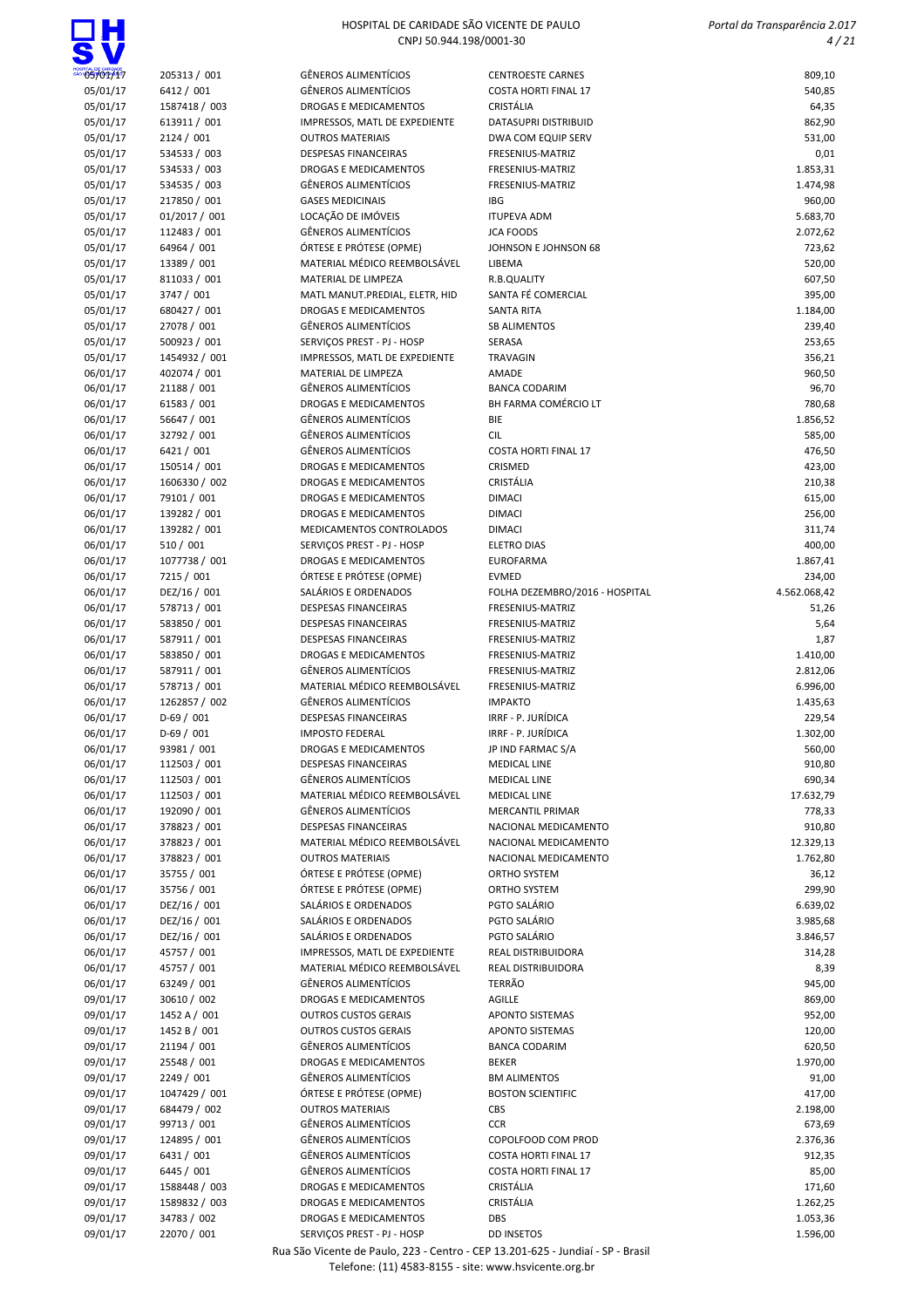| 4.06 | . . |
|------|-----|

| 05/01/17             |                              | <b>GÊNEROS ALIMENTÍCIOS</b>                                 |                                                         |                       |
|----------------------|------------------------------|-------------------------------------------------------------|---------------------------------------------------------|-----------------------|
| 05/01/17             | 205313 / 001<br>6412 / 001   | <b>GÊNEROS ALIMENTÍCIOS</b>                                 | <b>CENTROESTE CARNES</b><br><b>COSTA HORTI FINAL 17</b> | 809,10<br>540,85      |
| 05/01/17             | 1587418 / 003                | DROGAS E MEDICAMENTOS                                       | CRISTÁLIA                                               | 64,35                 |
| 05/01/17             | 613911 / 001                 | IMPRESSOS, MATL DE EXPEDIENTE                               | DATASUPRI DISTRIBUID                                    | 862,90                |
| 05/01/17             | 2124 / 001                   | <b>OUTROS MATERIAIS</b>                                     | DWA COM EQUIP SERV                                      | 531,00                |
| 05/01/17             | 534533 / 003                 | <b>DESPESAS FINANCEIRAS</b>                                 | FRESENIUS-MATRIZ                                        | 0,01                  |
| 05/01/17             | 534533 / 003                 | DROGAS E MEDICAMENTOS                                       | FRESENIUS-MATRIZ                                        | 1.853,31              |
| 05/01/17             | 534535 / 003                 | <b>GÊNEROS ALIMENTÍCIOS</b>                                 | FRESENIUS-MATRIZ                                        | 1.474,98              |
| 05/01/17             | 217850 / 001                 | <b>GASES MEDICINAIS</b>                                     | <b>IBG</b>                                              | 960,00                |
| 05/01/17             | 01/2017 / 001                | LOCAÇÃO DE IMÓVEIS                                          | <b>ITUPEVA ADM</b>                                      | 5.683,70              |
| 05/01/17             | 112483 / 001                 | <b>GÊNEROS ALIMENTÍCIOS</b>                                 | <b>JCA FOODS</b>                                        | 2.072,62              |
| 05/01/17             | 64964 / 001                  | ÓRTESE E PRÓTESE (OPME)                                     | JOHNSON E JOHNSON 68                                    | 723,62                |
| 05/01/17             | 13389 / 001                  | MATERIAL MÉDICO REEMBOLSÁVEL                                | LIBEMA                                                  | 520,00                |
| 05/01/17             | 811033 / 001                 | MATERIAL DE LIMPEZA                                         | R.B.QUALITY                                             | 607,50                |
| 05/01/17             | 3747 / 001                   | MATL MANUT.PREDIAL, ELETR, HID                              | SANTA FÉ COMERCIAL                                      | 395,00                |
| 05/01/17             | 680427 / 001                 | DROGAS E MEDICAMENTOS                                       | <b>SANTA RITA</b>                                       | 1.184,00              |
| 05/01/17             | 27078 / 001                  | <b>GÊNEROS ALIMENTÍCIOS</b>                                 | <b>SB ALIMENTOS</b>                                     | 239,40                |
| 05/01/17             | 500923 / 001                 | SERVIÇOS PREST - PJ - HOSP                                  | SERASA                                                  | 253,65                |
| 05/01/17             | 1454932 / 001                | IMPRESSOS, MATL DE EXPEDIENTE                               | TRAVAGIN                                                | 356,21                |
| 06/01/17             | 402074 / 001                 | MATERIAL DE LIMPEZA                                         | AMADE                                                   | 960,50                |
| 06/01/17             | 21188 / 001                  | <b>GÊNEROS ALIMENTÍCIOS</b>                                 | <b>BANCA CODARIM</b>                                    | 96,70                 |
| 06/01/17             | 61583 / 001                  | <b>DROGAS E MEDICAMENTOS</b>                                | BH FARMA COMÉRCIO LT                                    | 780,68                |
| 06/01/17             | 56647 / 001                  | <b>GÊNEROS ALIMENTÍCIOS</b>                                 | BIE                                                     | 1.856,52              |
| 06/01/17             | 32792 / 001                  | <b>GÊNEROS ALIMENTÍCIOS</b>                                 | <b>CIL</b>                                              | 585,00                |
| 06/01/17             | 6421 / 001                   | <b>GÊNEROS ALIMENTÍCIOS</b>                                 | <b>COSTA HORTI FINAL 17</b>                             | 476,50                |
| 06/01/17             | 150514 / 001                 | <b>DROGAS E MEDICAMENTOS</b>                                | CRISMED                                                 | 423,00                |
| 06/01/17             | 1606330 / 002                | DROGAS E MEDICAMENTOS                                       | CRISTÁLIA                                               | 210,38                |
| 06/01/17             | 79101 / 001                  | DROGAS E MEDICAMENTOS                                       | <b>DIMACI</b>                                           | 615,00                |
| 06/01/17             | 139282 / 001                 | DROGAS E MEDICAMENTOS                                       | <b>DIMACI</b>                                           | 256,00                |
| 06/01/17             | 139282 / 001                 | MEDICAMENTOS CONTROLADOS                                    | <b>DIMACI</b>                                           | 311,74                |
| 06/01/17             | 510 / 001                    | SERVIÇOS PREST - PJ - HOSP                                  | <b>ELETRO DIAS</b>                                      | 400,00                |
| 06/01/17             | 1077738 / 001                | DROGAS E MEDICAMENTOS                                       | <b>EUROFARMA</b>                                        | 1.867,41              |
| 06/01/17             | 7215 / 001                   | ÓRTESE E PRÓTESE (OPME)                                     | <b>EVMED</b>                                            | 234,00                |
| 06/01/17             | DEZ/16 / 001                 | SALÁRIOS E ORDENADOS                                        | FOLHA DEZEMBRO/2016 - HOSPITAL                          | 4.562.068,42          |
| 06/01/17             | 578713 / 001                 | <b>DESPESAS FINANCEIRAS</b>                                 | FRESENIUS-MATRIZ                                        | 51,26                 |
| 06/01/17             | 583850 / 001                 | <b>DESPESAS FINANCEIRAS</b>                                 | FRESENIUS-MATRIZ                                        | 5,64                  |
| 06/01/17             | 587911 / 001                 | <b>DESPESAS FINANCEIRAS</b>                                 | FRESENIUS-MATRIZ                                        | 1,87                  |
| 06/01/17             | 583850 / 001                 | <b>DROGAS E MEDICAMENTOS</b>                                | FRESENIUS-MATRIZ                                        | 1.410,00              |
| 06/01/17             | 587911 / 001                 | <b>GÊNEROS ALIMENTÍCIOS</b>                                 | FRESENIUS-MATRIZ                                        | 2.812,06              |
| 06/01/17             | 578713 / 001                 | MATERIAL MÉDICO REEMBOLSÁVEL                                | FRESENIUS-MATRIZ                                        | 6.996,00              |
| 06/01/17             | 1262857 / 002                | <b>GÊNEROS ALIMENTÍCIOS</b>                                 | <b>IMPAKTO</b>                                          | 1.435,63              |
| 06/01/17             | $D-69/001$                   | <b>DESPESAS FINANCEIRAS</b>                                 | IRRF - P. JURÍDICA                                      | 229,54                |
| 06/01/17             | $D-69/001$                   | <b>IMPOSTO FEDERAL</b>                                      | IRRF - P. JURÍDICA                                      | 1.302,00              |
| 06/01/17             | 93981 / 001                  | DROGAS E MEDICAMENTOS                                       | JP IND FARMAC S/A                                       | 560,00                |
| 06/01/17             | 112503 / 001                 | <b>DESPESAS FINANCEIRAS</b>                                 | <b>MEDICAL LINE</b>                                     | 910,80                |
| 06/01/17             | 112503 / 001                 | <b>GÊNEROS ALIMENTÍCIOS</b><br>MATERIAL MÉDICO REEMBOLSÁVEL | <b>MEDICAL LINE</b>                                     | 690,34                |
| 06/01/17             | 112503 / 001                 | <b>GÊNEROS ALIMENTÍCIOS</b>                                 | <b>MEDICAL LINE</b><br><b>MERCANTIL PRIMAR</b>          | 17.632,79             |
| 06/01/17             | 192090 / 001                 | <b>DESPESAS FINANCEIRAS</b>                                 | NACIONAL MEDICAMENTO                                    | 778,33                |
| 06/01/17<br>06/01/17 | 378823 / 001                 | MATERIAL MÉDICO REEMBOLSÁVEL                                | NACIONAL MEDICAMENTO                                    | 910,80                |
| 06/01/17             | 378823 / 001<br>378823 / 001 | <b>OUTROS MATERIAIS</b>                                     | NACIONAL MEDICAMENTO                                    | 12.329,13<br>1.762,80 |
| 06/01/17             | 35755 / 001                  | ÓRTESE E PRÓTESE (OPME)                                     | ORTHO SYSTEM                                            | 36,12                 |
| 06/01/17             | 35756 / 001                  | ÓRTESE E PRÓTESE (OPME)                                     | ORTHO SYSTEM                                            | 299,90                |
| 06/01/17             | DEZ/16 / 001                 | SALÁRIOS E ORDENADOS                                        | PGTO SALÁRIO                                            | 6.639,02              |
| 06/01/17             | DEZ/16 / 001                 | SALÁRIOS E ORDENADOS                                        | PGTO SALÁRIO                                            | 3.985,68              |
| 06/01/17             | DEZ/16 / 001                 | SALÁRIOS E ORDENADOS                                        | PGTO SALÁRIO                                            | 3.846,57              |
| 06/01/17             | 45757 / 001                  | IMPRESSOS, MATL DE EXPEDIENTE                               | REAL DISTRIBUIDORA                                      | 314,28                |
| 06/01/17             | 45757 / 001                  | MATERIAL MÉDICO REEMBOLSÁVEL                                | <b>REAL DISTRIBUIDORA</b>                               | 8,39                  |
| 06/01/17             | 63249 / 001                  | <b>GÊNEROS ALIMENTÍCIOS</b>                                 | <b>TERRÃO</b>                                           | 945,00                |
| 09/01/17             | 30610 / 002                  | DROGAS E MEDICAMENTOS                                       | AGILLE                                                  | 869,00                |
| 09/01/17             | 1452 A / 001                 | <b>OUTROS CUSTOS GERAIS</b>                                 | <b>APONTO SISTEMAS</b>                                  | 952,00                |
| 09/01/17             | 1452 B / 001                 | <b>OUTROS CUSTOS GERAIS</b>                                 | APONTO SISTEMAS                                         | 120,00                |
| 09/01/17             | 21194 / 001                  | <b>GÊNEROS ALIMENTÍCIOS</b>                                 | <b>BANCA CODARIM</b>                                    | 620,50                |
| 09/01/17             | 25548 / 001                  | DROGAS E MEDICAMENTOS                                       | <b>BEKER</b>                                            | 1.970,00              |
| 09/01/17             | 2249 / 001                   | <b>GÊNEROS ALIMENTÍCIOS</b>                                 | <b>BM ALIMENTOS</b>                                     | 91,00                 |
| 09/01/17             | 1047429 / 001                | ÓRTESE E PRÓTESE (OPME)                                     | <b>BOSTON SCIENTIFIC</b>                                | 417,00                |
| 09/01/17             | 684479 / 002                 | <b>OUTROS MATERIAIS</b>                                     | CBS                                                     | 2.198,00              |
| 09/01/17             | 99713 / 001                  | <b>GÊNEROS ALIMENTÍCIOS</b>                                 | <b>CCR</b>                                              | 673,69                |
| 09/01/17             | 124895 / 001                 | <b>GÊNEROS ALIMENTÍCIOS</b>                                 | COPOLFOOD COM PROD                                      | 2.376,36              |
| 09/01/17             | 6431 / 001                   | <b>GÊNEROS ALIMENTÍCIOS</b>                                 | <b>COSTA HORTI FINAL 17</b>                             | 912,35                |
| 09/01/17             | 6445 / 001                   | <b>GÊNEROS ALIMENTÍCIOS</b>                                 | <b>COSTA HORTI FINAL 17</b>                             | 85,00                 |
| 09/01/17             | 1588448 / 003                | DROGAS E MEDICAMENTOS                                       | CRISTÁLIA                                               | 171,60                |
| 09/01/17             | 1589832 / 003                | DROGAS E MEDICAMENTOS                                       | CRISTÁLIA                                               | 1.262,25              |
| 09/01/17             | 34783 / 002                  | DROGAS E MEDICAMENTOS                                       | DBS                                                     | 1.053,36              |
| 09/01/17             | 22070 / 001                  | SERVIÇOS PREST - PJ - HOSP                                  | <b>DD INSETOS</b>                                       | 1.596,00              |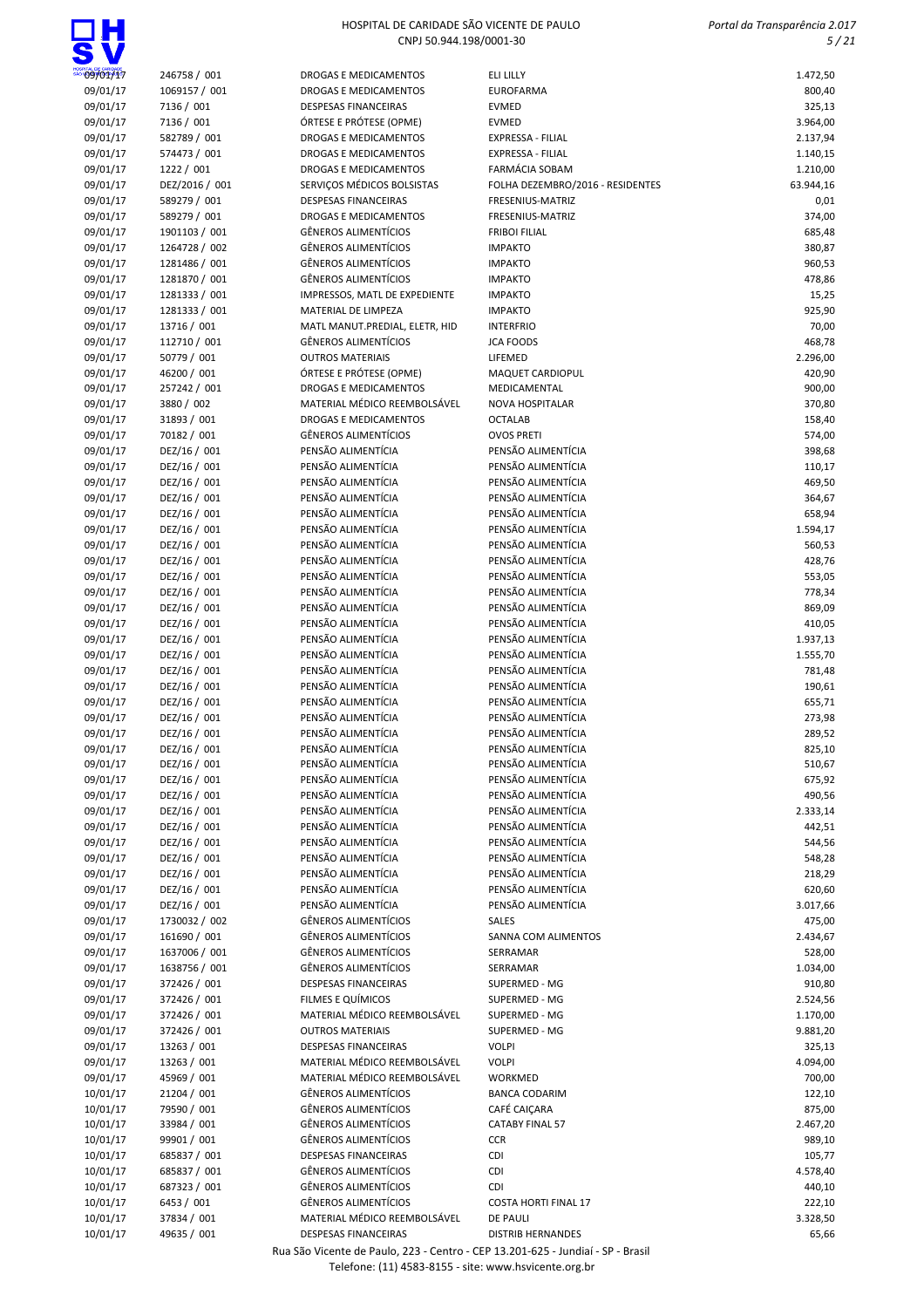## ПН

### HOSPITAL DE CARIDADE SÃO VICENTE DE PAULO CNPJ 50.944.198/0001-30

| 09/01/17             | 246758 / 001                 | DROGAS E MEDICAMENTOS                                       | ELI LILLY                                | 1.472,50           |
|----------------------|------------------------------|-------------------------------------------------------------|------------------------------------------|--------------------|
| 09/01/17             | 1069157 / 001                | DROGAS E MEDICAMENTOS                                       | <b>EUROFARMA</b>                         | 800,40             |
| 09/01/17             | 7136 / 001                   | <b>DESPESAS FINANCEIRAS</b>                                 | <b>EVMED</b>                             | 325,13             |
| 09/01/17             | 7136 / 001                   | ÓRTESE E PRÓTESE (OPME)                                     | <b>EVMED</b>                             | 3.964,00           |
| 09/01/17             | 582789 / 001                 | DROGAS E MEDICAMENTOS                                       | <b>EXPRESSA - FILIAL</b>                 | 2.137,94           |
| 09/01/17             | 574473 / 001                 | <b>DROGAS E MEDICAMENTOS</b>                                | <b>EXPRESSA - FILIAL</b>                 | 1.140,15           |
| 09/01/17             | 1222 / 001                   | DROGAS E MEDICAMENTOS                                       | FARMÁCIA SOBAM                           | 1.210,00           |
| 09/01/17             | DEZ/2016 / 001               | SERVIÇOS MÉDICOS BOLSISTAS                                  | FOLHA DEZEMBRO/2016 - RESIDENTES         | 63.944,16          |
| 09/01/17<br>09/01/17 | 589279 / 001<br>589279 / 001 | <b>DESPESAS FINANCEIRAS</b><br>DROGAS E MEDICAMENTOS        | FRESENIUS-MATRIZ<br>FRESENIUS-MATRIZ     | 0,01<br>374,00     |
| 09/01/17             | 1901103 / 001                | <b>GÊNEROS ALIMENTÍCIOS</b>                                 | <b>FRIBOI FILIAL</b>                     | 685,48             |
| 09/01/17             | 1264728 / 002                | <b>GÊNEROS ALIMENTÍCIOS</b>                                 | <b>IMPAKTO</b>                           | 380,87             |
| 09/01/17             | 1281486 / 001                | <b>GÊNEROS ALIMENTÍCIOS</b>                                 | <b>IMPAKTO</b>                           | 960,53             |
| 09/01/17             | 1281870 / 001                | <b>GÊNEROS ALIMENTÍCIOS</b>                                 | <b>IMPAKTO</b>                           | 478,86             |
| 09/01/17             | 1281333 / 001                | IMPRESSOS, MATL DE EXPEDIENTE                               | <b>IMPAKTO</b>                           | 15,25              |
| 09/01/17             | 1281333 / 001                | MATERIAL DE LIMPEZA                                         | <b>IMPAKTO</b>                           | 925,90             |
| 09/01/17             | 13716 / 001                  | MATL MANUT.PREDIAL, ELETR, HID                              | <b>INTERFRIO</b>                         | 70,00              |
| 09/01/17             | 112710 / 001                 | <b>GÊNEROS ALIMENTÍCIOS</b>                                 | <b>JCA FOODS</b>                         | 468,78             |
| 09/01/17             | 50779 / 001                  | <b>OUTROS MATERIAIS</b>                                     | LIFEMED                                  | 2.296,00           |
| 09/01/17             | 46200 / 001                  | ÓRTESE E PRÓTESE (OPME)                                     | MAQUET CARDIOPUL                         | 420,90             |
| 09/01/17             | 257242 / 001                 | <b>DROGAS E MEDICAMENTOS</b>                                | MEDICAMENTAL                             | 900,00             |
| 09/01/17             | 3880 / 002                   | MATERIAL MÉDICO REEMBOLSÁVEL                                | <b>NOVA HOSPITALAR</b>                   | 370,80             |
| 09/01/17<br>09/01/17 | 31893 / 001<br>70182 / 001   | <b>DROGAS E MEDICAMENTOS</b><br><b>GÊNEROS ALIMENTÍCIOS</b> | <b>OCTALAB</b><br><b>OVOS PRETI</b>      | 158,40<br>574,00   |
| 09/01/17             | DEZ/16 / 001                 | PENSÃO ALIMENTÍCIA                                          | PENSÃO ALIMENTÍCIA                       | 398,68             |
| 09/01/17             | DEZ/16 / 001                 | PENSÃO ALIMENTÍCIA                                          | PENSÃO ALIMENTÍCIA                       | 110,17             |
| 09/01/17             | DEZ/16 / 001                 | PENSÃO ALIMENTÍCIA                                          | PENSÃO ALIMENTÍCIA                       | 469,50             |
| 09/01/17             | DEZ/16 / 001                 | PENSÃO ALIMENTÍCIA                                          | PENSÃO ALIMENTÍCIA                       | 364,67             |
| 09/01/17             | DEZ/16 / 001                 | PENSÃO ALIMENTÍCIA                                          | PENSÃO ALIMENTÍCIA                       | 658,94             |
| 09/01/17             | DEZ/16 / 001                 | PENSÃO ALIMENTÍCIA                                          | PENSÃO ALIMENTÍCIA                       | 1.594,17           |
| 09/01/17             | DEZ/16 / 001                 | PENSÃO ALIMENTÍCIA                                          | PENSÃO ALIMENTÍCIA                       | 560,53             |
| 09/01/17             | DEZ/16 / 001                 | PENSÃO ALIMENTÍCIA                                          | PENSÃO ALIMENTÍCIA                       | 428,76             |
| 09/01/17             | DEZ/16 / 001                 | PENSÃO ALIMENTÍCIA                                          | PENSÃO ALIMENTÍCIA                       | 553,05             |
| 09/01/17             | DEZ/16 / 001                 | PENSÃO ALIMENTÍCIA                                          | PENSÃO ALIMENTÍCIA                       | 778,34             |
| 09/01/17             | DEZ/16 / 001                 | PENSÃO ALIMENTÍCIA                                          | PENSÃO ALIMENTÍCIA                       | 869,09             |
| 09/01/17             | DEZ/16 / 001                 | PENSÃO ALIMENTÍCIA                                          | PENSÃO ALIMENTÍCIA                       | 410,05             |
| 09/01/17             | DEZ/16 / 001                 | PENSÃO ALIMENTÍCIA                                          | PENSÃO ALIMENTÍCIA                       | 1.937,13           |
| 09/01/17             | DEZ/16 / 001                 | PENSÃO ALIMENTÍCIA<br>PENSÃO ALIMENTÍCIA                    | PENSÃO ALIMENTÍCIA<br>PENSÃO ALIMENTÍCIA | 1.555,70           |
| 09/01/17<br>09/01/17 | DEZ/16 / 001<br>DEZ/16 / 001 | PENSÃO ALIMENTÍCIA                                          | PENSÃO ALIMENTÍCIA                       | 781,48<br>190,61   |
| 09/01/17             | DEZ/16 / 001                 | PENSÃO ALIMENTÍCIA                                          | PENSÃO ALIMENTÍCIA                       | 655,71             |
| 09/01/17             | DEZ/16 / 001                 | PENSÃO ALIMENTÍCIA                                          | PENSÃO ALIMENTÍCIA                       | 273,98             |
| 09/01/17             | DEZ/16 / 001                 | PENSÃO ALIMENTÍCIA                                          | PENSÃO ALIMENTÍCIA                       | 289,52             |
| 09/01/17             | DEZ/16 / 001                 | PENSÃO ALIMENTÍCIA                                          | PENSÃO ALIMENTÍCIA                       | 825,10             |
| 09/01/17             | DEZ/16 / 001                 | PENSÃO ALIMENTÍCIA                                          | PENSÃO ALIMENTÍCIA                       | 510,67             |
| 09/01/17             | DEZ/16 / 001                 | PENSÃO ALIMENTÍCIA                                          | PENSÃO ALIMENTÍCIA                       | 675,92             |
| 09/01/17             | DEZ/16 / 001                 | PENSÃO ALIMENTÍCIA                                          | PENSÃO ALIMENTÍCIA                       | 490,56             |
| 09/01/17             | DEZ/16 / 001                 | PENSÃO ALIMENTÍCIA                                          | PENSÃO ALIMENTÍCIA                       | 2.333,14           |
| 09/01/17             | DEZ/16 / 001                 | PENSÃO ALIMENTÍCIA                                          | PENSÃO ALIMENTÍCIA                       | 442,51             |
| 09/01/17             | DEZ/16 / 001                 | PENSÃO ALIMENTÍCIA                                          | PENSÃO ALIMENTÍCIA                       | 544,56             |
| 09/01/17             | DEZ/16 / 001                 | PENSÃO ALIMENTÍCIA                                          | PENSÃO ALIMENTÍCIA<br>PENSÃO ALIMENTÍCIA | 548,28             |
| 09/01/17             | DEZ/16 / 001<br>DEZ/16 / 001 | PENSÃO ALIMENTÍCIA<br>PENSÃO ALIMENTÍCIA                    | PENSÃO ALIMENTÍCIA                       | 218,29             |
| 09/01/17<br>09/01/17 | DEZ/16 / 001                 | PENSÃO ALIMENTÍCIA                                          | PENSÃO ALIMENTÍCIA                       | 620,60<br>3.017,66 |
| 09/01/17             | 1730032 / 002                | <b>GÊNEROS ALIMENTÍCIOS</b>                                 | <b>SALES</b>                             | 475,00             |
| 09/01/17             | 161690 / 001                 | <b>GÊNEROS ALIMENTÍCIOS</b>                                 | SANNA COM ALIMENTOS                      | 2.434,67           |
| 09/01/17             | 1637006 / 001                | <b>GÊNEROS ALIMENTÍCIOS</b>                                 | SERRAMAR                                 | 528,00             |
| 09/01/17             | 1638756 / 001                | <b>GÊNEROS ALIMENTÍCIOS</b>                                 | SERRAMAR                                 | 1.034,00           |
| 09/01/17             | 372426 / 001                 | <b>DESPESAS FINANCEIRAS</b>                                 | SUPERMED - MG                            | 910,80             |
| 09/01/17             | 372426 / 001                 | FILMES E QUÍMICOS                                           | SUPERMED - MG                            | 2.524,56           |
| 09/01/17             | 372426 / 001                 | MATERIAL MÉDICO REEMBOLSÁVEL                                | SUPERMED - MG                            | 1.170,00           |
| 09/01/17             | 372426 / 001                 | <b>OUTROS MATERIAIS</b>                                     | SUPERMED - MG                            | 9.881,20           |
| 09/01/17             | 13263 / 001                  | <b>DESPESAS FINANCEIRAS</b>                                 | <b>VOLPI</b>                             | 325,13             |
| 09/01/17             | 13263 / 001                  | MATERIAL MÉDICO REEMBOLSÁVEL                                | <b>VOLPI</b>                             | 4.094,00           |
| 09/01/17             | 45969 / 001                  | MATERIAL MÉDICO REEMBOLSÁVEL                                | WORKMED                                  | 700,00             |
| 10/01/17             | 21204 / 001                  | <b>GÊNEROS ALIMENTÍCIOS</b>                                 | <b>BANCA CODARIM</b>                     | 122,10             |
| 10/01/17<br>10/01/17 | 79590 / 001<br>33984 / 001   | <b>GÊNEROS ALIMENTÍCIOS</b><br><b>GÊNEROS ALIMENTÍCIOS</b>  | CAFÉ CAIÇARA<br><b>CATABY FINAL 57</b>   | 875,00             |
| 10/01/17             | 99901 / 001                  | <b>GÊNEROS ALIMENTÍCIOS</b>                                 | <b>CCR</b>                               | 2.467,20<br>989,10 |
| 10/01/17             | 685837 / 001                 | <b>DESPESAS FINANCEIRAS</b>                                 | <b>CDI</b>                               | 105,77             |
| 10/01/17             | 685837 / 001                 | <b>GÊNEROS ALIMENTÍCIOS</b>                                 | CDI                                      | 4.578,40           |
| 10/01/17             | 687323 / 001                 | <b>GÊNEROS ALIMENTÍCIOS</b>                                 | CDI                                      | 440,10             |
| 10/01/17             | 6453 / 001                   | <b>GÊNEROS ALIMENTÍCIOS</b>                                 | <b>COSTA HORTI FINAL 17</b>              | 222,10             |
| 10/01/17             | 37834 / 001                  | MATERIAL MÉDICO REEMBOLSÁVEL                                | DE PAULI                                 | 3.328,50           |
| 10/01/17             | 49635 / 001                  | <b>DESPESAS FINANCEIRAS</b>                                 | <b>DISTRIB HERNANDES</b>                 | 65,66              |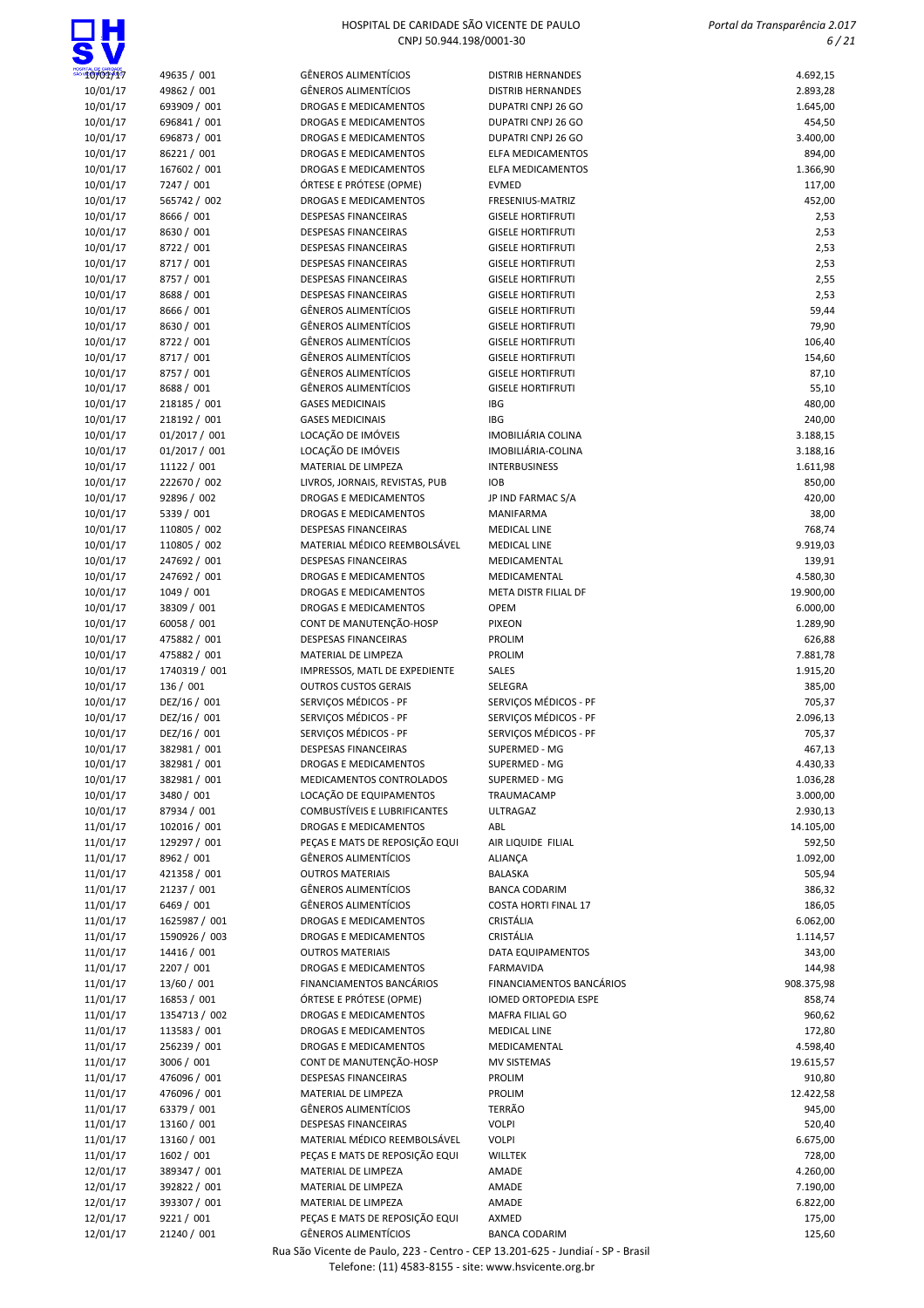

| 10/01/17             | 49635 / 001                | <b>GÊNEROS ALIMENTÍCIOS</b>                                | <b>DISTRIB HERNANDES</b>                             | 4.692,15             |
|----------------------|----------------------------|------------------------------------------------------------|------------------------------------------------------|----------------------|
| 10/01/17             | 49862 / 001                | <b>GÊNEROS ALIMENTÍCIOS</b>                                | <b>DISTRIB HERNANDES</b>                             | 2.893,28             |
| 10/01/17             | 693909 / 001               | DROGAS E MEDICAMENTOS                                      | DUPATRI CNPJ 26 GO                                   | 1.645,00             |
| 10/01/17             | 696841 / 001               | DROGAS E MEDICAMENTOS                                      | DUPATRI CNPJ 26 GO                                   | 454,50               |
| 10/01/17             | 696873 / 001               | DROGAS E MEDICAMENTOS                                      | DUPATRI CNPJ 26 GO                                   | 3.400,00             |
| 10/01/17             | 86221/001                  | DROGAS E MEDICAMENTOS                                      | ELFA MEDICAMENTOS                                    | 894,00               |
| 10/01/17             | 167602 / 001               | DROGAS E MEDICAMENTOS                                      | ELFA MEDICAMENTOS                                    | 1.366,90             |
| 10/01/17             | 7247 / 001                 | ÓRTESE E PRÓTESE (OPME)                                    | <b>EVMED</b>                                         | 117,00               |
| 10/01/17             | 565742 / 002               | DROGAS E MEDICAMENTOS                                      | FRESENIUS-MATRIZ                                     | 452,00               |
| 10/01/17             | 8666 / 001                 | <b>DESPESAS FINANCEIRAS</b>                                | <b>GISELE HORTIFRUTI</b>                             | 2,53                 |
| 10/01/17             | 8630 / 001                 | <b>DESPESAS FINANCEIRAS</b>                                | <b>GISELE HORTIFRUTI</b>                             | 2,53                 |
| 10/01/17             | 8722 / 001                 | <b>DESPESAS FINANCEIRAS</b>                                | <b>GISELE HORTIFRUTI</b>                             | 2,53                 |
| 10/01/17<br>10/01/17 | 8717 / 001<br>8757 / 001   | <b>DESPESAS FINANCEIRAS</b><br><b>DESPESAS FINANCEIRAS</b> | <b>GISELE HORTIFRUTI</b><br><b>GISELE HORTIFRUTI</b> | 2,53<br>2,55         |
| 10/01/17             | 8688 / 001                 | DESPESAS FINANCEIRAS                                       | <b>GISELE HORTIFRUTI</b>                             | 2,53                 |
| 10/01/17             | 8666 / 001                 | <b>GÊNEROS ALIMENTÍCIOS</b>                                | <b>GISELE HORTIFRUTI</b>                             | 59,44                |
| 10/01/17             | 8630 / 001                 | <b>GÊNEROS ALIMENTÍCIOS</b>                                | <b>GISELE HORTIFRUTI</b>                             | 79,90                |
| 10/01/17             | 8722 / 001                 | <b>GÊNEROS ALIMENTÍCIOS</b>                                | <b>GISELE HORTIFRUTI</b>                             | 106,40               |
| 10/01/17             | 8717 / 001                 | <b>GÊNEROS ALIMENTÍCIOS</b>                                | <b>GISELE HORTIFRUTI</b>                             | 154,60               |
| 10/01/17             | 8757 / 001                 | <b>GÊNEROS ALIMENTÍCIOS</b>                                | <b>GISELE HORTIFRUTI</b>                             | 87,10                |
| 10/01/17             | 8688 / 001                 | <b>GÊNEROS ALIMENTÍCIOS</b>                                | <b>GISELE HORTIFRUTI</b>                             | 55,10                |
| 10/01/17             | 218185 / 001               | <b>GASES MEDICINAIS</b>                                    | <b>IBG</b>                                           | 480,00               |
| 10/01/17             | 218192 / 001               | <b>GASES MEDICINAIS</b>                                    | <b>IBG</b>                                           | 240,00               |
| 10/01/17             | 01/2017 / 001              | LOCAÇÃO DE IMÓVEIS                                         | IMOBILIÁRIA COLINA                                   | 3.188,15             |
| 10/01/17             | 01/2017 / 001              | LOCAÇÃO DE IMÓVEIS                                         | IMOBILIÁRIA-COLINA                                   | 3.188,16             |
| 10/01/17             | 11122 / 001                | MATERIAL DE LIMPEZA                                        | <b>INTERBUSINESS</b>                                 | 1.611,98             |
| 10/01/17             | 222670 / 002               | LIVROS, JORNAIS, REVISTAS, PUB                             | <b>IOB</b>                                           | 850,00               |
| 10/01/17             | 92896 / 002                | <b>DROGAS E MEDICAMENTOS</b>                               | JP IND FARMAC S/A                                    | 420,00               |
| 10/01/17             | 5339 / 001                 | <b>DROGAS E MEDICAMENTOS</b>                               | MANIFARMA                                            | 38,00                |
| 10/01/17             | 110805 / 002               | <b>DESPESAS FINANCEIRAS</b>                                | <b>MEDICAL LINE</b>                                  | 768,74               |
| 10/01/17             | 110805 / 002               | MATERIAL MÉDICO REEMBOLSÁVEL                               | <b>MEDICAL LINE</b>                                  | 9.919,03             |
| 10/01/17             | 247692 / 001               | <b>DESPESAS FINANCEIRAS</b>                                | MEDICAMENTAL                                         | 139,91               |
| 10/01/17             | 247692 / 001               | DROGAS E MEDICAMENTOS                                      | MEDICAMENTAL                                         | 4.580,30             |
| 10/01/17             | 1049 / 001                 | DROGAS E MEDICAMENTOS                                      | META DISTR FILIAL DF                                 | 19.900,00            |
| 10/01/17             | 38309 / 001<br>60058 / 001 | DROGAS E MEDICAMENTOS<br>CONT DE MANUTENÇÃO-HOSP           | OPEM<br><b>PIXEON</b>                                | 6.000,00             |
| 10/01/17<br>10/01/17 | 475882 / 001               | DESPESAS FINANCEIRAS                                       | <b>PROLIM</b>                                        | 1.289,90<br>626,88   |
| 10/01/17             | 475882 / 001               | MATERIAL DE LIMPEZA                                        | <b>PROLIM</b>                                        | 7.881,78             |
| 10/01/17             | 1740319 / 001              | IMPRESSOS, MATL DE EXPEDIENTE                              | SALES                                                | 1.915,20             |
| 10/01/17             | 136 / 001                  | <b>OUTROS CUSTOS GERAIS</b>                                | SELEGRA                                              | 385,00               |
| 10/01/17             | DEZ/16 / 001               | SERVIÇOS MÉDICOS - PF                                      | SERVICOS MÉDICOS - PF                                | 705,37               |
| 10/01/17             | DEZ/16 / 001               | SERVIÇOS MÉDICOS - PF                                      | SERVICOS MÉDICOS - PF                                | 2.096,13             |
| 10/01/17             | DEZ/16 / 001               | SERVIÇOS MÉDICOS - PF                                      | SERVIÇOS MÉDICOS - PF                                | 705,37               |
| 10/01/17             | 382981 / 001               | <b>DESPESAS FINANCEIRAS</b>                                | SUPERMED - MG                                        | 467,13               |
| 10/01/17             | 382981 / 001               | DROGAS E MEDICAMENTOS                                      | SUPERMED - MG                                        | 4.430,33             |
| 10/01/17             | 382981 / 001               | MEDICAMENTOS CONTROLADOS                                   | SUPERMED - MG                                        | 1.036,28             |
| 10/01/17             | 3480 / 001                 | LOCAÇÃO DE EQUIPAMENTOS                                    | TRAUMACAMP                                           | 3.000,00             |
| 10/01/17             | 87934 / 001                | COMBUSTÍVEIS E LUBRIFICANTES                               | <b>ULTRAGAZ</b>                                      | 2.930,13             |
| 11/01/17             | 102016 / 001               | DROGAS E MEDICAMENTOS                                      | ABL                                                  | 14.105,00            |
| 11/01/17             | 129297 / 001               | PEÇAS E MATS DE REPOSIÇÃO EQUI                             | AIR LIQUIDE FILIAL                                   | 592,50               |
| 11/01/17             | 8962 / 001                 | <b>GÊNEROS ALIMENTÍCIOS</b>                                | ALIANÇA                                              | 1.092,00             |
| 11/01/17             | 421358 / 001               | <b>OUTROS MATERIAIS</b>                                    | BALASKA                                              | 505,94               |
| 11/01/17             | 21237 / 001                | <b>GÊNEROS ALIMENTÍCIOS</b>                                | <b>BANCA CODARIM</b>                                 | 386,32               |
| 11/01/17             | 6469 / 001                 | <b>GÊNEROS ALIMENTÍCIOS</b>                                | <b>COSTA HORTI FINAL 17</b>                          | 186,05               |
| 11/01/17             | 1625987 / 001              | DROGAS E MEDICAMENTOS                                      | <b>CRISTÁLIA</b>                                     | 6.062,00             |
| 11/01/17             | 1590926 / 003              | DROGAS E MEDICAMENTOS                                      | CRISTÁLIA                                            | 1.114,57             |
| 11/01/17             | 14416 / 001                | <b>OUTROS MATERIAIS</b>                                    | DATA EQUIPAMENTOS                                    | 343,00               |
| 11/01/17             | 2207 / 001                 | DROGAS E MEDICAMENTOS                                      | <b>FARMAVIDA</b>                                     | 144,98               |
| 11/01/17<br>11/01/17 | 13/60 / 001<br>16853 / 001 | FINANCIAMENTOS BANCÁRIOS<br>ÓRTESE E PRÓTESE (OPME)        | FINANCIAMENTOS BANCÁRIOS<br>IOMED ORTOPEDIA ESPE     | 908.375,98<br>858,74 |
| 11/01/17             | 1354713 / 002              | DROGAS E MEDICAMENTOS                                      | MAFRA FILIAL GO                                      | 960,62               |
| 11/01/17             | 113583 / 001               | DROGAS E MEDICAMENTOS                                      | <b>MEDICAL LINE</b>                                  | 172,80               |
| 11/01/17             | 256239 / 001               | DROGAS E MEDICAMENTOS                                      | MEDICAMENTAL                                         | 4.598,40             |
| 11/01/17             | 3006 / 001                 | CONT DE MANUTENÇÃO-HOSP                                    | <b>MV SISTEMAS</b>                                   | 19.615,57            |
| 11/01/17             | 476096 / 001               | <b>DESPESAS FINANCEIRAS</b>                                | PROLIM                                               | 910,80               |
| 11/01/17             | 476096 / 001               | MATERIAL DE LIMPEZA                                        | PROLIM                                               | 12.422,58            |
| 11/01/17             | 63379 / 001                | <b>GÊNEROS ALIMENTÍCIOS</b>                                | <b>TERRÃO</b>                                        | 945,00               |
| 11/01/17             | 13160 / 001                | <b>DESPESAS FINANCEIRAS</b>                                | <b>VOLPI</b>                                         | 520,40               |
| 11/01/17             | 13160 / 001                | MATERIAL MÉDICO REEMBOLSÁVEL                               | <b>VOLPI</b>                                         | 6.675,00             |
| 11/01/17             | 1602 / 001                 | PEÇAS E MATS DE REPOSIÇÃO EQUI                             | <b>WILLTEK</b>                                       | 728,00               |
| 12/01/17             | 389347 / 001               | MATERIAL DE LIMPEZA                                        | AMADE                                                | 4.260,00             |
| 12/01/17             | 392822 / 001               | MATERIAL DE LIMPEZA                                        | AMADE                                                | 7.190,00             |
| 12/01/17             | 393307 / 001               | MATERIAL DE LIMPEZA                                        | AMADE                                                | 6.822,00             |
| 12/01/17             | 9221 / 001                 | PEÇAS E MATS DE REPOSIÇÃO EQUI                             | AXMED                                                | 175,00               |
| 12/01/17             | 21240 / 001                | GÊNEROS ALIMENTÍCIOS                                       | <b>BANCA CODARIM</b>                                 | 125,60               |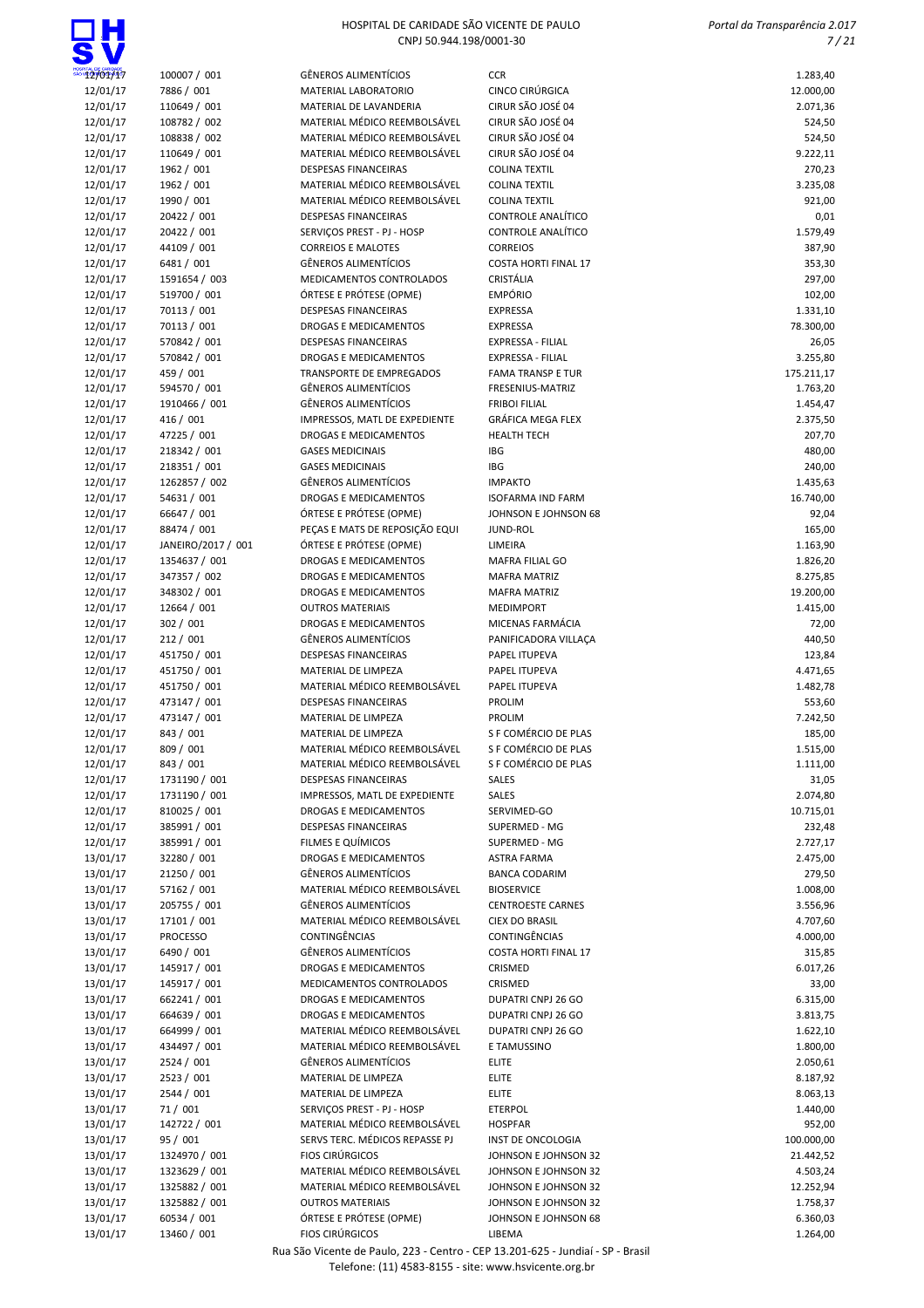ПН

| <b>T2/01/17</b>      | 100007 / 001                 | <b>GÊNEROS ALIMENTÍCIOS</b>                                 | <b>CCR</b>                                      | 1.283,40             |
|----------------------|------------------------------|-------------------------------------------------------------|-------------------------------------------------|----------------------|
| 12/01/17             | 7886 / 001                   | <b>MATERIAL LABORATORIO</b>                                 | CINCO CIRÚRGICA                                 | 12.000,00            |
| 12/01/17             | 110649 / 001                 | MATERIAL DE LAVANDERIA                                      | CIRUR SÃO JOSÉ 04                               | 2.071,36             |
| 12/01/17             | 108782 / 002                 | MATERIAL MÉDICO REEMBOLSÁVEL                                | CIRUR SÃO JOSÉ 04                               | 524,50               |
| 12/01/17             | 108838 / 002                 | MATERIAL MÉDICO REEMBOLSÁVEL                                | CIRUR SÃO JOSÉ 04                               | 524,50               |
| 12/01/17             | 110649 / 001                 | MATERIAL MÉDICO REEMBOLSÁVEL                                | CIRUR SÃO JOSÉ 04                               | 9.222,11             |
| 12/01/17             | 1962 / 001                   | <b>DESPESAS FINANCEIRAS</b>                                 | <b>COLINA TEXTIL</b>                            | 270,23               |
| 12/01/17             | 1962 / 001                   | MATERIAL MÉDICO REEMBOLSÁVEL                                | <b>COLINA TEXTIL</b>                            | 3.235,08             |
| 12/01/17             | 1990 / 001                   | MATERIAL MÉDICO REEMBOLSÁVEL<br><b>DESPESAS FINANCEIRAS</b> | <b>COLINA TEXTIL</b>                            | 921,00               |
| 12/01/17<br>12/01/17 | 20422 / 001<br>20422 / 001   | SERVIÇOS PREST - PJ - HOSP                                  | <b>CONTROLE ANALÍTICO</b><br>CONTROLE ANALÍTICO | 0,01<br>1.579,49     |
| 12/01/17             | 44109 / 001                  | <b>CORREIOS E MALOTES</b>                                   | <b>CORREIOS</b>                                 | 387,90               |
| 12/01/17             | 6481 / 001                   | <b>GÊNEROS ALIMENTÍCIOS</b>                                 | <b>COSTA HORTI FINAL 17</b>                     | 353,30               |
| 12/01/17             | 1591654 / 003                | MEDICAMENTOS CONTROLADOS                                    | <b>CRISTÁLIA</b>                                | 297,00               |
| 12/01/17             | 519700 / 001                 | ÓRTESE E PRÓTESE (OPME)                                     | <b>EMPÓRIO</b>                                  | 102,00               |
| 12/01/17             | 70113 / 001                  | DESPESAS FINANCEIRAS                                        | <b>EXPRESSA</b>                                 | 1.331,10             |
| 12/01/17             | 70113 / 001                  | <b>DROGAS E MEDICAMENTOS</b>                                | <b>EXPRESSA</b>                                 | 78.300,00            |
| 12/01/17             | 570842 / 001                 | <b>DESPESAS FINANCEIRAS</b>                                 | EXPRESSA - FILIAL                               | 26,05                |
| 12/01/17             | 570842 / 001                 | DROGAS E MEDICAMENTOS                                       | EXPRESSA - FILIAL                               | 3.255,80             |
| 12/01/17             | 459 / 001                    | <b>TRANSPORTE DE EMPREGADOS</b>                             | <b>FAMA TRANSP E TUR</b>                        | 175.211,17           |
| 12/01/17             | 594570 / 001                 | <b>GÊNEROS ALIMENTÍCIOS</b>                                 | FRESENIUS-MATRIZ                                | 1.763,20             |
| 12/01/17             | 1910466 / 001                | <b>GÊNEROS ALIMENTÍCIOS</b>                                 | <b>FRIBOI FILIAL</b>                            | 1.454,47             |
| 12/01/17             | 416 / 001                    | IMPRESSOS, MATL DE EXPEDIENTE                               | GRÁFICA MEGA FLEX                               | 2.375,50             |
| 12/01/17             | 47225 / 001                  | <b>DROGAS E MEDICAMENTOS</b>                                | <b>HEALTH TECH</b>                              | 207,70               |
| 12/01/17<br>12/01/17 | 218342 / 001<br>218351 / 001 | <b>GASES MEDICINAIS</b><br><b>GASES MEDICINAIS</b>          | IBG<br>IBG                                      | 480,00<br>240,00     |
| 12/01/17             | 1262857 / 002                | <b>GÊNEROS ALIMENTÍCIOS</b>                                 | <b>IMPAKTO</b>                                  | 1.435,63             |
| 12/01/17             | 54631 / 001                  | <b>DROGAS E MEDICAMENTOS</b>                                | <b>ISOFARMA IND FARM</b>                        | 16.740,00            |
| 12/01/17             | 66647 / 001                  | ÓRTESE E PRÓTESE (OPME)                                     | JOHNSON E JOHNSON 68                            | 92,04                |
| 12/01/17             | 88474 / 001                  | PEÇAS E MATS DE REPOSIÇÃO EQUI                              | <b>JUND-ROL</b>                                 | 165,00               |
| 12/01/17             | JANEIRO/2017 / 001           | ÓRTESE E PRÓTESE (OPME)                                     | LIMEIRA                                         | 1.163,90             |
| 12/01/17             | 1354637 / 001                | <b>DROGAS E MEDICAMENTOS</b>                                | MAFRA FILIAL GO                                 | 1.826,20             |
| 12/01/17             | 347357 / 002                 | DROGAS E MEDICAMENTOS                                       | <b>MAFRA MATRIZ</b>                             | 8.275,85             |
| 12/01/17             | 348302 / 001                 | DROGAS E MEDICAMENTOS                                       | <b>MAFRA MATRIZ</b>                             | 19.200,00            |
| 12/01/17             | 12664 / 001                  | <b>OUTROS MATERIAIS</b>                                     | <b>MEDIMPORT</b>                                | 1.415,00             |
| 12/01/17             | 302 / 001                    | <b>DROGAS E MEDICAMENTOS</b>                                | MICENAS FARMÁCIA                                | 72,00                |
| 12/01/17             | 212/001                      | <b>GÊNEROS ALIMENTÍCIOS</b>                                 | PANIFICADORA VILLAÇA                            | 440,50               |
| 12/01/17             | 451750 / 001                 | <b>DESPESAS FINANCEIRAS</b>                                 | PAPEL ITUPEVA                                   | 123,84               |
| 12/01/17<br>12/01/17 | 451750 / 001<br>451750 / 001 | MATERIAL DE LIMPEZA<br>MATERIAL MÉDICO REEMBOLSÁVEL         | PAPEL ITUPEVA<br>PAPEL ITUPEVA                  | 4.471,65<br>1.482,78 |
| 12/01/17             | 473147 / 001                 | <b>DESPESAS FINANCEIRAS</b>                                 | <b>PROLIM</b>                                   | 553,60               |
| 12/01/17             | 473147 / 001                 | MATERIAL DE LIMPEZA                                         | <b>PROLIM</b>                                   | 7.242,50             |
| 12/01/17             | 843 / 001                    | MATERIAL DE LIMPEZA                                         | S F COMÉRCIO DE PLAS                            | 185,00               |
| 12/01/17             | 809 / 001                    | MATERIAL MÉDICO REEMBOLSÁVEL                                | S F COMÉRCIO DE PLAS                            | 1.515,00             |
| 12/01/17             | 843 / 001                    | MATERIAL MÉDICO REEMBOLSÁVEL                                | S F COMÉRCIO DE PLAS                            | 1.111,00             |
| 12/01/17             | 1731190 / 001                | DESPESAS FINANCEIRAS                                        | <b>SALES</b>                                    | 31,05                |
| 12/01/17             | 1731190 / 001                | IMPRESSOS, MATL DE EXPEDIENTE                               | SALES                                           | 2.074,80             |
| 12/01/17             | 810025 / 001                 | DROGAS E MEDICAMENTOS                                       | SERVIMED-GO                                     | 10.715,01            |
| 12/01/17             | 385991 / 001                 | <b>DESPESAS FINANCEIRAS</b>                                 | SUPERMED - MG                                   | 232,48               |
| 12/01/17             | 385991 / 001                 | FILMES E QUÍMICOS                                           | SUPERMED - MG                                   | 2.727,17             |
| 13/01/17             | 32280 / 001                  | DROGAS E MEDICAMENTOS                                       | <b>ASTRA FARMA</b>                              | 2.475,00             |
| 13/01/17             | 21250 / 001                  | <b>GÊNEROS ALIMENTÍCIOS</b><br>MATERIAL MÉDICO REEMBOLSÁVEL | <b>BANCA CODARIM</b>                            | 279,50               |
| 13/01/17<br>13/01/17 | 57162 / 001<br>205755 / 001  | <b>GÊNEROS ALIMENTÍCIOS</b>                                 | <b>BIOSERVICE</b><br><b>CENTROESTE CARNES</b>   | 1.008,00<br>3.556,96 |
| 13/01/17             | 17101 / 001                  | MATERIAL MÉDICO REEMBOLSÁVEL                                | <b>CIEX DO BRASIL</b>                           | 4.707,60             |
| 13/01/17             | PROCESSO                     | CONTINGÊNCIAS                                               | CONTINGENCIAS                                   | 4.000,00             |
| 13/01/17             | 6490 / 001                   | <b>GÊNEROS ALIMENTÍCIOS</b>                                 | <b>COSTA HORTI FINAL 17</b>                     | 315,85               |
| 13/01/17             | 145917 / 001                 | <b>DROGAS E MEDICAMENTOS</b>                                | CRISMED                                         | 6.017,26             |
| 13/01/17             | 145917 / 001                 | MEDICAMENTOS CONTROLADOS                                    | CRISMED                                         | 33,00                |
| 13/01/17             | 662241 / 001                 | DROGAS E MEDICAMENTOS                                       | DUPATRI CNPJ 26 GO                              | 6.315,00             |
| 13/01/17             | 664639 / 001                 | DROGAS E MEDICAMENTOS                                       | DUPATRI CNPJ 26 GO                              | 3.813,75             |
| 13/01/17             | 664999 / 001                 | MATERIAL MÉDICO REEMBOLSÁVEL                                | DUPATRI CNPJ 26 GO                              | 1.622,10             |
| 13/01/17             | 434497 / 001                 | MATERIAL MÉDICO REEMBOLSÁVEL                                | E TAMUSSINO                                     | 1.800,00             |
| 13/01/17             | 2524 / 001                   | <b>GÊNEROS ALIMENTÍCIOS</b>                                 | <b>ELITE</b>                                    | 2.050,61             |
| 13/01/17             | 2523 / 001                   | MATERIAL DE LIMPEZA                                         | <b>ELITE</b>                                    | 8.187,92             |
| 13/01/17             | 2544 / 001                   | MATERIAL DE LIMPEZA                                         | <b>ELITE</b>                                    | 8.063,13             |
| 13/01/17             | 71/001                       | SERVIÇOS PREST - PJ - HOSP<br>MATERIAL MÉDICO REEMBOLSÁVEL  | <b>ETERPOL</b>                                  | 1.440,00             |
| 13/01/17<br>13/01/17 | 142722 / 001<br>95 / 001     | SERVS TERC. MÉDICOS REPASSE PJ                              | <b>HOSPFAR</b><br>INST DE ONCOLOGIA             | 952,00<br>100.000,00 |
| 13/01/17             | 1324970 / 001                | <b>FIOS CIRÚRGICOS</b>                                      | JOHNSON E JOHNSON 32                            | 21.442,52            |
| 13/01/17             | 1323629 / 001                | MATERIAL MÉDICO REEMBOLSÁVEL                                | JOHNSON E JOHNSON 32                            | 4.503,24             |
| 13/01/17             | 1325882 / 001                | MATERIAL MÉDICO REEMBOLSÁVEL                                | JOHNSON E JOHNSON 32                            | 12.252,94            |
| 13/01/17             | 1325882 / 001                | <b>OUTROS MATERIAIS</b>                                     | JOHNSON E JOHNSON 32                            | 1.758,37             |
| 13/01/17             | 60534 / 001                  | ÓRTESE E PRÓTESE (OPME)                                     | JOHNSON E JOHNSON 68                            | 6.360,03             |
| 13/01/17             | 13460 / 001                  | <b>FIOS CIRÚRGICOS</b>                                      | LIBEMA                                          | 1.264,00             |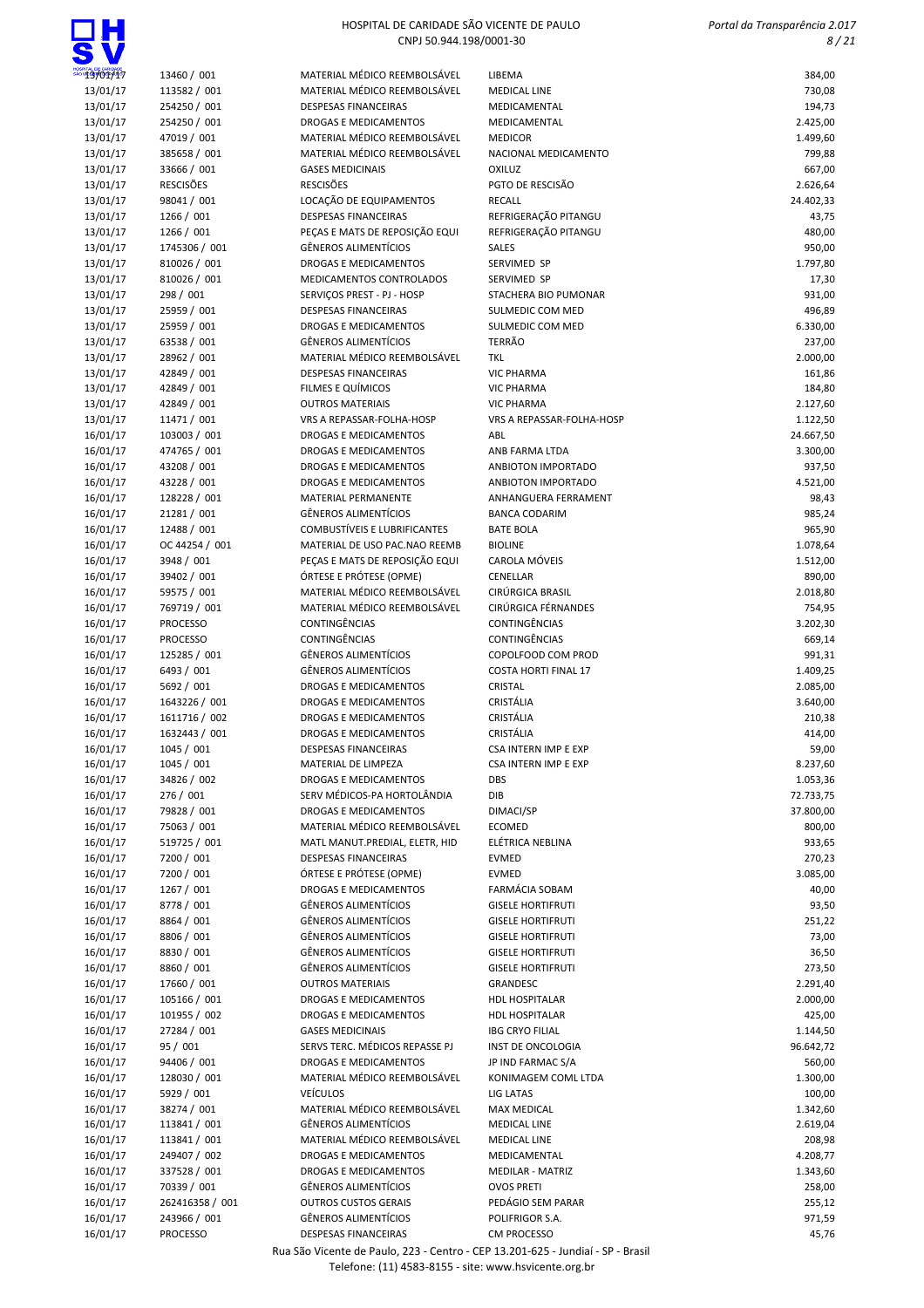## $\Box H$

### HOSPITAL DE CARIDADE SÃO VICENTE DE PAULO CNPJ 50.944.198/0001-30

 Portal da Transparência 2.017 8 / 21

| '13/01/17 | 13460 / 001      | MATERIAL MÉDICO REEMBOLSÁVEL        | LIBEMA                           | 384,00    |
|-----------|------------------|-------------------------------------|----------------------------------|-----------|
| 13/01/17  | 113582 / 001     | MATERIAL MÉDICO REEMBOLSÁVEL        | <b>MEDICAL LINE</b>              | 730,08    |
| 13/01/17  | 254250 / 001     | <b>DESPESAS FINANCEIRAS</b>         | MEDICAMENTAL                     | 194,73    |
| 13/01/17  | 254250 / 001     | <b>DROGAS E MEDICAMENTOS</b>        | MEDICAMENTAL                     | 2.425,00  |
| 13/01/17  | 47019 / 001      | MATERIAL MÉDICO REEMBOLSÁVEL        | <b>MEDICOR</b>                   | 1.499,60  |
| 13/01/17  | 385658 / 001     | MATERIAL MÉDICO REEMBOLSÁVEL        | NACIONAL MEDICAMENTO             | 799,88    |
| 13/01/17  | 33666 / 001      | <b>GASES MEDICINAIS</b>             | <b>OXILUZ</b>                    | 667,00    |
| 13/01/17  | <b>RESCISÕES</b> | <b>RESCISÕES</b>                    | PGTO DE RESCISÃO                 | 2.626,64  |
| 13/01/17  | 98041 / 001      | LOCAÇÃO DE EQUIPAMENTOS             | <b>RECALL</b>                    | 24.402,33 |
| 13/01/17  | 1266 / 001       | <b>DESPESAS FINANCEIRAS</b>         | REFRIGERAÇÃO PITANGU             | 43,75     |
| 13/01/17  | 1266 / 001       | PECAS E MATS DE REPOSIÇÃO EQUI      | REFRIGERAÇÃO PITANGU             | 480,00    |
| 13/01/17  | 1745306 / 001    | <b>GÊNEROS ALIMENTÍCIOS</b>         | SALES                            | 950,00    |
| 13/01/17  | 810026 / 001     | <b>DROGAS E MEDICAMENTOS</b>        | SERVIMED SP                      | 1.797,80  |
| 13/01/17  | 810026 / 001     | MEDICAMENTOS CONTROLADOS            | SERVIMED SP                      | 17,30     |
| 13/01/17  | 298 / 001        | SERVIÇOS PREST - PJ - HOSP          | STACHERA BIO PUMONAR             | 931,00    |
| 13/01/17  | 25959 / 001      | <b>DESPESAS FINANCEIRAS</b>         | SULMEDIC COM MED                 | 496,89    |
| 13/01/17  | 25959 / 001      | <b>DROGAS E MEDICAMENTOS</b>        | SULMEDIC COM MED                 | 6.330,00  |
| 13/01/17  | 63538 / 001      | <b>GÊNEROS ALIMENTÍCIOS</b>         | <b>TERRÃO</b>                    | 237,00    |
| 13/01/17  | 28962 / 001      | MATERIAL MÉDICO REEMBOLSÁVEL        | <b>TKL</b>                       | 2.000,00  |
| 13/01/17  | 42849 / 001      | <b>DESPESAS FINANCEIRAS</b>         | <b>VIC PHARMA</b>                | 161,86    |
| 13/01/17  | 42849 / 001      | FILMES E QUÍMICOS                   | <b>VIC PHARMA</b>                | 184,80    |
| 13/01/17  | 42849 / 001      | <b>OUTROS MATERIAIS</b>             | <b>VIC PHARMA</b>                | 2.127,60  |
| 13/01/17  | 11471 / 001      | VRS A REPASSAR-FOLHA-HOSP           | <b>VRS A REPASSAR-FOLHA-HOSP</b> | 1.122,50  |
| 16/01/17  | 103003 / 001     | DROGAS E MEDICAMENTOS               | ABL                              | 24.667,50 |
| 16/01/17  | 474765 / 001     | DROGAS E MEDICAMENTOS               | ANB FARMA LTDA                   | 3.300,00  |
|           | 43208 / 001      | DROGAS E MEDICAMENTOS               | ANBIOTON IMPORTADO               |           |
| 16/01/17  |                  | <b>DROGAS E MEDICAMENTOS</b>        |                                  | 937,50    |
| 16/01/17  | 43228 / 001      |                                     | ANBIOTON IMPORTADO               | 4.521,00  |
| 16/01/17  | 128228 / 001     | <b>MATERIAL PERMANENTE</b>          | ANHANGUERA FERRAMENT             | 98,43     |
| 16/01/17  | 21281 / 001      | <b>GÊNEROS ALIMENTÍCIOS</b>         | <b>BANCA CODARIM</b>             | 985,24    |
| 16/01/17  | 12488 / 001      | <b>COMBUSTÍVEIS E LUBRIFICANTES</b> | <b>BATE BOLA</b>                 | 965,90    |
| 16/01/17  | OC 44254 / 001   | MATERIAL DE USO PAC.NAO REEMB       | <b>BIOLINE</b>                   | 1.078,64  |
| 16/01/17  | 3948 / 001       | PEÇAS E MATS DE REPOSIÇÃO EQUI      | CAROLA MÓVEIS                    | 1.512,00  |
| 16/01/17  | 39402 / 001      | ÓRTESE E PRÓTESE (OPME)             | CENELLAR                         | 890,00    |
| 16/01/17  | 59575 / 001      | MATERIAL MÉDICO REEMBOLSÁVEL        | CIRÚRGICA BRASIL                 | 2.018,80  |
| 16/01/17  | 769719 / 001     | MATERIAL MÉDICO REEMBOLSÁVEL        | CIRÚRGICA FÉRNANDES              | 754,95    |
| 16/01/17  | <b>PROCESSO</b>  | CONTINGÊNCIAS                       | CONTINGÊNCIAS                    | 3.202,30  |
| 16/01/17  | <b>PROCESSO</b>  | CONTINGÊNCIAS                       | CONTINGÊNCIAS                    | 669,14    |
| 16/01/17  | 125285 / 001     | <b>GÊNEROS ALIMENTÍCIOS</b>         | COPOLFOOD COM PROD               | 991,31    |
| 16/01/17  | 6493 / 001       | <b>GÊNEROS ALIMENTÍCIOS</b>         | <b>COSTA HORTI FINAL 17</b>      | 1.409,25  |
| 16/01/17  | 5692 / 001       | DROGAS E MEDICAMENTOS               | CRISTAL                          | 2.085,00  |
| 16/01/17  | 1643226 / 001    | <b>DROGAS E MEDICAMENTOS</b>        | CRISTÁLIA                        | 3.640,00  |
| 16/01/17  | 1611716 / 002    | <b>DROGAS E MEDICAMENTOS</b>        | CRISTÁLIA                        | 210,38    |
| 16/01/17  | 1632443 / 001    | <b>DROGAS E MEDICAMENTOS</b>        | CRISTÁLIA                        | 414,00    |
| 16/01/17  | 1045 / 001       | <b>DESPESAS FINANCEIRAS</b>         | CSA INTERN IMP E EXP             | 59,00     |
| 16/01/17  | 1045 / 001       | MATERIAL DE LIMPEZA                 | CSA INTERN IMP E EXP             | 8.237,60  |
| 16/01/17  | 34826 / 002      | DROGAS E MEDICAMENTOS               | <b>DBS</b>                       | 1.053,36  |
| 16/01/17  | 276 / 001        | SERV MÉDICOS-PA HORTOLÂNDIA         | DIB                              | 72.733,75 |
| 16/01/17  | 79828 / 001      | <b>DROGAS E MEDICAMENTOS</b>        | DIMACI/SP                        | 37.800,00 |
| 16/01/17  | 75063 / 001      | MATERIAL MÉDICO REEMBOLSÁVEL        | <b>ECOMED</b>                    | 800,00    |
| 16/01/17  | 519725 / 001     | MATL MANUT.PREDIAL, ELETR, HID      | ELÉTRICA NEBLINA                 | 933,65    |
| 16/01/17  | 7200 / 001       | <b>DESPESAS FINANCEIRAS</b>         | <b>EVMED</b>                     | 270,23    |
| 16/01/17  | 7200 / 001       | ÓRTESE E PRÓTESE (OPME)             | <b>EVMED</b>                     | 3.085,00  |
| 16/01/17  | 1267 / 001       | DROGAS E MEDICAMENTOS               | FARMÁCIA SOBAM                   | 40,00     |
| 16/01/17  | 8778 / 001       | <b>GÊNEROS ALIMENTÍCIOS</b>         | <b>GISELE HORTIFRUTI</b>         | 93,50     |
| 16/01/17  | 8864 / 001       | <b>GÊNEROS ALIMENTÍCIOS</b>         | <b>GISELE HORTIFRUTI</b>         | 251,22    |
| 16/01/17  | 8806 / 001       | <b>GÊNEROS ALIMENTÍCIOS</b>         | <b>GISELE HORTIFRUTI</b>         | 73,00     |
| 16/01/17  | 8830 / 001       | GÊNEROS ALIMENTÍCIOS                | <b>GISELE HORTIFRUTI</b>         | 36,50     |
| 16/01/17  | 8860 / 001       | <b>GÊNEROS ALIMENTÍCIOS</b>         | <b>GISELE HORTIFRUTI</b>         | 273,50    |
| 16/01/17  | 17660 / 001      | <b>OUTROS MATERIAIS</b>             | <b>GRANDESC</b>                  | 2.291,40  |
| 16/01/17  | 105166 / 001     | DROGAS E MEDICAMENTOS               | <b>HDL HOSPITALAR</b>            | 2.000,00  |
| 16/01/17  | 101955 / 002     | DROGAS E MEDICAMENTOS               | <b>HDL HOSPITALAR</b>            | 425,00    |
| 16/01/17  | 27284 / 001      | <b>GASES MEDICINAIS</b>             | <b>IBG CRYO FILIAL</b>           | 1.144,50  |
| 16/01/17  | 95 / 001         | SERVS TERC. MÉDICOS REPASSE PJ      | INST DE ONCOLOGIA                | 96.642,72 |
| 16/01/17  | 94406 / 001      | DROGAS E MEDICAMENTOS               | JP IND FARMAC S/A                | 560,00    |
| 16/01/17  | 128030 / 001     | MATERIAL MÉDICO REEMBOLSÁVEL        | KONIMAGEM COML LTDA              | 1.300,00  |
| 16/01/17  | 5929 / 001       | <b>VEÍCULOS</b>                     | LIG LATAS                        | 100,00    |
| 16/01/17  | 38274 / 001      | MATERIAL MÉDICO REEMBOLSÁVEL        | <b>MAX MEDICAL</b>               | 1.342,60  |
| 16/01/17  | 113841 / 001     | GÊNEROS ALIMENTÍCIOS                | <b>MEDICAL LINE</b>              | 2.619,04  |
| 16/01/17  | 113841 / 001     | MATERIAL MÉDICO REEMBOLSÁVEL        | <b>MEDICAL LINE</b>              | 208,98    |
| 16/01/17  | 249407 / 002     | <b>DROGAS E MEDICAMENTOS</b>        | MEDICAMENTAL                     | 4.208,77  |
| 16/01/17  | 337528 / 001     | DROGAS E MEDICAMENTOS               | <b>MEDILAR - MATRIZ</b>          | 1.343,60  |
| 16/01/17  | 70339 / 001      | <b>GÊNEROS ALIMENTÍCIOS</b>         | <b>OVOS PRETI</b>                | 258,00    |
| 16/01/17  | 262416358 / 001  | <b>OUTROS CUSTOS GERAIS</b>         | PEDÁGIO SEM PARAR                | 255,12    |
| 16/01/17  | 243966 / 001     | GÊNEROS ALIMENTÍCIOS                | POLIFRIGOR S.A.                  | 971,59    |
| 16/01/17  | PROCESSO         | <b>DESPESAS FINANCEIRAS</b>         | CM PROCESSO                      | 45,76     |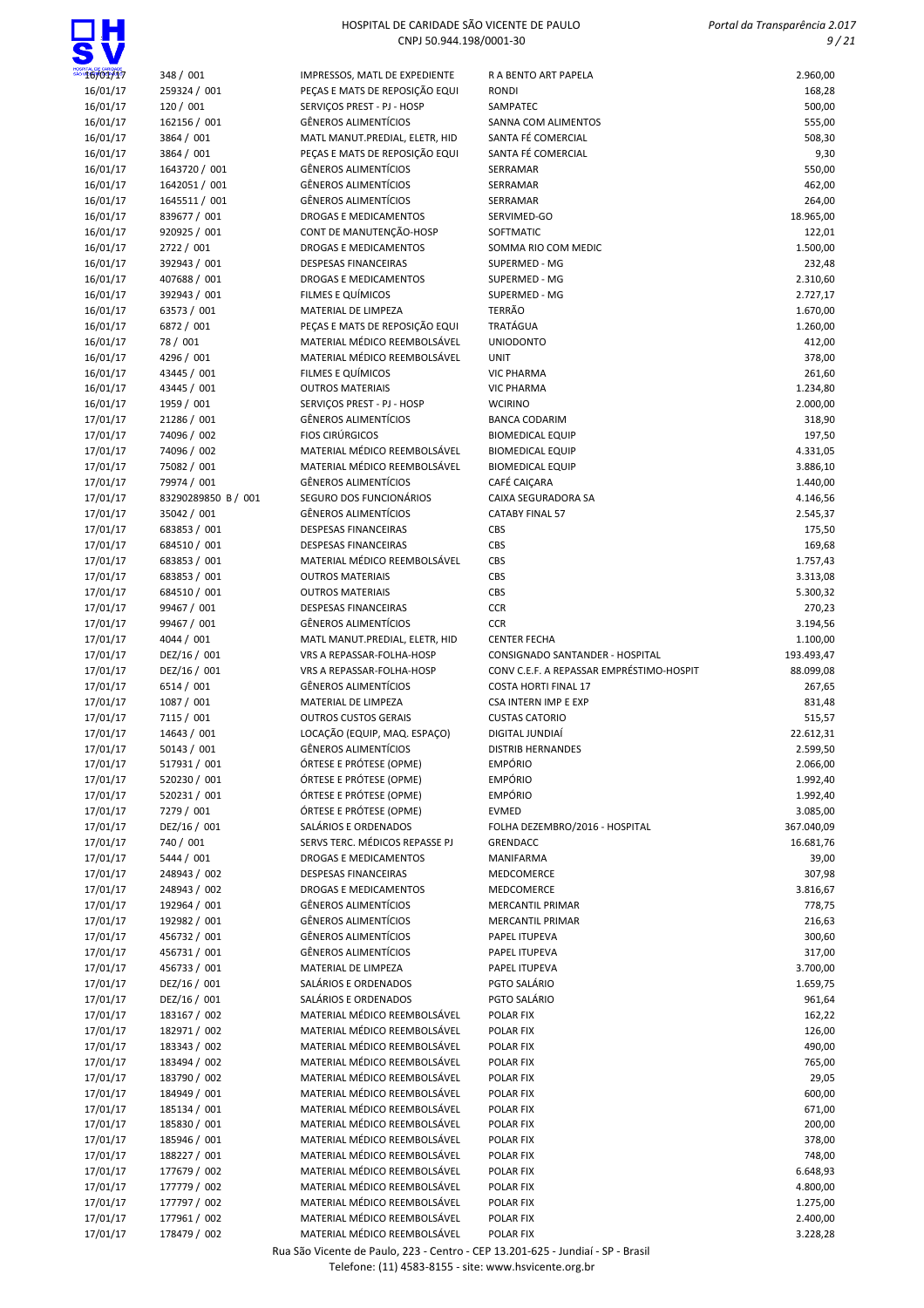# ПН

### HOSPITAL DE CARIDADE SÃO VICENTE DE PAULO CNPJ 50.944.198/0001-30

 Portal da Transparência 2.017 9 / 21

| 16/01/17             | 348 / 001                    | IMPRESSOS, MATL DE EXPEDIENTE                                | R A BENTO ART PAPELA                     | 2.960,00             |
|----------------------|------------------------------|--------------------------------------------------------------|------------------------------------------|----------------------|
| 16/01/17             | 259324 / 001                 | PEÇAS E MATS DE REPOSIÇÃO EQUI                               | <b>RONDI</b>                             | 168,28               |
|                      |                              |                                                              |                                          |                      |
| 16/01/17             | 120 / 001                    | SERVIÇOS PREST - PJ - HOSP                                   | SAMPATEC                                 | 500,00               |
| 16/01/17             | 162156 / 001                 | <b>GÊNEROS ALIMENTÍCIOS</b>                                  | SANNA COM ALIMENTOS                      | 555,00               |
| 16/01/17             | 3864 / 001                   | MATL MANUT.PREDIAL, ELETR, HID                               | SANTA FÉ COMERCIAL                       | 508,30               |
|                      |                              |                                                              |                                          |                      |
| 16/01/17             | 3864 / 001                   | PEÇAS E MATS DE REPOSIÇÃO EQUI                               | SANTA FÉ COMERCIAL                       | 9,30                 |
| 16/01/17             | 1643720 / 001                | GÊNEROS ALIMENTÍCIOS                                         | SERRAMAR                                 | 550,00               |
|                      |                              |                                                              |                                          |                      |
| 16/01/17             | 1642051 / 001                | GÊNEROS ALIMENTÍCIOS                                         | SERRAMAR                                 | 462,00               |
| 16/01/17             | 1645511 / 001                | <b>GÊNEROS ALIMENTÍCIOS</b>                                  | SERRAMAR                                 | 264,00               |
| 16/01/17             | 839677 / 001                 | DROGAS E MEDICAMENTOS                                        | SERVIMED-GO                              | 18.965,00            |
|                      |                              |                                                              |                                          |                      |
| 16/01/17             | 920925 / 001                 | CONT DE MANUTENÇÃO-HOSP                                      | SOFTMATIC                                | 122,01               |
| 16/01/17             | 2722 / 001                   | DROGAS E MEDICAMENTOS                                        | SOMMA RIO COM MEDIC                      | 1.500,00             |
|                      |                              |                                                              |                                          |                      |
| 16/01/17             | 392943 / 001                 | <b>DESPESAS FINANCEIRAS</b>                                  | SUPERMED - MG                            | 232,48               |
| 16/01/17             | 407688 / 001                 | <b>DROGAS E MEDICAMENTOS</b>                                 | SUPERMED - MG                            | 2.310,60             |
| 16/01/17             | 392943 / 001                 | FILMES E QUÍMICOS                                            | SUPERMED - MG                            | 2.727,17             |
|                      |                              |                                                              |                                          |                      |
| 16/01/17             | 63573 / 001                  | MATERIAL DE LIMPEZA                                          | <b>TERRÃO</b>                            | 1.670,00             |
| 16/01/17             | 6872 / 001                   | PEÇAS E MATS DE REPOSIÇÃO EQUI                               | <b>TRATÁGUA</b>                          | 1.260,00             |
|                      |                              |                                                              |                                          |                      |
| 16/01/17             | 78 / 001                     | MATERIAL MÉDICO REEMBOLSÁVEL                                 | <b>UNIODONTO</b>                         | 412,00               |
| 16/01/17             | 4296 / 001                   | MATERIAL MÉDICO REEMBOLSÁVEL                                 | <b>UNIT</b>                              | 378,00               |
| 16/01/17             | 43445 / 001                  | FILMES E QUÍMICOS                                            | <b>VIC PHARMA</b>                        | 261,60               |
|                      |                              |                                                              |                                          |                      |
| 16/01/17             | 43445 / 001                  | <b>OUTROS MATERIAIS</b>                                      | <b>VIC PHARMA</b>                        | 1.234,80             |
| 16/01/17             | 1959 / 001                   | SERVIÇOS PREST - PJ - HOSP                                   | <b>WCIRINO</b>                           | 2.000,00             |
|                      | 21286 / 001                  | <b>GÊNEROS ALIMENTÍCIOS</b>                                  | <b>BANCA CODARIM</b>                     |                      |
| 17/01/17             |                              |                                                              |                                          | 318,90               |
| 17/01/17             | 74096 / 002                  | <b>FIOS CIRÚRGICOS</b>                                       | <b>BIOMEDICAL EQUIP</b>                  | 197,50               |
| 17/01/17             | 74096 / 002                  | MATERIAL MÉDICO REEMBOLSÁVEL                                 | <b>BIOMEDICAL EQUIP</b>                  | 4.331,05             |
|                      |                              |                                                              |                                          |                      |
| 17/01/17             | 75082 / 001                  | MATERIAL MÉDICO REEMBOLSÁVEL                                 | <b>BIOMEDICAL EQUIP</b>                  | 3.886,10             |
| 17/01/17             | 79974 / 001                  | <b>GÊNEROS ALIMENTÍCIOS</b>                                  | CAFÉ CAIÇARA                             | 1.440,00             |
|                      |                              |                                                              |                                          |                      |
| 17/01/17             | 83290289850 B / 001          | SEGURO DOS FUNCIONÁRIOS                                      | CAIXA SEGURADORA SA                      | 4.146,56             |
| 17/01/17             | 35042 / 001                  | <b>GÊNEROS ALIMENTÍCIOS</b>                                  | <b>CATABY FINAL 57</b>                   | 2.545,37             |
| 17/01/17             | 683853 / 001                 | <b>DESPESAS FINANCEIRAS</b>                                  | CBS                                      | 175,50               |
|                      |                              |                                                              |                                          |                      |
| 17/01/17             | 684510 / 001                 | <b>DESPESAS FINANCEIRAS</b>                                  | CBS                                      | 169,68               |
| 17/01/17             | 683853 / 001                 | MATERIAL MÉDICO REEMBOLSÁVEL                                 | CBS                                      | 1.757,43             |
|                      |                              |                                                              |                                          |                      |
| 17/01/17             | 683853 / 001                 | <b>OUTROS MATERIAIS</b>                                      | CBS                                      | 3.313,08             |
| 17/01/17             | 684510 / 001                 | <b>OUTROS MATERIAIS</b>                                      | CBS                                      | 5.300,32             |
| 17/01/17             | 99467 / 001                  | <b>DESPESAS FINANCEIRAS</b>                                  | <b>CCR</b>                               | 270,23               |
|                      |                              |                                                              |                                          |                      |
| 17/01/17             | 99467 / 001                  | GÊNEROS ALIMENTÍCIOS                                         | <b>CCR</b>                               | 3.194,56             |
| 17/01/17             | 4044 / 001                   | MATL MANUT.PREDIAL, ELETR, HID                               | <b>CENTER FECHA</b>                      | 1.100,00             |
|                      |                              |                                                              |                                          |                      |
| 17/01/17             | DEZ/16 / 001                 | VRS A REPASSAR-FOLHA-HOSP                                    | CONSIGNADO SANTANDER - HOSPITAL          | 193.493,47           |
|                      |                              |                                                              | CONV C.E.F. A REPASSAR EMPRÉSTIMO-HOSPIT | 88.099,08            |
|                      |                              | VRS A REPASSAR-FOLHA-HOSP                                    |                                          |                      |
| 17/01/17             | DEZ/16 / 001                 |                                                              |                                          |                      |
| 17/01/17             | 6514 / 001                   | <b>GÊNEROS ALIMENTÍCIOS</b>                                  | <b>COSTA HORTI FINAL 17</b>              | 267,65               |
| 17/01/17             | 1087 / 001                   | MATERIAL DE LIMPEZA                                          | <b>CSA INTERN IMP E EXP</b>              | 831,48               |
|                      |                              |                                                              |                                          |                      |
| 17/01/17             | 7115 / 001                   | <b>OUTROS CUSTOS GERAIS</b>                                  | <b>CUSTAS CATORIO</b>                    | 515,57               |
| 17/01/17             | 14643 / 001                  | LOCAÇÃO (EQUIP, MAQ. ESPAÇO)                                 | DIGITAL JUNDIAÍ                          | 22.612,31            |
|                      |                              | <b>GÊNEROS ALIMENTÍCIOS</b>                                  |                                          |                      |
| 17/01/17             | 50143 / 001                  |                                                              | <b>DISTRIB HERNANDES</b>                 | 2.599,50             |
| 17/01/17             | 517931 / 001                 | ÓRTESE E PRÓTESE (OPME)                                      | <b>EMPÓRIO</b>                           | 2.066,00             |
| 17/01/17             | 520230 / 001                 | ÓRTESE E PRÓTESE (OPME)                                      | <b>EMPÓRIO</b>                           | 1.992,40             |
|                      |                              |                                                              |                                          |                      |
| 17/01/17             | 520231/001                   | ÓRTESE E PRÓTESE (OPME)                                      | <b>EMPÓRIO</b>                           | 1.992,40             |
| 17/01/17             | 7279 / 001                   | ÓRTESE E PRÓTESE (OPME)                                      | <b>EVMED</b>                             | 3.085,00             |
|                      |                              | SALÁRIOS E ORDENADOS                                         | FOLHA DEZEMBRO/2016 - HOSPITAL           |                      |
| 17/01/17             | DEZ/16 / 001                 |                                                              |                                          | 367.040,09           |
| 17/01/17             | 740 / 001                    | SERVS TERC. MÉDICOS REPASSE PJ                               | <b>GRENDACC</b>                          | 16.681,76            |
| 17/01/17             | 5444 / 001                   | DROGAS E MEDICAMENTOS                                        | MANIFARMA                                | 39,00                |
|                      |                              |                                                              |                                          |                      |
| 17/01/17             | 248943 / 002                 | <b>DESPESAS FINANCEIRAS</b>                                  | MEDCOMERCE                               | 307,98               |
| 17/01/17             | 248943 / 002                 | <b>DROGAS E MEDICAMENTOS</b>                                 | MEDCOMERCE                               | 3.816,67             |
| 17/01/17             | 192964 / 001                 | <b>GÊNEROS ALIMENTÍCIOS</b>                                  | <b>MERCANTIL PRIMAR</b>                  | 778,75               |
|                      |                              |                                                              |                                          |                      |
| 17/01/17             | 192982 / 001                 | GÊNEROS ALIMENTÍCIOS                                         | <b>MERCANTIL PRIMAR</b>                  | 216,63               |
| 17/01/17             | 456732 / 001                 | <b>GÊNEROS ALIMENTÍCIOS</b>                                  | PAPEL ITUPEVA                            | 300,60               |
|                      |                              |                                                              |                                          |                      |
| 17/01/17             | 456731 / 001                 | <b>GÊNEROS ALIMENTÍCIOS</b>                                  | PAPEL ITUPEVA                            | 317,00               |
| 17/01/17             | 456733 / 001                 | MATERIAL DE LIMPEZA                                          | PAPEL ITUPEVA                            | 3.700,00             |
| 17/01/17             | DEZ/16 / 001                 | SALÁRIOS E ORDENADOS                                         | PGTO SALÁRIO                             | 1.659,75             |
|                      |                              |                                                              |                                          |                      |
| 17/01/17             | DEZ/16 / 001                 | SALÁRIOS E ORDENADOS                                         | PGTO SALÁRIO                             | 961,64               |
| 17/01/17             | 183167 / 002                 | MATERIAL MÉDICO REEMBOLSÁVEL                                 | POLAR FIX                                | 162,22               |
| 17/01/17             | 182971 / 002                 | MATERIAL MÉDICO REEMBOLSÁVEL                                 | POLAR FIX                                | 126,00               |
|                      |                              |                                                              |                                          |                      |
| 17/01/17             | 183343 / 002                 | MATERIAL MÉDICO REEMBOLSÁVEL                                 | POLAR FIX                                | 490,00               |
| 17/01/17             | 183494 / 002                 | MATERIAL MÉDICO REEMBOLSÁVEL                                 | POLAR FIX                                | 765,00               |
|                      | 183790 / 002                 | MATERIAL MÉDICO REEMBOLSÁVEL                                 | POLAR FIX                                |                      |
| 17/01/17             |                              |                                                              |                                          | 29,05                |
| 17/01/17             | 184949 / 001                 | MATERIAL MÉDICO REEMBOLSÁVEL                                 | POLAR FIX                                | 600,00               |
| 17/01/17             | 185134 / 001                 | MATERIAL MÉDICO REEMBOLSÁVEL                                 | POLAR FIX                                | 671,00               |
|                      |                              |                                                              |                                          |                      |
| 17/01/17             | 185830 / 001                 | MATERIAL MÉDICO REEMBOLSÁVEL                                 | POLAR FIX                                | 200,00               |
| 17/01/17             | 185946 / 001                 | MATERIAL MÉDICO REEMBOLSÁVEL                                 | POLAR FIX                                | 378,00               |
| 17/01/17             | 188227 / 001                 | MATERIAL MÉDICO REEMBOLSÁVEL                                 | POLAR FIX                                | 748,00               |
|                      |                              |                                                              |                                          |                      |
| 17/01/17             | 177679 / 002                 | MATERIAL MÉDICO REEMBOLSÁVEL                                 | POLAR FIX                                | 6.648,93             |
| 17/01/17             | 177779 / 002                 | MATERIAL MÉDICO REEMBOLSÁVEL                                 | POLAR FIX                                | 4.800,00             |
|                      |                              |                                                              |                                          |                      |
| 17/01/17             | 177797 / 002                 | MATERIAL MÉDICO REEMBOLSÁVEL                                 | POLAR FIX                                | 1.275,00             |
| 17/01/17<br>17/01/17 | 177961 / 002<br>178479 / 002 | MATERIAL MÉDICO REEMBOLSÁVEL<br>MATERIAL MÉDICO REEMBOLSÁVEL | POLAR FIX<br>POLAR FIX                   | 2.400,00<br>3.228,28 |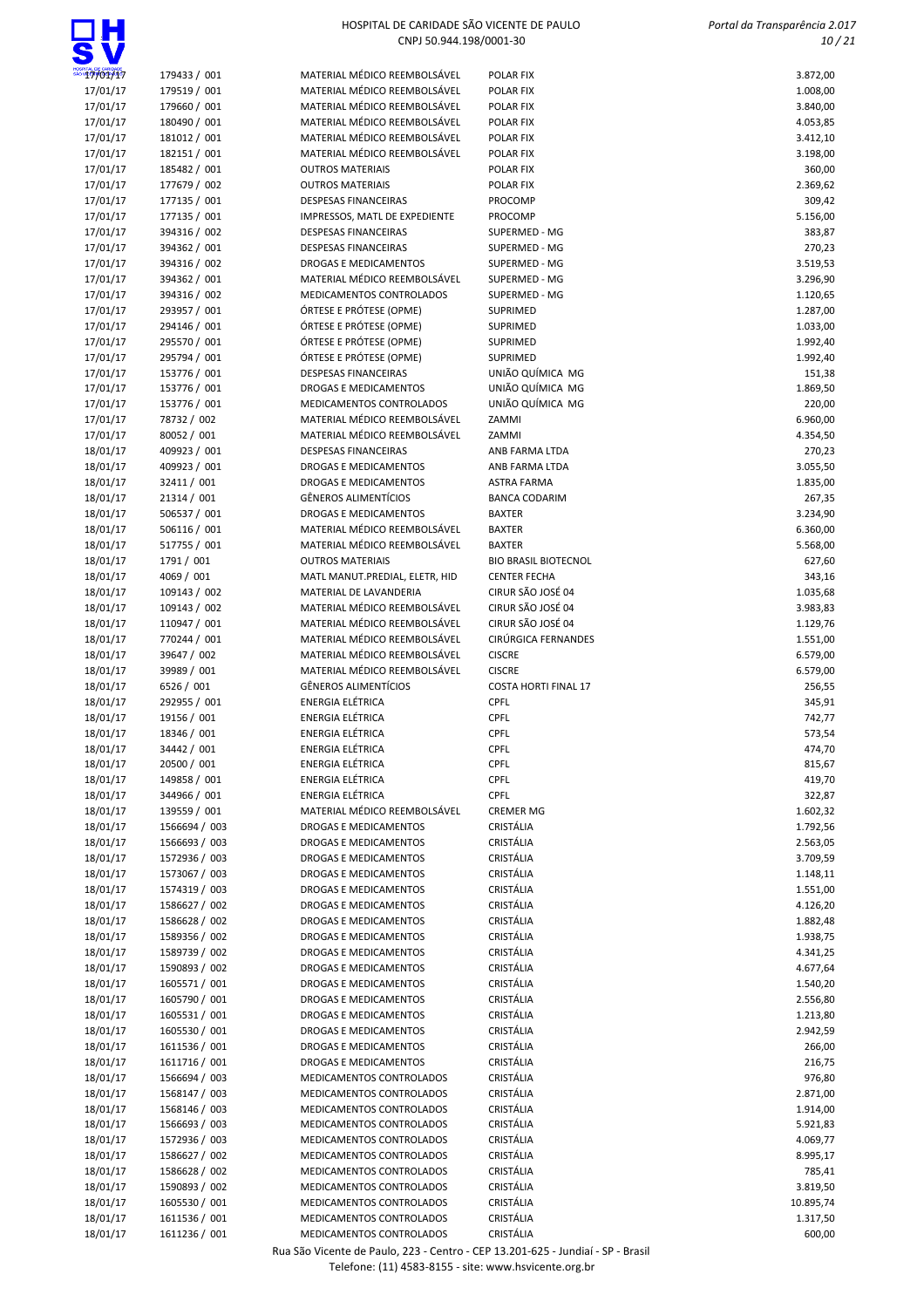## ПН

### HOSPITAL DE CARIDADE SÃO VICENTE DE PAULO CNPJ 50.944.198/0001-30

 Portal da Transparência 2.017  $10 / 21$ 

| 17/01/17             | 179433 / 001                   | MATERIAL MÉDICO REEMBOLSÁVEL                          | POLAR FIX                      | 3.872,00             |
|----------------------|--------------------------------|-------------------------------------------------------|--------------------------------|----------------------|
| 17/01/17             | 179519 / 001                   | MATERIAL MÉDICO REEMBOLSÁVEL                          | POLAR FIX                      | 1.008,00             |
| 17/01/17             | 179660 / 001                   | MATERIAL MÉDICO REEMBOLSÁVEL                          | POLAR FIX                      | 3.840,00             |
| 17/01/17             | 180490 / 001                   | MATERIAL MÉDICO REEMBOLSÁVEL                          | POLAR FIX                      | 4.053,85             |
| 17/01/17             | 181012 / 001                   | MATERIAL MÉDICO REEMBOLSÁVEL                          | POLAR FIX                      | 3.412,10             |
| 17/01/17             | 182151 / 001                   | MATERIAL MÉDICO REEMBOLSÁVEL                          | POLAR FIX                      | 3.198,00             |
| 17/01/17             | 185482 / 001                   | <b>OUTROS MATERIAIS</b>                               | POLAR FIX                      | 360,00               |
| 17/01/17             | 177679 / 002                   | <b>OUTROS MATERIAIS</b>                               | POLAR FIX                      | 2.369,62             |
| 17/01/17             | 177135 / 001                   | <b>DESPESAS FINANCEIRAS</b>                           | PROCOMP                        | 309,42               |
| 17/01/17             | 177135 / 001                   | IMPRESSOS, MATL DE EXPEDIENTE                         | PROCOMP                        | 5.156,00             |
| 17/01/17             | 394316 / 002                   | DESPESAS FINANCEIRAS                                  | SUPERMED - MG                  | 383,87               |
| 17/01/17             | 394362 / 001                   | <b>DESPESAS FINANCEIRAS</b>                           | SUPERMED - MG                  | 270,23               |
| 17/01/17<br>17/01/17 | 394316 / 002<br>394362 / 001   | DROGAS E MEDICAMENTOS<br>MATERIAL MÉDICO REEMBOLSÁVEL | SUPERMED - MG<br>SUPERMED - MG | 3.519,53<br>3.296,90 |
| 17/01/17             | 394316 / 002                   | MEDICAMENTOS CONTROLADOS                              | SUPERMED - MG                  | 1.120,65             |
| 17/01/17             | 293957 / 001                   | ÓRTESE E PRÓTESE (OPME)                               | SUPRIMED                       | 1.287,00             |
| 17/01/17             | 294146 / 001                   | ÓRTESE E PRÓTESE (OPME)                               | SUPRIMED                       | 1.033,00             |
| 17/01/17             | 295570 / 001                   | ÓRTESE E PRÓTESE (OPME)                               | SUPRIMED                       | 1.992,40             |
| 17/01/17             | 295794 / 001                   | ÓRTESE E PRÓTESE (OPME)                               | <b>SUPRIMED</b>                | 1.992,40             |
| 17/01/17             | 153776 / 001                   | <b>DESPESAS FINANCEIRAS</b>                           | UNIÃO QUÍMICA MG               | 151,38               |
| 17/01/17             | 153776 / 001                   | DROGAS E MEDICAMENTOS                                 | UNIÃO QUÍMICA MG               | 1.869,50             |
| 17/01/17             | 153776 / 001                   | MEDICAMENTOS CONTROLADOS                              | UNIÃO QUÍMICA MG               | 220,00               |
| 17/01/17             | 78732 / 002                    | MATERIAL MÉDICO REEMBOLSÁVEL                          | ZAMMI                          | 6.960,00             |
| 17/01/17             | 80052 / 001                    | MATERIAL MÉDICO REEMBOLSÁVEL                          | ZAMMI                          | 4.354,50             |
| 18/01/17             | 409923 / 001                   | <b>DESPESAS FINANCEIRAS</b>                           | ANB FARMA LTDA                 | 270,23               |
| 18/01/17             | 409923 / 001                   | DROGAS E MEDICAMENTOS                                 | ANB FARMA LTDA                 | 3.055,50             |
| 18/01/17             | 32411 / 001                    | DROGAS E MEDICAMENTOS                                 | <b>ASTRA FARMA</b>             | 1.835,00             |
| 18/01/17             | 21314 / 001                    | <b>GÊNEROS ALIMENTÍCIOS</b>                           | <b>BANCA CODARIM</b>           | 267,35               |
| 18/01/17             | 506537 / 001                   | DROGAS E MEDICAMENTOS<br>MATERIAL MÉDICO REEMBOLSÁVEL | <b>BAXTER</b><br><b>BAXTER</b> | 3.234,90             |
| 18/01/17<br>18/01/17 | 506116 / 001<br>517755 / 001   | MATERIAL MÉDICO REEMBOLSÁVEL                          | <b>BAXTER</b>                  | 6.360,00<br>5.568,00 |
| 18/01/17             | 1791 / 001                     | <b>OUTROS MATERIAIS</b>                               | <b>BIO BRASIL BIOTECNOL</b>    | 627,60               |
| 18/01/17             | 4069 / 001                     | MATL MANUT.PREDIAL, ELETR, HID                        | <b>CENTER FECHA</b>            | 343,16               |
| 18/01/17             | 109143 / 002                   | MATERIAL DE LAVANDERIA                                | CIRUR SÃO JOSÉ 04              | 1.035,68             |
| 18/01/17             | 109143 / 002                   | MATERIAL MÉDICO REEMBOLSÁVEL                          | CIRUR SÃO JOSÉ 04              | 3.983,83             |
| 18/01/17             | 110947 / 001                   | MATERIAL MÉDICO REEMBOLSÁVEL                          | CIRUR SÃO JOSÉ 04              | 1.129,76             |
| 18/01/17             | 770244 / 001                   | MATERIAL MÉDICO REEMBOLSÁVEL                          | CIRÚRGICA FERNANDES            | 1.551,00             |
| 18/01/17             | 39647 / 002                    | MATERIAL MÉDICO REEMBOLSÁVEL                          | <b>CISCRE</b>                  | 6.579,00             |
| 18/01/17             | 39989 / 001                    | MATERIAL MÉDICO REEMBOLSÁVEL                          | <b>CISCRE</b>                  | 6.579,00             |
| 18/01/17             | 6526 / 001                     | <b>GÊNEROS ALIMENTÍCIOS</b>                           | <b>COSTA HORTI FINAL 17</b>    | 256,55               |
| 18/01/17             | 292955 / 001                   | <b>ENERGIA ELÉTRICA</b>                               | <b>CPFL</b>                    | 345,91               |
| 18/01/17             | 19156 / 001                    | ENERGIA ELÉTRICA                                      | CPFL                           | 742,77               |
| 18/01/17             | 18346 / 001                    | ENERGIA ELÉTRICA<br><b>ENERGIA ELÉTRICA</b>           | <b>CPFL</b><br><b>CPFL</b>     | 573,54               |
| 18/01/17<br>18/01/17 | 34442 / 001<br>20500 / 001     | <b>ENERGIA ELÉTRICA</b>                               | CPFL                           | 474,70<br>815,67     |
| 18/01/17             | 149858 / 001                   | <b>ENERGIA ELÉTRICA</b>                               | CPFL                           | 419,70               |
| 18/01/17             | 344966 / 001                   | ENERGIA ELÉTRICA                                      | CPFL                           | 322,87               |
| 18/01/17             | 139559 / 001                   | MATERIAL MÉDICO REEMBOLSÁVEL                          | <b>CREMER MG</b>               | 1.602,32             |
| 18/01/17             | 1566694 / 003                  | DROGAS E MEDICAMENTOS                                 | CRISTÁLIA                      | 1.792,56             |
| 18/01/17             | 1566693 / 003                  | DROGAS E MEDICAMENTOS                                 | CRISTÁLIA                      | 2.563,05             |
| 18/01/17             | 1572936 / 003                  | DROGAS E MEDICAMENTOS                                 | CRISTÁLIA                      | 3.709,59             |
| 18/01/17             | 1573067 / 003                  | DROGAS E MEDICAMENTOS                                 | CRISTÁLIA                      | 1.148,11             |
| 18/01/17             | 1574319 / 003                  | DROGAS E MEDICAMENTOS                                 | CRISTÁLIA                      | 1.551,00             |
| 18/01/17             | 1586627 / 002                  | DROGAS E MEDICAMENTOS                                 | <b>CRISTÁLIA</b>               | 4.126,20             |
| 18/01/17             | 1586628 / 002                  | DROGAS E MEDICAMENTOS                                 | CRISTÁLIA                      | 1.882,48             |
| 18/01/17             | 1589356 / 002                  | DROGAS E MEDICAMENTOS                                 | CRISTÁLIA                      | 1.938,75             |
| 18/01/17             | 1589739 / 002                  | DROGAS E MEDICAMENTOS                                 | CRISTÁLIA                      | 4.341,25             |
| 18/01/17             | 1590893 / 002                  | DROGAS E MEDICAMENTOS                                 | CRISTÁLIA                      | 4.677,64             |
| 18/01/17             | 1605571 / 001                  | DROGAS E MEDICAMENTOS<br>DROGAS E MEDICAMENTOS        | CRISTÁLIA<br>CRISTÁLIA         | 1.540,20             |
| 18/01/17<br>18/01/17 | 1605790 / 001<br>1605531 / 001 | DROGAS E MEDICAMENTOS                                 | CRISTÁLIA                      | 2.556,80<br>1.213,80 |
| 18/01/17             | 1605530 / 001                  | DROGAS E MEDICAMENTOS                                 | CRISTÁLIA                      | 2.942,59             |
| 18/01/17             | 1611536 / 001                  | DROGAS E MEDICAMENTOS                                 | CRISTÁLIA                      | 266,00               |
| 18/01/17             | 1611716 / 001                  | DROGAS E MEDICAMENTOS                                 | CRISTÁLIA                      | 216,75               |
| 18/01/17             | 1566694 / 003                  | MEDICAMENTOS CONTROLADOS                              | CRISTÁLIA                      | 976,80               |
| 18/01/17             | 1568147 / 003                  | MEDICAMENTOS CONTROLADOS                              | CRISTÁLIA                      | 2.871,00             |
| 18/01/17             | 1568146 / 003                  | MEDICAMENTOS CONTROLADOS                              | CRISTÁLIA                      | 1.914,00             |
| 18/01/17             | 1566693 / 003                  | MEDICAMENTOS CONTROLADOS                              | CRISTÁLIA                      | 5.921,83             |
| 18/01/17             | 1572936 / 003                  | MEDICAMENTOS CONTROLADOS                              | CRISTÁLIA                      | 4.069,77             |
| 18/01/17             | 1586627 / 002                  | MEDICAMENTOS CONTROLADOS                              | CRISTÁLIA                      | 8.995,17             |
| 18/01/17             | 1586628 / 002                  | MEDICAMENTOS CONTROLADOS                              | CRISTÁLIA                      | 785,41               |
| 18/01/17             | 1590893 / 002                  | MEDICAMENTOS CONTROLADOS                              | CRISTÁLIA                      | 3.819,50             |
| 18/01/17             | 1605530 / 001                  | MEDICAMENTOS CONTROLADOS                              | CRISTÁLIA                      | 10.895,74            |
| 18/01/17             | 1611536 / 001                  | MEDICAMENTOS CONTROLADOS                              | CRISTÁLIA                      | 1.317,50             |
| 18/01/17             | 1611236 / 001                  | MEDICAMENTOS CONTROLADOS                              | CRISTÁLIA                      | 600,00               |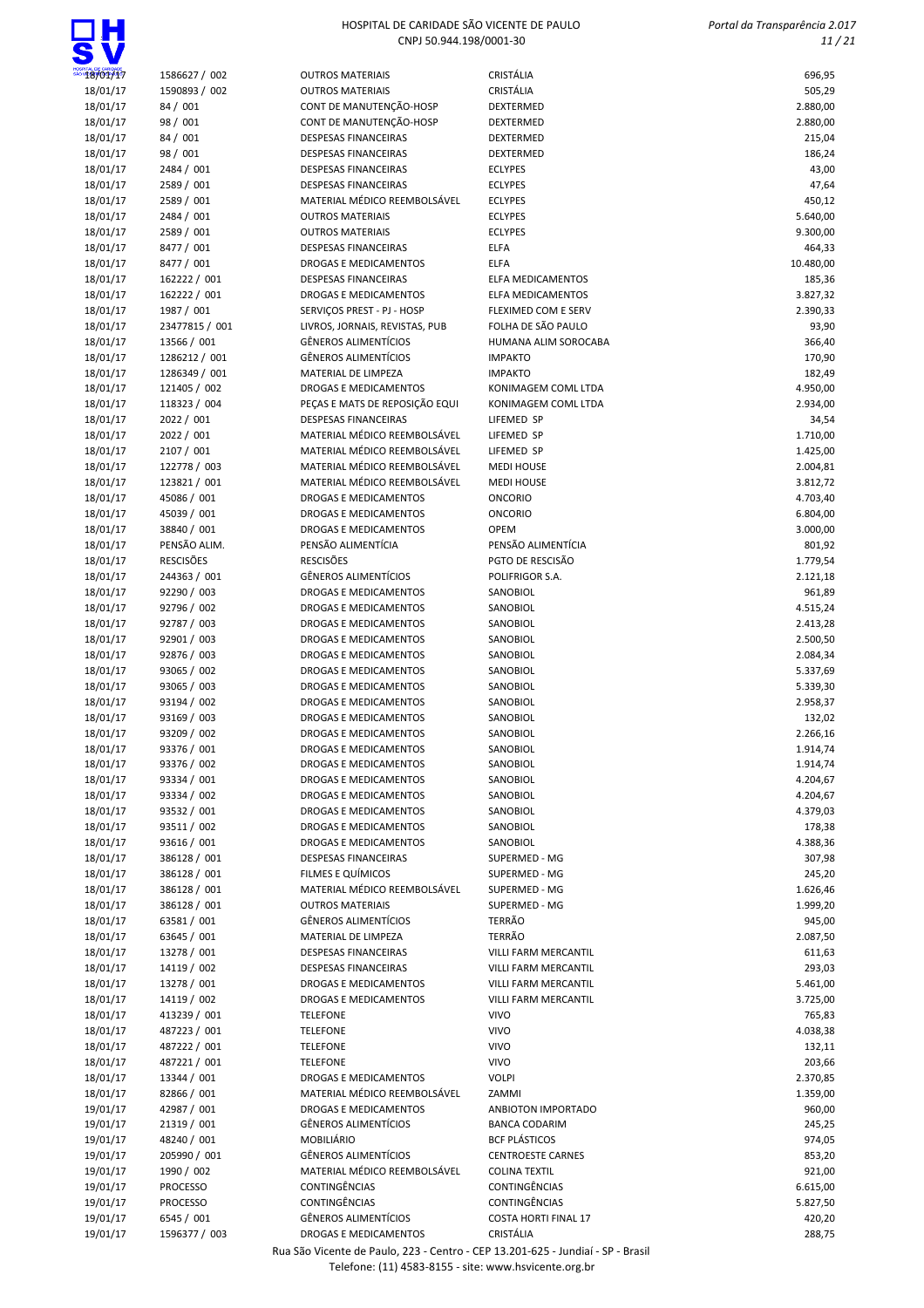# $\Box H$

### HOSPITAL DE CARIDADE SÃO VICENTE DE PAULO CNPJ 50.944.198/0001-30

 Portal da Transparência 2.017 11 / 21

| <sup>o</sup> 18/01/17 | 1586627 / 002    | <b>OUTROS MATERIAIS</b>        | CRISTÁLIA                   | 696,95    |
|-----------------------|------------------|--------------------------------|-----------------------------|-----------|
| 18/01/17              | 1590893 / 002    | <b>OUTROS MATERIAIS</b>        | CRISTÁLIA                   | 505,29    |
| 18/01/17              | 84 / 001         | CONT DE MANUTENÇÃO-HOSP        | DEXTERMED                   | 2.880,00  |
| 18/01/17              | 98 / 001         | CONT DE MANUTENÇÃO-HOSP        | DEXTERMED                   | 2.880,00  |
| 18/01/17              | 84 / 001         | <b>DESPESAS FINANCEIRAS</b>    | DEXTERMED                   | 215,04    |
|                       |                  | <b>DESPESAS FINANCEIRAS</b>    | DEXTERMED                   |           |
| 18/01/17              | 98 / 001         |                                |                             | 186,24    |
| 18/01/17              | 2484 / 001       | <b>DESPESAS FINANCEIRAS</b>    | <b>ECLYPES</b>              | 43,00     |
| 18/01/17              | 2589 / 001       | <b>DESPESAS FINANCEIRAS</b>    | <b>ECLYPES</b>              | 47,64     |
| 18/01/17              | 2589 / 001       | MATERIAL MÉDICO REEMBOLSÁVEL   | <b>ECLYPES</b>              | 450,12    |
| 18/01/17              | 2484 / 001       | <b>OUTROS MATERIAIS</b>        | <b>ECLYPES</b>              | 5.640,00  |
| 18/01/17              | 2589 / 001       | <b>OUTROS MATERIAIS</b>        | <b>ECLYPES</b>              | 9.300,00  |
| 18/01/17              | 8477 / 001       | <b>DESPESAS FINANCEIRAS</b>    | <b>ELFA</b>                 | 464,33    |
| 18/01/17              | 8477 / 001       | <b>DROGAS E MEDICAMENTOS</b>   | <b>ELFA</b>                 | 10.480,00 |
| 18/01/17              | 162222 / 001     | <b>DESPESAS FINANCEIRAS</b>    | <b>ELFA MEDICAMENTOS</b>    | 185,36    |
|                       |                  |                                |                             |           |
| 18/01/17              | 162222 / 001     | DROGAS E MEDICAMENTOS          | <b>ELFA MEDICAMENTOS</b>    | 3.827,32  |
| 18/01/17              | 1987 / 001       | SERVIÇOS PREST - PJ - HOSP     | FLEXIMED COM E SERV         | 2.390,33  |
| 18/01/17              | 23477815 / 001   | LIVROS, JORNAIS, REVISTAS, PUB | FOLHA DE SÃO PAULO          | 93,90     |
| 18/01/17              | 13566 / 001      | <b>GÊNEROS ALIMENTÍCIOS</b>    | HUMANA ALIM SOROCABA        | 366,40    |
| 18/01/17              | 1286212 / 001    | <b>GÊNEROS ALIMENTÍCIOS</b>    | <b>IMPAKTO</b>              | 170,90    |
| 18/01/17              | 1286349 / 001    | MATERIAL DE LIMPEZA            | <b>IMPAKTO</b>              | 182,49    |
| 18/01/17              | 121405 / 002     | DROGAS E MEDICAMENTOS          | KONIMAGEM COML LTDA         | 4.950,00  |
| 18/01/17              | 118323 / 004     | PEÇAS E MATS DE REPOSIÇÃO EQUI | KONIMAGEM COML LTDA         | 2.934,00  |
|                       | 2022 / 001       | <b>DESPESAS FINANCEIRAS</b>    | LIFEMED SP                  | 34,54     |
| 18/01/17              |                  | MATERIAL MÉDICO REEMBOLSÁVEL   |                             |           |
| 18/01/17              | 2022 / 001       |                                | LIFEMED SP                  | 1.710,00  |
| 18/01/17              | 2107 / 001       | MATERIAL MÉDICO REEMBOLSÁVEL   | LIFEMED SP                  | 1.425,00  |
| 18/01/17              | 122778 / 003     | MATERIAL MÉDICO REEMBOLSÁVEL   | <b>MEDI HOUSE</b>           | 2.004,81  |
| 18/01/17              | 123821 / 001     | MATERIAL MÉDICO REEMBOLSÁVEL   | <b>MEDI HOUSE</b>           | 3.812,72  |
| 18/01/17              | 45086 / 001      | <b>DROGAS E MEDICAMENTOS</b>   | <b>ONCORIO</b>              | 4.703,40  |
| 18/01/17              | 45039 / 001      | <b>DROGAS E MEDICAMENTOS</b>   | <b>ONCORIO</b>              | 6.804,00  |
| 18/01/17              | 38840 / 001      | <b>DROGAS E MEDICAMENTOS</b>   | OPEM                        | 3.000,00  |
|                       |                  |                                |                             |           |
| 18/01/17              | PENSÃO ALIM.     | PENSÃO ALIMENTÍCIA             | PENSÃO ALIMENTÍCIA          | 801,92    |
| 18/01/17              | <b>RESCISÕES</b> | <b>RESCISÕES</b>               | PGTO DE RESCISÃO            | 1.779,54  |
| 18/01/17              | 244363 / 001     | <b>GÊNEROS ALIMENTÍCIOS</b>    | POLIFRIGOR S.A.             | 2.121,18  |
| 18/01/17              | 92290 / 003      | DROGAS E MEDICAMENTOS          | SANOBIOL                    | 961,89    |
| 18/01/17              | 92796 / 002      | <b>DROGAS E MEDICAMENTOS</b>   | SANOBIOL                    | 4.515,24  |
| 18/01/17              | 92787 / 003      | <b>DROGAS E MEDICAMENTOS</b>   | SANOBIOL                    | 2.413,28  |
| 18/01/17              | 92901 / 003      | DROGAS E MEDICAMENTOS          | SANOBIOL                    | 2.500,50  |
| 18/01/17              | 92876 / 003      | <b>DROGAS E MEDICAMENTOS</b>   | SANOBIOL                    | 2.084,34  |
|                       | 93065 / 002      | <b>DROGAS E MEDICAMENTOS</b>   |                             |           |
| 18/01/17              |                  |                                | SANOBIOL                    | 5.337,69  |
| 18/01/17              | 93065 / 003      | <b>DROGAS E MEDICAMENTOS</b>   | SANOBIOL                    | 5.339,30  |
| 18/01/17              | 93194 / 002      | DROGAS E MEDICAMENTOS          | SANOBIOL                    | 2.958,37  |
| 18/01/17              | 93169 / 003      | DROGAS E MEDICAMENTOS          | SANOBIOL                    | 132,02    |
| 18/01/17              | 93209 / 002      | <b>DROGAS E MEDICAMENTOS</b>   | SANOBIOL                    | 2.266,16  |
| 18/01/17              | 93376 / 001      | DROGAS E MEDICAMENTOS          | SANOBIOL                    | 1.914,74  |
| 18/01/17              | 93376 / 002      | DROGAS E MEDICAMENTOS          | SANOBIOL                    | 1.914,74  |
| 18/01/17              | 93334 / 001      | DROGAS E MEDICAMENTOS          | SANOBIOL                    | 4.204,67  |
|                       |                  | <b>DROGAS E MEDICAMENTOS</b>   |                             |           |
| 18/01/17              | 93334 / 002      |                                | SANOBIOL                    | 4.204,67  |
| 18/01/17              | 93532 / 001      | DROGAS E MEDICAMENTOS          | SANOBIOL                    | 4.379,03  |
| 18/01/17              | 93511 / 002      | DROGAS E MEDICAMENTOS          | SANOBIOL                    | 178,38    |
| 18/01/17              | 93616 / 001      | <b>DROGAS E MEDICAMENTOS</b>   | SANOBIOL                    | 4.388,36  |
| 18/01/17              | 386128 / 001     | <b>DESPESAS FINANCEIRAS</b>    | SUPERMED - MG               | 307,98    |
| 18/01/17              | 386128 / 001     | FILMES E QUÍMICOS              | SUPERMED - MG               | 245,20    |
| 18/01/17              | 386128 / 001     | MATERIAL MÉDICO REEMBOLSÁVEL   | SUPERMED - MG               | 1.626,46  |
| 18/01/17              | 386128 / 001     | <b>OUTROS MATERIAIS</b>        | SUPERMED - MG               | 1.999,20  |
|                       |                  |                                |                             |           |
| 18/01/17              | 63581 / 001      | <b>GÊNEROS ALIMENTÍCIOS</b>    | <b>TERRÃO</b>               | 945,00    |
| 18/01/17              | 63645 / 001      | MATERIAL DE LIMPEZA            | <b>TERRÃO</b>               | 2.087,50  |
| 18/01/17              | 13278 / 001      | <b>DESPESAS FINANCEIRAS</b>    | VILLI FARM MERCANTIL        | 611,63    |
| 18/01/17              | 14119 / 002      | <b>DESPESAS FINANCEIRAS</b>    | <b>VILLI FARM MERCANTIL</b> | 293,03    |
| 18/01/17              | 13278 / 001      | DROGAS E MEDICAMENTOS          | VILLI FARM MERCANTIL        | 5.461,00  |
| 18/01/17              | 14119 / 002      | <b>DROGAS E MEDICAMENTOS</b>   | <b>VILLI FARM MERCANTIL</b> | 3.725,00  |
| 18/01/17              | 413239 / 001     | <b>TELEFONE</b>                | <b>VIVO</b>                 | 765,83    |
| 18/01/17              | 487223 / 001     | <b>TELEFONE</b>                | <b>VIVO</b>                 | 4.038,38  |
|                       |                  |                                |                             |           |
| 18/01/17              | 487222 / 001     | <b>TELEFONE</b>                | <b>VIVO</b>                 | 132,11    |
| 18/01/17              | 487221 / 001     | <b>TELEFONE</b>                | <b>VIVO</b>                 | 203,66    |
| 18/01/17              | 13344 / 001      | DROGAS E MEDICAMENTOS          | <b>VOLPI</b>                | 2.370,85  |
| 18/01/17              | 82866 / 001      | MATERIAL MÉDICO REEMBOLSÁVEL   | ZAMMI                       | 1.359,00  |
| 19/01/17              | 42987 / 001      | DROGAS E MEDICAMENTOS          | ANBIOTON IMPORTADO          | 960,00    |
| 19/01/17              | 21319 / 001      | <b>GÊNEROS ALIMENTÍCIOS</b>    | <b>BANCA CODARIM</b>        | 245,25    |
| 19/01/17              | 48240 / 001      | <b>MOBILIÁRIO</b>              | <b>BCF PLÁSTICOS</b>        | 974,05    |
|                       |                  |                                |                             |           |
| 19/01/17              | 205990 / 001     | <b>GÊNEROS ALIMENTÍCIOS</b>    | <b>CENTROESTE CARNES</b>    | 853,20    |
| 19/01/17              | 1990 / 002       | MATERIAL MÉDICO REEMBOLSÁVEL   | <b>COLINA TEXTIL</b>        | 921,00    |
| 19/01/17              | PROCESSO         | CONTINGÊNCIAS                  | CONTINGÊNCIAS               | 6.615,00  |
| 19/01/17              | <b>PROCESSO</b>  | CONTINGÊNCIAS                  | CONTINGÊNCIAS               | 5.827,50  |
| 19/01/17              | 6545 / 001       | <b>GÊNEROS ALIMENTÍCIOS</b>    | <b>COSTA HORTI FINAL 17</b> | 420,20    |
| 19/01/17              | 1596377 / 003    | DROGAS E MEDICAMENTOS          | CRISTÁLIA                   | 288,75    |
|                       |                  |                                |                             |           |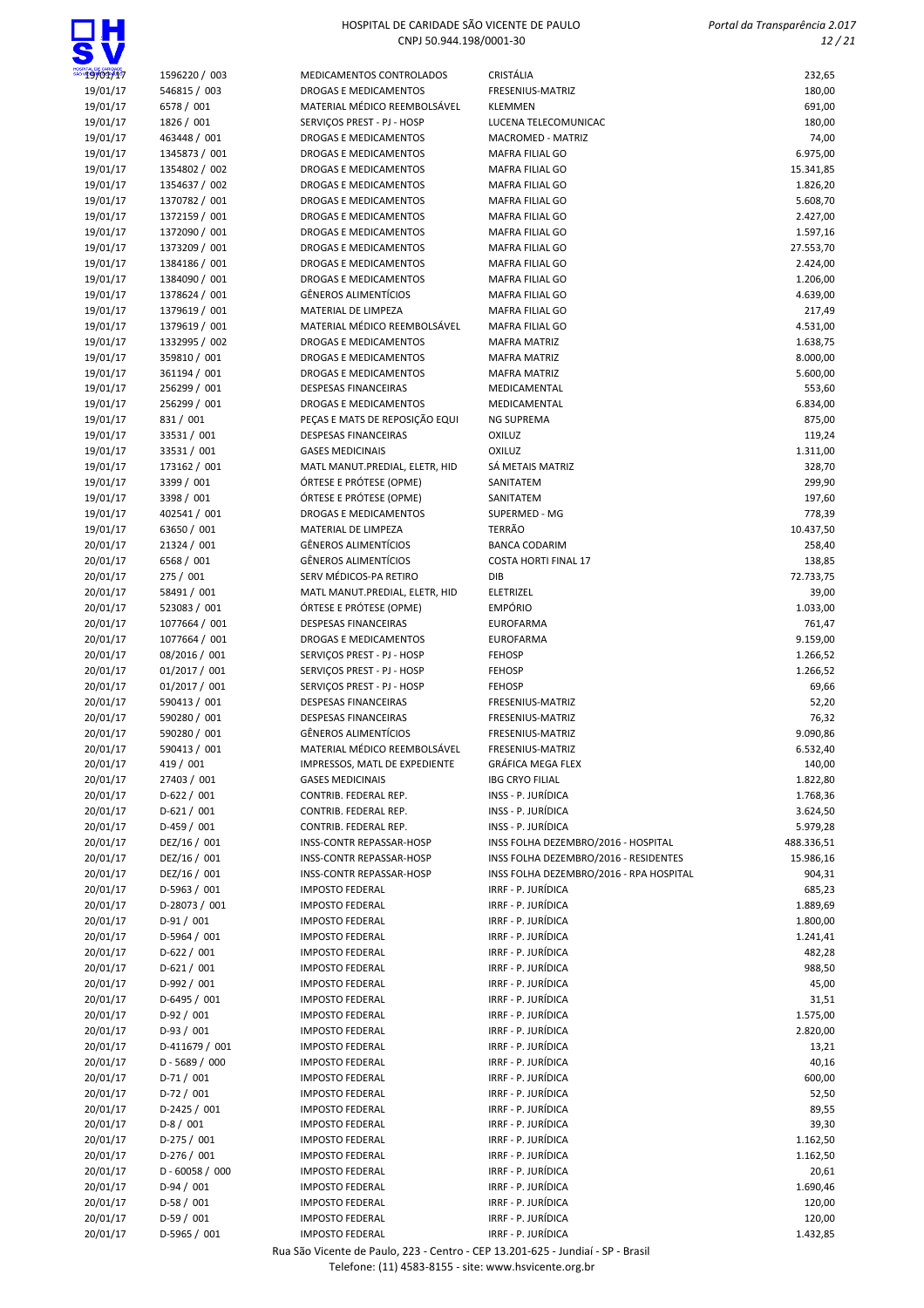# $\Box H$

### HOSPITAL DE CARIDADE SÃO VICENTE DE PAULO CNPJ 50.944.198/0001-30

 Portal da Transparência 2.017 12 / 21

| 19/01/17 | 1596220 / 003     | MEDICAMENTOS CONTROLADOS        | CRISTÁLIA                               | 232,65     |
|----------|-------------------|---------------------------------|-----------------------------------------|------------|
| 19/01/17 | 546815 / 003      | <b>DROGAS E MEDICAMENTOS</b>    | FRESENIUS-MATRIZ                        | 180,00     |
| 19/01/17 | 6578 / 001        | MATERIAL MÉDICO REEMBOLSÁVEL    | <b>KLEMMEN</b>                          | 691,00     |
| 19/01/17 | 1826 / 001        | SERVIÇOS PREST - PJ - HOSP      | LUCENA TELECOMUNICAC                    | 180,00     |
| 19/01/17 | 463448 / 001      | DROGAS E MEDICAMENTOS           | MACROMED - MATRIZ                       | 74,00      |
| 19/01/17 | 1345873 / 001     | <b>DROGAS E MEDICAMENTOS</b>    | <b>MAFRA FILIAL GO</b>                  | 6.975,00   |
| 19/01/17 | 1354802 / 002     | DROGAS E MEDICAMENTOS           | MAFRA FILIAL GO                         | 15.341,85  |
| 19/01/17 | 1354637 / 002     | DROGAS E MEDICAMENTOS           | MAFRA FILIAL GO                         | 1.826,20   |
| 19/01/17 | 1370782 / 001     | DROGAS E MEDICAMENTOS           | MAFRA FILIAL GO                         | 5.608,70   |
| 19/01/17 | 1372159 / 001     | <b>DROGAS E MEDICAMENTOS</b>    | <b>MAFRA FILIAL GO</b>                  | 2.427,00   |
| 19/01/17 | 1372090 / 001     | DROGAS E MEDICAMENTOS           | MAFRA FILIAL GO                         | 1.597,16   |
| 19/01/17 | 1373209 / 001     | DROGAS E MEDICAMENTOS           | MAFRA FILIAL GO                         | 27.553,70  |
| 19/01/17 | 1384186 / 001     | DROGAS E MEDICAMENTOS           | MAFRA FILIAL GO                         | 2.424,00   |
| 19/01/17 | 1384090 / 001     | <b>DROGAS E MEDICAMENTOS</b>    | MAFRA FILIAL GO                         | 1.206,00   |
| 19/01/17 | 1378624 / 001     | <b>GÊNEROS ALIMENTÍCIOS</b>     | MAFRA FILIAL GO                         | 4.639,00   |
| 19/01/17 | 1379619 / 001     | MATERIAL DE LIMPEZA             | MAFRA FILIAL GO                         | 217,49     |
| 19/01/17 | 1379619 / 001     | MATERIAL MÉDICO REEMBOLSÁVEL    | MAFRA FILIAL GO                         | 4.531,00   |
| 19/01/17 | 1332995 / 002     | <b>DROGAS E MEDICAMENTOS</b>    | <b>MAFRA MATRIZ</b>                     | 1.638,75   |
| 19/01/17 | 359810 / 001      | DROGAS E MEDICAMENTOS           | <b>MAFRA MATRIZ</b>                     | 8.000,00   |
| 19/01/17 | 361194 / 001      | <b>DROGAS E MEDICAMENTOS</b>    | <b>MAFRA MATRIZ</b>                     | 5.600,00   |
| 19/01/17 | 256299 / 001      | <b>DESPESAS FINANCEIRAS</b>     | MEDICAMENTAL                            | 553,60     |
| 19/01/17 | 256299 / 001      | DROGAS E MEDICAMENTOS           | MEDICAMENTAL                            | 6.834,00   |
| 19/01/17 | 831 / 001         | PECAS E MATS DE REPOSIÇÃO EQUI  | <b>NG SUPREMA</b>                       | 875,00     |
| 19/01/17 | 33531 / 001       | <b>DESPESAS FINANCEIRAS</b>     | <b>OXILUZ</b>                           | 119,24     |
| 19/01/17 | 33531 / 001       | <b>GASES MEDICINAIS</b>         | <b>OXILUZ</b>                           | 1.311,00   |
| 19/01/17 | 173162 / 001      | MATL MANUT.PREDIAL, ELETR, HID  | SÁ METAIS MATRIZ                        | 328,70     |
| 19/01/17 | 3399 / 001        | ÓRTESE E PRÓTESE (OPME)         | SANITATEM                               | 299,90     |
| 19/01/17 | 3398 / 001        | ÓRTESE E PRÓTESE (OPME)         | SANITATEM                               | 197,60     |
| 19/01/17 | 402541 / 001      | <b>DROGAS E MEDICAMENTOS</b>    | SUPERMED - MG                           | 778,39     |
| 19/01/17 | 63650 / 001       | MATERIAL DE LIMPEZA             | TERRÃO                                  | 10.437,50  |
| 20/01/17 | 21324 / 001       | <b>GÊNEROS ALIMENTÍCIOS</b>     | <b>BANCA CODARIM</b>                    | 258,40     |
| 20/01/17 | 6568 / 001        | <b>GÊNEROS ALIMENTÍCIOS</b>     | <b>COSTA HORTI FINAL 17</b>             | 138,85     |
| 20/01/17 | 275 / 001         | SERV MÉDICOS-PA RETIRO          | DIB                                     | 72.733,75  |
| 20/01/17 | 58491 / 001       | MATL MANUT.PREDIAL, ELETR, HID  | ELETRIZEL                               | 39,00      |
| 20/01/17 | 523083 / 001      | ÓRTESE E PRÓTESE (OPME)         | <b>EMPÓRIO</b>                          | 1.033,00   |
| 20/01/17 | 1077664 / 001     | <b>DESPESAS FINANCEIRAS</b>     | <b>EUROFARMA</b>                        | 761,47     |
| 20/01/17 | 1077664 / 001     | DROGAS E MEDICAMENTOS           | <b>EUROFARMA</b>                        | 9.159,00   |
| 20/01/17 | 08/2016 / 001     | SERVIÇOS PREST - PJ - HOSP      | <b>FEHOSP</b>                           | 1.266,52   |
| 20/01/17 | 01/2017 / 001     | SERVIÇOS PREST - PJ - HOSP      | <b>FEHOSP</b>                           | 1.266,52   |
| 20/01/17 | 01/2017 / 001     | SERVIÇOS PREST - PJ - HOSP      | <b>FEHOSP</b>                           | 69,66      |
| 20/01/17 | 590413 / 001      | DESPESAS FINANCEIRAS            | FRESENIUS-MATRIZ                        | 52,20      |
| 20/01/17 | 590280 / 001      | <b>DESPESAS FINANCEIRAS</b>     | FRESENIUS-MATRIZ                        | 76,32      |
| 20/01/17 | 590280 / 001      | <b>GÊNEROS ALIMENTÍCIOS</b>     | FRESENIUS-MATRIZ                        | 9.090,86   |
| 20/01/17 | 590413 / 001      | MATERIAL MÉDICO REEMBOLSÁVEL    | FRESENIUS-MATRIZ                        | 6.532,40   |
| 20/01/17 | 419 / 001         | IMPRESSOS, MATL DE EXPEDIENTE   | <b>GRÁFICA MEGA FLEX</b>                | 140,00     |
| 20/01/17 | 27403 / 001       | <b>GASES MEDICINAIS</b>         | <b>IBG CRYO FILIAL</b>                  | 1.822,80   |
| 20/01/17 | $D-622 / 001$     | CONTRIB. FEDERAL REP.           | INSS - P. JURÍDICA                      | 1.768,36   |
| 20/01/17 | $D-621/001$       | CONTRIB. FEDERAL REP.           | INSS - P. JURÍDICA                      | 3.624,50   |
| 20/01/17 | $D-459/001$       | CONTRIB. FEDERAL REP.           | INSS - P. JURÍDICA                      | 5.979,28   |
| 20/01/17 | DEZ/16 / 001      | <b>INSS-CONTR REPASSAR-HOSP</b> | INSS FOLHA DEZEMBRO/2016 - HOSPITAL     | 488.336,51 |
| 20/01/17 | DEZ/16 / 001      | INSS-CONTR REPASSAR-HOSP        | INSS FOLHA DEZEMBRO/2016 - RESIDENTES   | 15.986,16  |
| 20/01/17 | DEZ/16 / 001      | INSS-CONTR REPASSAR-HOSP        | INSS FOLHA DEZEMBRO/2016 - RPA HOSPITAL | 904,31     |
| 20/01/17 | D-5963 / 001      | <b>IMPOSTO FEDERAL</b>          | IRRF - P. JURÍDICA                      | 685,23     |
| 20/01/17 | D-28073 / 001     | <b>IMPOSTO FEDERAL</b>          | IRRF - P. JURÍDICA                      | 1.889,69   |
| 20/01/17 | $D-91/001$        | <b>IMPOSTO FEDERAL</b>          | IRRF - P. JURÍDICA                      | 1.800,00   |
| 20/01/17 | D-5964 / 001      | <b>IMPOSTO FEDERAL</b>          | IRRF - P. JURÍDICA                      | 1.241,41   |
| 20/01/17 | $D-622 / 001$     | <b>IMPOSTO FEDERAL</b>          | IRRF - P. JURÍDICA                      | 482,28     |
| 20/01/17 | $D-621/001$       | <b>IMPOSTO FEDERAL</b>          | IRRF - P. JURÍDICA                      | 988,50     |
| 20/01/17 | D-992 / 001       | <b>IMPOSTO FEDERAL</b>          | IRRF - P. JURÍDICA                      | 45,00      |
| 20/01/17 | $D-6495 / 001$    | <b>IMPOSTO FEDERAL</b>          | IRRF - P. JURÍDICA                      | 31,51      |
| 20/01/17 | $D-92/001$        | <b>IMPOSTO FEDERAL</b>          | IRRF - P. JURÍDICA                      | 1.575,00   |
| 20/01/17 | $D-93/001$        | <b>IMPOSTO FEDERAL</b>          | IRRF - P. JURÍDICA                      | 2.820,00   |
| 20/01/17 | D-411679 / 001    | <b>IMPOSTO FEDERAL</b>          | IRRF - P. JURÍDICA                      | 13,21      |
| 20/01/17 | $D - 5689 / 000$  | <b>IMPOSTO FEDERAL</b>          | IRRF - P. JURÍDICA                      | 40,16      |
| 20/01/17 | $D-71/001$        | <b>IMPOSTO FEDERAL</b>          | IRRF - P. JURÍDICA                      | 600,00     |
| 20/01/17 | $D-72/001$        | <b>IMPOSTO FEDERAL</b>          | IRRF - P. JURÍDICA                      | 52,50      |
| 20/01/17 | $D-2425 / 001$    | <b>IMPOSTO FEDERAL</b>          | IRRF - P. JURÍDICA                      | 89,55      |
| 20/01/17 | $D-8/001$         | <b>IMPOSTO FEDERAL</b>          | IRRF - P. JURÍDICA                      | 39,30      |
| 20/01/17 | $D-275/001$       | <b>IMPOSTO FEDERAL</b>          | IRRF - P. JURÍDICA                      | 1.162,50   |
| 20/01/17 | $D-276/001$       | <b>IMPOSTO FEDERAL</b>          | IRRF - P. JURÍDICA                      | 1.162,50   |
| 20/01/17 | $D - 60058 / 000$ | <b>IMPOSTO FEDERAL</b>          | IRRF - P. JURÍDICA                      | 20,61      |
| 20/01/17 | $D-94/001$        | <b>IMPOSTO FEDERAL</b>          | IRRF - P. JURÍDICA                      | 1.690,46   |
| 20/01/17 | $D-58/001$        | <b>IMPOSTO FEDERAL</b>          | IRRF - P. JURÍDICA                      | 120,00     |
| 20/01/17 | $D-59/001$        | <b>IMPOSTO FEDERAL</b>          | IRRF - P. JURÍDICA                      | 120,00     |
| 20/01/17 | D-5965 / 001      | <b>IMPOSTO FEDERAL</b>          | IRRF - P. JURÍDICA                      | 1.432,85   |
|          |                   |                                 |                                         |            |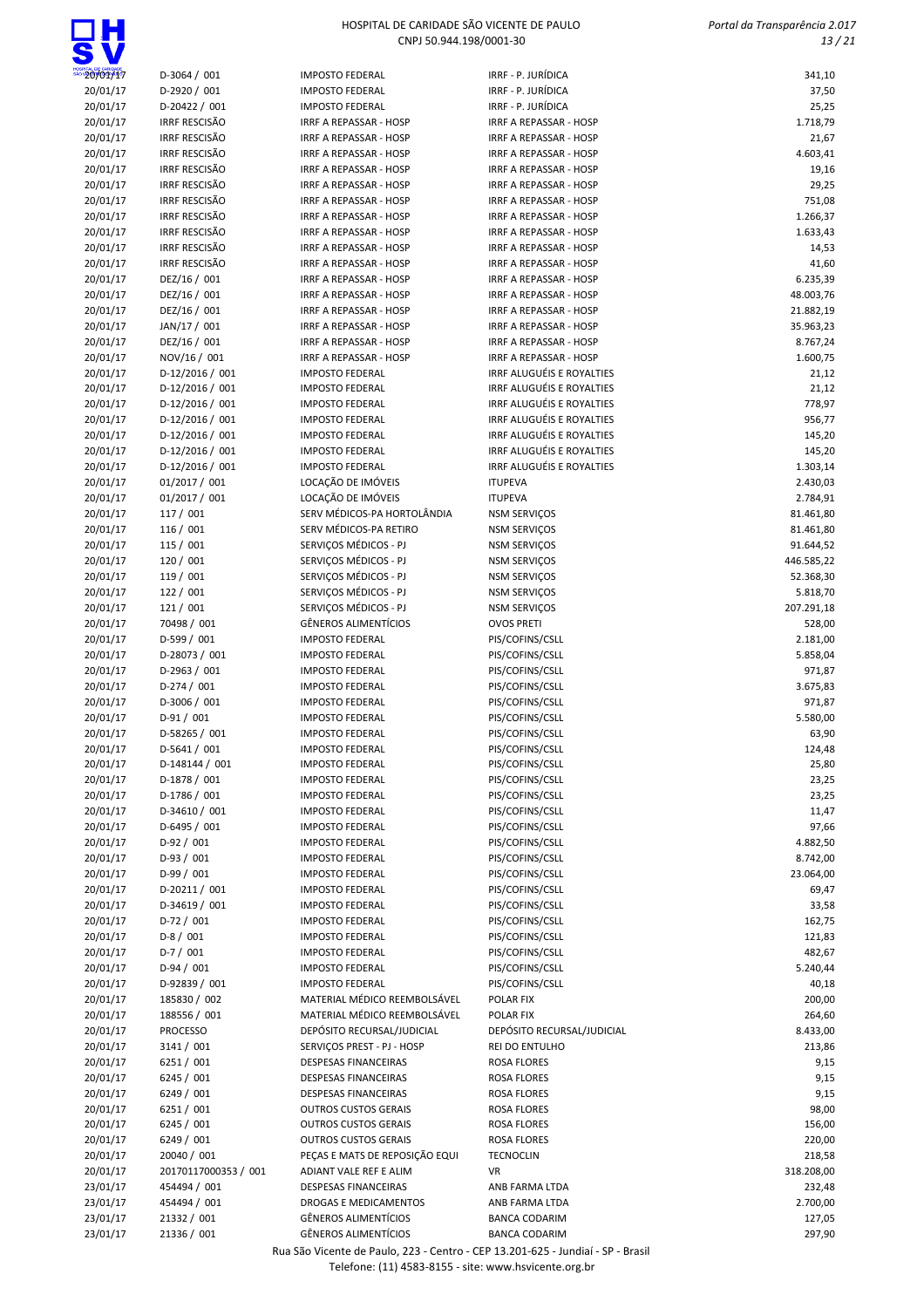

 Portal da Transparência 2.017 13 / 21

| ט כ                  |                                              |                                                  |                                                  |                 |
|----------------------|----------------------------------------------|--------------------------------------------------|--------------------------------------------------|-----------------|
| 20/01/17             | D-3064 / 001                                 | <b>IMPOSTO FEDERAL</b>                           | IRRF - P. JURÍDICA                               | 341,10          |
| 20/01/17             | D-2920 / 001                                 | <b>IMPOSTO FEDERAL</b>                           | IRRF - P. JURÍDICA                               | 37,50           |
| 20/01/17             | D-20422 / 001                                | <b>IMPOSTO FEDERAL</b>                           | IRRF - P. JURÍDICA                               | 25,25           |
| 20/01/17             | <b>IRRF RESCISÃO</b>                         | IRRF A REPASSAR - HOSP                           | <b>IRRF A REPASSAR - HOSP</b>                    | 1.718,79        |
| 20/01/17             | <b>IRRF RESCISÃO</b>                         | IRRF A REPASSAR - HOSP                           | <b>IRRF A REPASSAR - HOSP</b>                    | 21,67           |
| 20/01/17             | <b>IRRF RESCISÃO</b>                         | IRRF A REPASSAR - HOSP                           | IRRF A REPASSAR - HOSP                           | 4.603,41        |
| 20/01/17             | <b>IRRF RESCISÃO</b><br><b>IRRF RESCISÃO</b> | IRRF A REPASSAR - HOSP                           | IRRF A REPASSAR - HOSP                           | 19,16           |
| 20/01/17<br>20/01/17 | <b>IRRF RESCISÃO</b>                         | IRRF A REPASSAR - HOSP<br>IRRF A REPASSAR - HOSP | IRRF A REPASSAR - HOSP<br>IRRF A REPASSAR - HOSP | 29,25<br>751,08 |
| 20/01/17             | <b>IRRF RESCISÃO</b>                         | IRRF A REPASSAR - HOSP                           | IRRF A REPASSAR - HOSP                           | 1.266,37        |
| 20/01/17             | <b>IRRF RESCISÃO</b>                         | IRRF A REPASSAR - HOSP                           | <b>IRRF A REPASSAR - HOSP</b>                    | 1.633,43        |
| 20/01/17             | <b>IRRF RESCISÃO</b>                         | <b>IRRF A REPASSAR - HOSP</b>                    | IRRF A REPASSAR - HOSP                           | 14,53           |
| 20/01/17             | <b>IRRF RESCISÃO</b>                         | IRRF A REPASSAR - HOSP                           | IRRF A REPASSAR - HOSP                           | 41,60           |
| 20/01/17             | DEZ/16 / 001                                 | IRRF A REPASSAR - HOSP                           | <b>IRRF A REPASSAR - HOSP</b>                    | 6.235,39        |
| 20/01/17             | DEZ/16 / 001                                 | IRRF A REPASSAR - HOSP                           | IRRF A REPASSAR - HOSP                           | 48.003,76       |
| 20/01/17             | DEZ/16 / 001                                 | IRRF A REPASSAR - HOSP                           | IRRF A REPASSAR - HOSP                           | 21.882,19       |
| 20/01/17             | JAN/17 / 001                                 | IRRF A REPASSAR - HOSP                           | IRRF A REPASSAR - HOSP                           | 35.963,23       |
| 20/01/17             | DEZ/16 / 001                                 | IRRF A REPASSAR - HOSP                           | <b>IRRF A REPASSAR - HOSP</b>                    | 8.767,24        |
| 20/01/17             | NOV/16 / 001                                 | IRRF A REPASSAR - HOSP                           | IRRF A REPASSAR - HOSP                           | 1.600,75        |
| 20/01/17             | D-12/2016 / 001                              | <b>IMPOSTO FEDERAL</b>                           | IRRF ALUGUÉIS E ROYALTIES                        | 21,12           |
| 20/01/17             | D-12/2016 / 001                              | <b>IMPOSTO FEDERAL</b>                           | IRRF ALUGUÉIS E ROYALTIES                        | 21,12           |
| 20/01/17             | D-12/2016 / 001                              | <b>IMPOSTO FEDERAL</b>                           | IRRF ALUGUÉIS E ROYALTIES                        | 778,97          |
| 20/01/17             | D-12/2016 / 001                              | <b>IMPOSTO FEDERAL</b>                           | IRRF ALUGUÉIS E ROYALTIES                        | 956,77          |
| 20/01/17             | D-12/2016 / 001                              | <b>IMPOSTO FEDERAL</b>                           | IRRF ALUGUÉIS E ROYALTIES                        | 145,20          |
| 20/01/17             | D-12/2016 / 001                              | <b>IMPOSTO FEDERAL</b>                           | IRRF ALUGUÉIS E ROYALTIES                        | 145,20          |
| 20/01/17             | D-12/2016 / 001                              | <b>IMPOSTO FEDERAL</b>                           | IRRF ALUGUÉIS E ROYALTIES                        | 1.303,14        |
| 20/01/17             | 01/2017 / 001                                | LOCAÇÃO DE IMÓVEIS                               | <b>ITUPEVA</b>                                   | 2.430,03        |
| 20/01/17             | 01/2017 / 001                                | LOCAÇÃO DE IMÓVEIS                               | <b>ITUPEVA</b>                                   | 2.784,91        |
| 20/01/17             | 117 / 001                                    | SERV MÉDICOS-PA HORTOLÂNDIA                      | <b>NSM SERVIÇOS</b>                              | 81.461,80       |
| 20/01/17             | 116/001                                      | SERV MÉDICOS-PA RETIRO                           | <b>NSM SERVIÇOS</b>                              | 81.461,80       |
| 20/01/17             | 115/001                                      | SERVIÇOS MÉDICOS - PJ                            | <b>NSM SERVIÇOS</b>                              | 91.644,52       |
| 20/01/17             | 120 / 001                                    | SERVIÇOS MÉDICOS - PJ                            | <b>NSM SERVIÇOS</b>                              | 446.585,22      |
| 20/01/17             | 119 / 001                                    | SERVIÇOS MÉDICOS - PJ                            | <b>NSM SERVIÇOS</b>                              | 52.368,30       |
| 20/01/17             | 122 / 001                                    | SERVIÇOS MÉDICOS - PJ                            | <b>NSM SERVIÇOS</b>                              | 5.818,70        |
| 20/01/17             | 121/001                                      | SERVIÇOS MÉDICOS - PJ                            | <b>NSM SERVIÇOS</b>                              | 207.291,18      |
| 20/01/17             | 70498 / 001                                  | <b>GÊNEROS ALIMENTÍCIOS</b>                      | <b>OVOS PRETI</b>                                | 528,00          |
| 20/01/17             | D-599 / 001                                  | <b>IMPOSTO FEDERAL</b>                           | PIS/COFINS/CSLL                                  | 2.181,00        |
| 20/01/17             | D-28073 / 001                                | <b>IMPOSTO FEDERAL</b>                           | PIS/COFINS/CSLL                                  | 5.858,04        |
| 20/01/17             | D-2963 / 001                                 | <b>IMPOSTO FEDERAL</b>                           | PIS/COFINS/CSLL                                  | 971,87          |
| 20/01/17             | $D-274/001$                                  | <b>IMPOSTO FEDERAL</b>                           | PIS/COFINS/CSLL                                  | 3.675,83        |
| 20/01/17             | D-3006 / 001                                 | <b>IMPOSTO FEDERAL</b>                           | PIS/COFINS/CSLL                                  | 971,87          |
| 20/01/17             | $D-91/001$                                   | <b>IMPOSTO FEDERAL</b>                           | PIS/COFINS/CSLL                                  | 5.580,00        |
| 20/01/17             | D-58265 / 001                                | <b>IMPOSTO FEDERAL</b>                           | PIS/COFINS/CSLL                                  | 63,90           |
| 20/01/17             | $D-5641 / 001$                               | <b>IMPOSTO FEDERAL</b>                           | PIS/COFINS/CSLL                                  | 124,48          |
| 20/01/17             | D-148144 / 001                               | <b>IMPOSTO FEDERAL</b>                           | PIS/COFINS/CSLL                                  | 25,80           |
| 20/01/17             | D-1878 / 001                                 | <b>IMPOSTO FEDERAL</b>                           | PIS/COFINS/CSLL                                  | 23,25           |
| 20/01/17             | D-1786 / 001                                 | <b>IMPOSTO FEDERAL</b>                           | PIS/COFINS/CSLL                                  | 23,25           |
| 20/01/17<br>20/01/17 | D-34610 / 001<br>$D-6495 / 001$              | <b>IMPOSTO FEDERAL</b><br><b>IMPOSTO FEDERAL</b> | PIS/COFINS/CSLL<br>PIS/COFINS/CSLL               | 11,47<br>97,66  |
| 20/01/17             | $D-92/001$                                   | <b>IMPOSTO FEDERAL</b>                           | PIS/COFINS/CSLL                                  | 4.882,50        |
| 20/01/17             | $D-93/001$                                   | <b>IMPOSTO FEDERAL</b>                           | PIS/COFINS/CSLL                                  | 8.742,00        |
| 20/01/17             | $D-99/001$                                   | <b>IMPOSTO FEDERAL</b>                           | PIS/COFINS/CSLL                                  | 23.064,00       |
| 20/01/17             | D-20211 / 001                                | <b>IMPOSTO FEDERAL</b>                           | PIS/COFINS/CSLL                                  | 69,47           |
| 20/01/17             | D-34619 / 001                                | <b>IMPOSTO FEDERAL</b>                           | PIS/COFINS/CSLL                                  | 33,58           |
| 20/01/17             | $D-72/001$                                   | <b>IMPOSTO FEDERAL</b>                           | PIS/COFINS/CSLL                                  | 162,75          |
| 20/01/17             | $D-8/001$                                    | <b>IMPOSTO FEDERAL</b>                           | PIS/COFINS/CSLL                                  | 121,83          |
| 20/01/17             | $D-7/001$                                    | <b>IMPOSTO FEDERAL</b>                           | PIS/COFINS/CSLL                                  | 482,67          |
| 20/01/17             | $D-94/001$                                   | <b>IMPOSTO FEDERAL</b>                           | PIS/COFINS/CSLL                                  | 5.240,44        |
| 20/01/17             | D-92839 / 001                                | <b>IMPOSTO FEDERAL</b>                           | PIS/COFINS/CSLL                                  | 40,18           |
| 20/01/17             | 185830 / 002                                 | MATERIAL MÉDICO REEMBOLSÁVEL                     | POLAR FIX                                        | 200,00          |
| 20/01/17             | 188556 / 001                                 | MATERIAL MÉDICO REEMBOLSÁVEL                     | POLAR FIX                                        | 264,60          |
| 20/01/17             | PROCESSO                                     | DEPÓSITO RECURSAL/JUDICIAL                       | DEPÓSITO RECURSAL/JUDICIAL                       | 8.433,00        |
| 20/01/17             | 3141 / 001                                   | SERVIÇOS PREST - PJ - HOSP                       | REI DO ENTULHO                                   | 213,86          |
| 20/01/17             | 6251 / 001                                   | DESPESAS FINANCEIRAS                             | <b>ROSA FLORES</b>                               | 9,15            |
| 20/01/17             | 6245 / 001                                   | <b>DESPESAS FINANCEIRAS</b>                      | ROSA FLORES                                      | 9,15            |
| 20/01/17             | 6249 / 001                                   | DESPESAS FINANCEIRAS                             | ROSA FLORES                                      | 9,15            |
| 20/01/17             | 6251 / 001                                   | <b>OUTROS CUSTOS GERAIS</b>                      | ROSA FLORES                                      | 98,00           |
| 20/01/17             | 6245 / 001                                   | <b>OUTROS CUSTOS GERAIS</b>                      | ROSA FLORES                                      | 156,00          |
| 20/01/17             | 6249 / 001                                   | <b>OUTROS CUSTOS GERAIS</b>                      | ROSA FLORES                                      | 220,00          |
| 20/01/17             | 20040 / 001                                  | PEÇAS E MATS DE REPOSIÇÃO EQUI                   | <b>TECNOCLIN</b>                                 | 218,58          |
| 20/01/17             | 20170117000353 / 001                         | ADIANT VALE REF E ALIM                           | VR                                               | 318.208,00      |
| 23/01/17             | 454494 / 001                                 | DESPESAS FINANCEIRAS                             | ANB FARMA LTDA                                   | 232,48          |
| 23/01/17             | 454494 / 001                                 | DROGAS E MEDICAMENTOS                            | ANB FARMA LTDA                                   | 2.700,00        |
| 23/01/17             | 21332 / 001                                  | <b>GÊNEROS ALIMENTÍCIOS</b>                      | <b>BANCA CODARIM</b>                             | 127,05          |
| 23/01/17             | 21336 / 001                                  | GÊNEROS ALIMENTÍCIOS                             | <b>BANCA CODARIM</b>                             | 297,90          |

Rua São Vicente de Paulo, 223 - Centro - CEP 13.201-625 - Jundiaí - SP - Brasil

Telefone: (11) 4583-8155 - site: www.hsvicente.org.br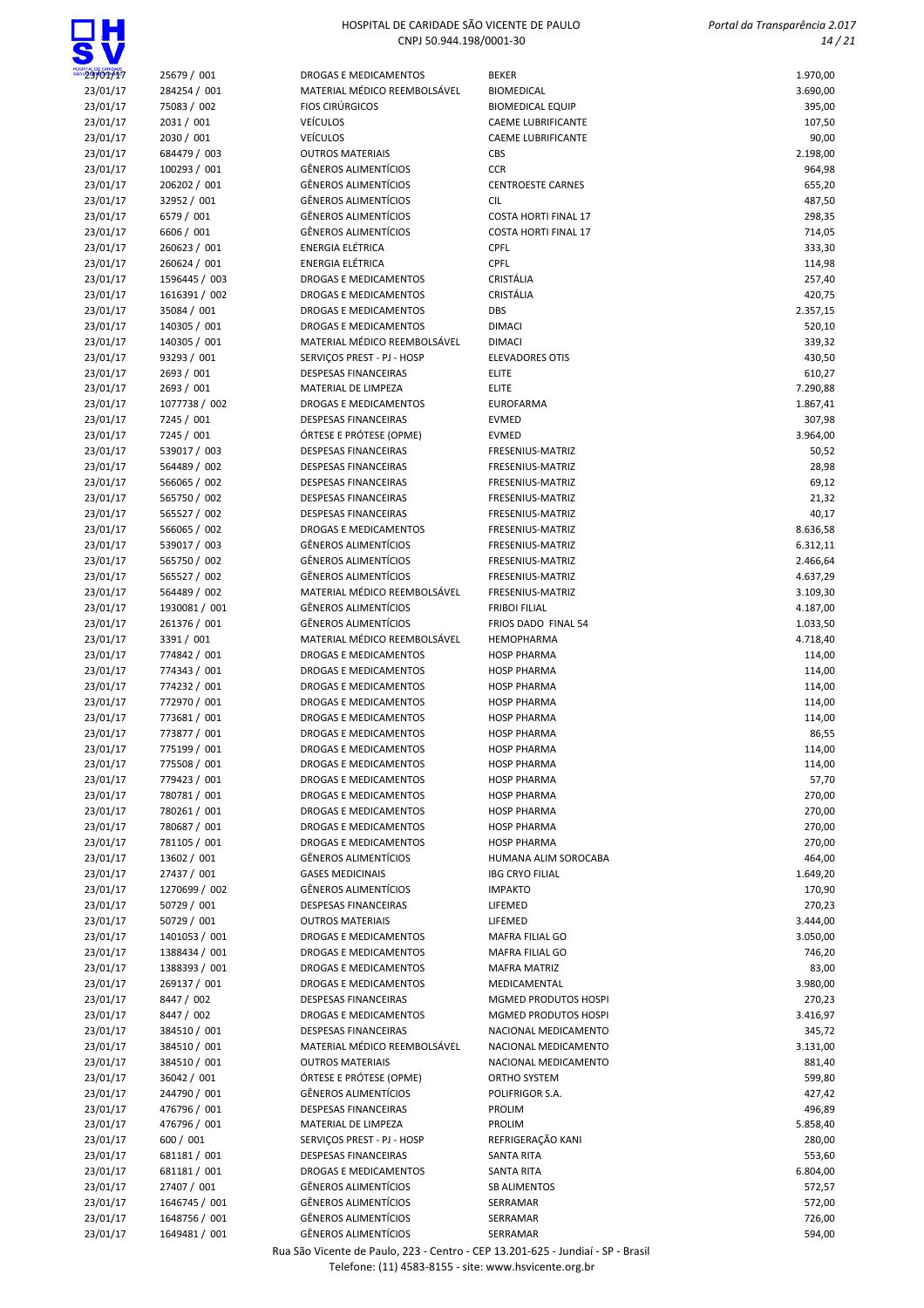

 Portal da Transparência 2.017 14 / 21

| 23/01/17 | 25679 / 001   | DROGAS E MEDICAMENTOS        | <b>BEKER</b>                | 1.970,00 |
|----------|---------------|------------------------------|-----------------------------|----------|
| 23/01/17 | 284254 / 001  | MATERIAL MÉDICO REEMBOLSÁVEL | <b>BIOMEDICAL</b>           | 3.690,00 |
| 23/01/17 | 75083 / 002   | <b>FIOS CIRÚRGICOS</b>       | <b>BIOMEDICAL EQUIP</b>     | 395,00   |
| 23/01/17 | 2031 / 001    | <b>VEÍCULOS</b>              | <b>CAEME LUBRIFICANTE</b>   | 107,50   |
| 23/01/17 | 2030 / 001    | <b>VEÍCULOS</b>              | <b>CAEME LUBRIFICANTE</b>   | 90,00    |
| 23/01/17 | 684479 / 003  | <b>OUTROS MATERIAIS</b>      | <b>CBS</b>                  | 2.198,00 |
|          |               |                              |                             |          |
| 23/01/17 | 100293 / 001  | <b>GÊNEROS ALIMENTÍCIOS</b>  | <b>CCR</b>                  | 964,98   |
| 23/01/17 | 206202 / 001  | <b>GÊNEROS ALIMENTÍCIOS</b>  | <b>CENTROESTE CARNES</b>    | 655,20   |
| 23/01/17 | 32952 / 001   | <b>GÊNEROS ALIMENTÍCIOS</b>  | <b>CIL</b>                  | 487,50   |
| 23/01/17 | 6579 / 001    | <b>GÊNEROS ALIMENTÍCIOS</b>  | <b>COSTA HORTI FINAL 17</b> | 298,35   |
| 23/01/17 | 6606 / 001    | <b>GÊNEROS ALIMENTÍCIOS</b>  | <b>COSTA HORTI FINAL 17</b> | 714,05   |
| 23/01/17 | 260623 / 001  | ENERGIA ELÉTRICA             | CPFL                        | 333,30   |
|          | 260624 / 001  | <b>ENERGIA ELÉTRICA</b>      | CPFL                        |          |
| 23/01/17 |               |                              |                             | 114,98   |
| 23/01/17 | 1596445 / 003 | <b>DROGAS E MEDICAMENTOS</b> | <b>CRISTÁLIA</b>            | 257,40   |
| 23/01/17 | 1616391 / 002 | DROGAS E MEDICAMENTOS        | CRISTÁLIA                   | 420,75   |
| 23/01/17 | 35084 / 001   | DROGAS E MEDICAMENTOS        | DBS                         | 2.357,15 |
| 23/01/17 | 140305 / 001  | DROGAS E MEDICAMENTOS        | <b>DIMACI</b>               | 520,10   |
| 23/01/17 | 140305 / 001  | MATERIAL MÉDICO REEMBOLSÁVEL | <b>DIMACI</b>               | 339,32   |
| 23/01/17 | 93293 / 001   | SERVIÇOS PREST - PJ - HOSP   | <b>ELEVADORES OTIS</b>      | 430,50   |
|          |               |                              |                             |          |
| 23/01/17 | 2693 / 001    | DESPESAS FINANCEIRAS         | <b>ELITE</b>                | 610,27   |
| 23/01/17 | 2693 / 001    | MATERIAL DE LIMPEZA          | <b>ELITE</b>                | 7.290,88 |
| 23/01/17 | 1077738 / 002 | <b>DROGAS E MEDICAMENTOS</b> | <b>EUROFARMA</b>            | 1.867,41 |
| 23/01/17 | 7245 / 001    | <b>DESPESAS FINANCEIRAS</b>  | <b>EVMED</b>                | 307,98   |
| 23/01/17 | 7245 / 001    | ÓRTESE E PRÓTESE (OPME)      | <b>EVMED</b>                | 3.964,00 |
| 23/01/17 | 539017 / 003  | <b>DESPESAS FINANCEIRAS</b>  | FRESENIUS-MATRIZ            | 50,52    |
|          | 564489 / 002  | <b>DESPESAS FINANCEIRAS</b>  | FRESENIUS-MATRIZ            | 28,98    |
| 23/01/17 |               |                              |                             |          |
| 23/01/17 | 566065 / 002  | <b>DESPESAS FINANCEIRAS</b>  | FRESENIUS-MATRIZ            | 69,12    |
| 23/01/17 | 565750 / 002  | <b>DESPESAS FINANCEIRAS</b>  | <b>FRESENIUS-MATRIZ</b>     | 21,32    |
| 23/01/17 | 565527 / 002  | <b>DESPESAS FINANCEIRAS</b>  | FRESENIUS-MATRIZ            | 40,17    |
| 23/01/17 | 566065 / 002  | DROGAS E MEDICAMENTOS        | FRESENIUS-MATRIZ            | 8.636,58 |
| 23/01/17 | 539017 / 003  | <b>GÊNEROS ALIMENTÍCIOS</b>  | FRESENIUS-MATRIZ            | 6.312,11 |
| 23/01/17 | 565750 / 002  | <b>GÊNEROS ALIMENTÍCIOS</b>  | FRESENIUS-MATRIZ            | 2.466,64 |
|          |               |                              |                             |          |
| 23/01/17 | 565527 / 002  | <b>GÊNEROS ALIMENTÍCIOS</b>  | FRESENIUS-MATRIZ            | 4.637,29 |
| 23/01/17 | 564489 / 002  | MATERIAL MÉDICO REEMBOLSÁVEL | FRESENIUS-MATRIZ            | 3.109,30 |
| 23/01/17 | 1930081 / 001 | <b>GÊNEROS ALIMENTÍCIOS</b>  | <b>FRIBOI FILIAL</b>        | 4.187,00 |
| 23/01/17 | 261376 / 001  | <b>GÊNEROS ALIMENTÍCIOS</b>  | FRIOS DADO FINAL 54         | 1.033,50 |
| 23/01/17 | 3391 / 001    | MATERIAL MÉDICO REEMBOLSÁVEL | HEMOPHARMA                  | 4.718,40 |
| 23/01/17 | 774842 / 001  | DROGAS E MEDICAMENTOS        | <b>HOSP PHARMA</b>          | 114,00   |
|          |               | <b>DROGAS E MEDICAMENTOS</b> |                             |          |
| 23/01/17 | 774343 / 001  |                              | <b>HOSP PHARMA</b>          | 114,00   |
| 23/01/17 | 774232 / 001  | <b>DROGAS E MEDICAMENTOS</b> | <b>HOSP PHARMA</b>          | 114,00   |
| 23/01/17 | 772970 / 001  | DROGAS E MEDICAMENTOS        | <b>HOSP PHARMA</b>          | 114,00   |
| 23/01/17 | 773681 / 001  | DROGAS E MEDICAMENTOS        | <b>HOSP PHARMA</b>          | 114,00   |
| 23/01/17 | 773877 / 001  | DROGAS E MEDICAMENTOS        | <b>HOSP PHARMA</b>          | 86,55    |
| 23/01/17 | 775199 / 001  | <b>DROGAS E MEDICAMENTOS</b> | <b>HOSP PHARMA</b>          | 114,00   |
| 23/01/17 | 775508 / 001  | DROGAS E MEDICAMENTOS        | <b>HOSP PHARMA</b>          | 114,00   |
|          |               |                              |                             |          |
| 23/01/17 | 779423 / 001  | DROGAS E MEDICAMENTOS        | <b>HOSP PHARMA</b>          | 57,70    |
| 23/01/17 | 780781 / 001  | DROGAS E MEDICAMENTOS        | <b>HOSP PHARMA</b>          | 270,00   |
| 23/01/17 | 780261 / 001  | DROGAS E MEDICAMENTOS        | <b>HOSP PHARMA</b>          | 270,00   |
| 23/01/17 | 780687 / 001  | DROGAS E MEDICAMENTOS        | <b>HOSP PHARMA</b>          | 270,00   |
| 23/01/17 | 781105 / 001  | <b>DROGAS E MEDICAMENTOS</b> | <b>HOSP PHARMA</b>          | 270,00   |
| 23/01/17 | 13602 / 001   | <b>GÊNEROS ALIMENTÍCIOS</b>  | HUMANA ALIM SOROCABA        | 464,00   |
| 23/01/17 | 27437 / 001   | <b>GASES MEDICINAIS</b>      | <b>IBG CRYO FILIAL</b>      | 1.649,20 |
|          |               |                              |                             |          |
| 23/01/17 | 1270699 / 002 | <b>GÊNEROS ALIMENTÍCIOS</b>  | <b>IMPAKTO</b>              | 170,90   |
| 23/01/17 | 50729 / 001   | <b>DESPESAS FINANCEIRAS</b>  | LIFEMED                     | 270,23   |
| 23/01/17 | 50729 / 001   | <b>OUTROS MATERIAIS</b>      | LIFEMED                     | 3.444,00 |
| 23/01/17 | 1401053 / 001 | DROGAS E MEDICAMENTOS        | MAFRA FILIAL GO             | 3.050,00 |
| 23/01/17 | 1388434 / 001 | DROGAS E MEDICAMENTOS        | MAFRA FILIAL GO             | 746,20   |
| 23/01/17 | 1388393 / 001 | DROGAS E MEDICAMENTOS        | <b>MAFRA MATRIZ</b>         | 83,00    |
|          |               |                              |                             |          |
| 23/01/17 | 269137 / 001  | DROGAS E MEDICAMENTOS        | MEDICAMENTAL                | 3.980,00 |
| 23/01/17 | 8447 / 002    | <b>DESPESAS FINANCEIRAS</b>  | MGMED PRODUTOS HOSPI        | 270,23   |
| 23/01/17 | 8447 / 002    | DROGAS E MEDICAMENTOS        | MGMED PRODUTOS HOSPI        | 3.416,97 |
| 23/01/17 | 384510 / 001  | <b>DESPESAS FINANCEIRAS</b>  | NACIONAL MEDICAMENTO        | 345,72   |
| 23/01/17 | 384510 / 001  | MATERIAL MÉDICO REEMBOLSÁVEL | NACIONAL MEDICAMENTO        | 3.131,00 |
| 23/01/17 | 384510 / 001  | <b>OUTROS MATERIAIS</b>      | NACIONAL MEDICAMENTO        | 881,40   |
| 23/01/17 | 36042 / 001   | ÓRTESE E PRÓTESE (OPME)      | ORTHO SYSTEM                | 599,80   |
|          |               |                              |                             |          |
| 23/01/17 | 244790 / 001  | <b>GÊNEROS ALIMENTÍCIOS</b>  | POLIFRIGOR S.A.             | 427,42   |
| 23/01/17 | 476796 / 001  | <b>DESPESAS FINANCEIRAS</b>  | PROLIM                      | 496,89   |
| 23/01/17 | 476796 / 001  | MATERIAL DE LIMPEZA          | PROLIM                      | 5.858,40 |
| 23/01/17 | 600 / 001     | SERVIÇOS PREST - PJ - HOSP   | REFRIGERAÇÃO KANI           | 280,00   |
| 23/01/17 | 681181 / 001  | DESPESAS FINANCEIRAS         | SANTA RITA                  | 553,60   |
| 23/01/17 | 681181 / 001  | <b>DROGAS E MEDICAMENTOS</b> | SANTA RITA                  | 6.804,00 |
| 23/01/17 | 27407 / 001   | <b>GÊNEROS ALIMENTÍCIOS</b>  | <b>SB ALIMENTOS</b>         | 572,57   |
|          |               |                              |                             |          |
| 23/01/17 | 1646745 / 001 | <b>GÊNEROS ALIMENTÍCIOS</b>  | SERRAMAR                    | 572,00   |
| 23/01/17 | 1648756 / 001 | <b>GÊNEROS ALIMENTÍCIOS</b>  | SERRAMAR                    | 726,00   |
| 23/01/17 | 1649481 / 001 | <b>GÊNEROS ALIMENTÍCIOS</b>  | SERRAMAR                    | 594,00   |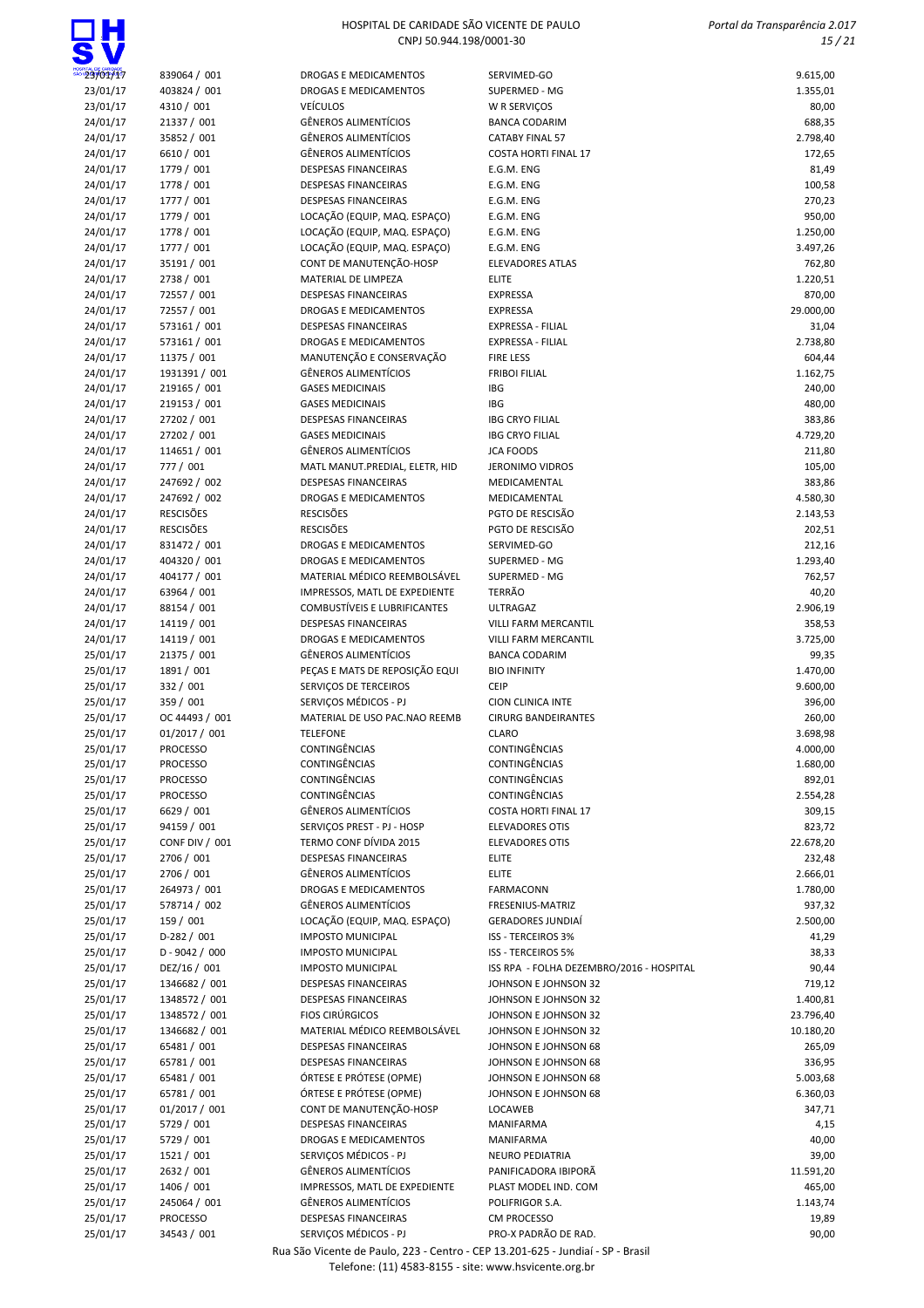$\Box H$ 

| $\bullet$          |                       |                                     |                                          |           |
|--------------------|-----------------------|-------------------------------------|------------------------------------------|-----------|
| $^{\circ}23/01/17$ | 839064 / 001          | DROGAS E MEDICAMENTOS               | SERVIMED-GO                              | 9.615,00  |
| 23/01/17           | 403824 / 001          | DROGAS E MEDICAMENTOS               | SUPERMED - MG                            | 1.355,01  |
| 23/01/17           | 4310 / 001            | <b>VEÍCULOS</b>                     | W R SERVIÇOS                             | 80,00     |
| 24/01/17           | 21337 / 001           | <b>GÊNEROS ALIMENTÍCIOS</b>         | <b>BANCA CODARIM</b>                     | 688,35    |
| 24/01/17           | 35852 / 001           | <b>GÊNEROS ALIMENTÍCIOS</b>         | <b>CATABY FINAL 57</b>                   | 2.798,40  |
| 24/01/17           | 6610 / 001            | <b>GÊNEROS ALIMENTÍCIOS</b>         | <b>COSTA HORTI FINAL 17</b>              | 172,65    |
| 24/01/17           | 1779 / 001            | DESPESAS FINANCEIRAS                | E.G.M. ENG                               | 81,49     |
| 24/01/17           | 1778 / 001            | <b>DESPESAS FINANCEIRAS</b>         | E.G.M. ENG                               | 100,58    |
| 24/01/17           | 1777 / 001            | <b>DESPESAS FINANCEIRAS</b>         | E.G.M. ENG                               | 270,23    |
| 24/01/17           | 1779 / 001            | LOCAÇÃO (EQUIP, MAQ. ESPAÇO)        | E.G.M. ENG                               | 950,00    |
| 24/01/17           | 1778 / 001            | LOCAÇÃO (EQUIP, MAQ. ESPAÇO)        | E.G.M. ENG                               | 1.250,00  |
| 24/01/17           | 1777 / 001            | LOCAÇÃO (EQUIP, MAQ. ESPAÇO)        | E.G.M. ENG                               | 3.497,26  |
| 24/01/17           | 35191 / 001           | CONT DE MANUTENÇÃO-HOSP             | <b>ELEVADORES ATLAS</b>                  | 762,80    |
| 24/01/17           | 2738 / 001            | MATERIAL DE LIMPEZA                 | <b>ELITE</b>                             | 1.220,51  |
| 24/01/17           | 72557 / 001           | DESPESAS FINANCEIRAS                | <b>EXPRESSA</b>                          | 870,00    |
| 24/01/17           | 72557 / 001           | <b>DROGAS E MEDICAMENTOS</b>        | <b>EXPRESSA</b>                          | 29.000,00 |
| 24/01/17           | 573161 / 001          | <b>DESPESAS FINANCEIRAS</b>         | <b>EXPRESSA - FILIAL</b>                 | 31,04     |
| 24/01/17           | 573161 / 001          | DROGAS E MEDICAMENTOS               | EXPRESSA - FILIAL                        | 2.738,80  |
| 24/01/17           | 11375 / 001           | MANUTENÇÃO E CONSERVAÇÃO            | <b>FIRE LESS</b>                         | 604,44    |
| 24/01/17           | 1931391 / 001         | <b>GÊNEROS ALIMENTÍCIOS</b>         | <b>FRIBOI FILIAL</b>                     | 1.162,75  |
| 24/01/17           | 219165 / 001          | <b>GASES MEDICINAIS</b>             | <b>IBG</b>                               | 240,00    |
| 24/01/17           | 219153 / 001          | <b>GASES MEDICINAIS</b>             | <b>IBG</b>                               | 480,00    |
| 24/01/17           | 27202 / 001           | DESPESAS FINANCEIRAS                | <b>IBG CRYO FILIAL</b>                   | 383,86    |
| 24/01/17           | 27202 / 001           | <b>GASES MEDICINAIS</b>             | <b>IBG CRYO FILIAL</b>                   | 4.729,20  |
| 24/01/17           | 114651 / 001          | <b>GÊNEROS ALIMENTÍCIOS</b>         | <b>JCA FOODS</b>                         | 211,80    |
| 24/01/17           | 777 / 001             | MATL MANUT.PREDIAL, ELETR, HID      | <b>JERONIMO VIDROS</b>                   | 105,00    |
| 24/01/17           | 247692 / 002          | <b>DESPESAS FINANCEIRAS</b>         | MEDICAMENTAL                             | 383,86    |
| 24/01/17           | 247692 / 002          | <b>DROGAS E MEDICAMENTOS</b>        | MEDICAMENTAL                             | 4.580,30  |
| 24/01/17           | <b>RESCISÕES</b>      | <b>RESCISÕES</b>                    | PGTO DE RESCISÃO                         | 2.143,53  |
| 24/01/17           | <b>RESCISÕES</b>      | <b>RESCISÕES</b>                    | PGTO DE RESCISÃO                         | 202,51    |
| 24/01/17           | 831472 / 001          | <b>DROGAS E MEDICAMENTOS</b>        | SERVIMED-GO                              | 212,16    |
| 24/01/17           | 404320 / 001          | DROGAS E MEDICAMENTOS               | SUPERMED - MG                            | 1.293,40  |
| 24/01/17           | 404177 / 001          | MATERIAL MÉDICO REEMBOLSÁVEL        | SUPERMED - MG                            | 762,57    |
| 24/01/17           | 63964 / 001           | IMPRESSOS, MATL DE EXPEDIENTE       | <b>TERRÃO</b>                            | 40,20     |
| 24/01/17           | 88154 / 001           | <b>COMBUSTÍVEIS E LUBRIFICANTES</b> | <b>ULTRAGAZ</b>                          | 2.906,19  |
| 24/01/17           | 14119 / 001           | <b>DESPESAS FINANCEIRAS</b>         | <b>VILLI FARM MERCANTIL</b>              | 358,53    |
| 24/01/17           | 14119 / 001           | DROGAS E MEDICAMENTOS               | <b>VILLI FARM MERCANTIL</b>              | 3.725,00  |
| 25/01/17           | 21375 / 001           | <b>GÊNEROS ALIMENTÍCIOS</b>         | <b>BANCA CODARIM</b>                     | 99,35     |
| 25/01/17           | 1891 / 001            | PEÇAS E MATS DE REPOSIÇÃO EQUI      | <b>BIO INFINITY</b>                      | 1.470,00  |
| 25/01/17           | 332 / 001             | SERVIÇOS DE TERCEIROS               | <b>CEIP</b>                              | 9.600,00  |
| 25/01/17           | 359 / 001             | SERVIÇOS MÉDICOS - PJ               | <b>CION CLINICA INTE</b>                 | 396,00    |
| 25/01/17           | OC 44493 / 001        | MATERIAL DE USO PAC.NAO REEMB       | <b>CIRURG BANDEIRANTES</b>               | 260,00    |
| 25/01/17           | 01/2017 / 001         | <b>TELEFONE</b>                     | <b>CLARO</b>                             | 3.698,98  |
| 25/01/17           | <b>PROCESSO</b>       | CONTINGÊNCIAS                       | CONTINGÊNCIAS                            | 4.000,00  |
| 25/01/17           | <b>PROCESSO</b>       | <b>CONTINGÊNCIAS</b>                | CONTINGÊNCIAS                            | 1.680,00  |
| 25/01/17           | <b>PROCESSO</b>       | CONTINGÊNCIAS                       | CONTINGÊNCIAS                            | 892,01    |
| 25/01/17           | <b>PROCESSO</b>       | CONTINGÊNCIAS                       | <b>CONTINGÊNCIAS</b>                     | 2.554,28  |
| 25/01/17           | 6629 / 001            | <b>GÊNEROS ALIMENTÍCIOS</b>         | <b>COSTA HORTI FINAL 17</b>              | 309,15    |
| 25/01/17           | 94159 / 001           | SERVIÇOS PREST - PJ - HOSP          | <b>ELEVADORES OTIS</b>                   | 823,72    |
| 25/01/17           | <b>CONF DIV / 001</b> | TERMO CONF DÍVIDA 2015              | <b>ELEVADORES OTIS</b>                   | 22.678,20 |
| 25/01/17           | 2706 / 001            | DESPESAS FINANCEIRAS                | <b>ELITE</b>                             | 232,48    |
| 25/01/17           | 2706 / 001            | <b>GÊNEROS ALIMENTÍCIOS</b>         | <b>ELITE</b>                             | 2.666,01  |
| 25/01/17           | 264973 / 001          | <b>DROGAS E MEDICAMENTOS</b>        | <b>FARMACONN</b>                         | 1.780,00  |
| 25/01/17           | 578714 / 002          | <b>GÊNEROS ALIMENTÍCIOS</b>         | FRESENIUS-MATRIZ                         | 937,32    |
| 25/01/17           | 159 / 001             | LOCAÇÃO (EQUIP, MAQ. ESPAÇO)        | <b>GERADORES JUNDIAÍ</b>                 | 2.500,00  |
| 25/01/17           | $D-282 / 001$         | <b>IMPOSTO MUNICIPAL</b>            | <b>ISS - TERCEIROS 3%</b>                | 41,29     |
| 25/01/17           | $D - 9042 / 000$      | <b>IMPOSTO MUNICIPAL</b>            | <b>ISS - TERCEIROS 5%</b>                | 38,33     |
| 25/01/17           | DEZ/16 / 001          | <b>IMPOSTO MUNICIPAL</b>            | ISS RPA - FOLHA DEZEMBRO/2016 - HOSPITAL | 90,44     |
| 25/01/17           | 1346682 / 001         | DESPESAS FINANCEIRAS                | JOHNSON E JOHNSON 32                     | 719,12    |
| 25/01/17           | 1348572 / 001         | <b>DESPESAS FINANCEIRAS</b>         | JOHNSON E JOHNSON 32                     | 1.400,81  |
| 25/01/17           | 1348572 / 001         | <b>FIOS CIRÚRGICOS</b>              | JOHNSON E JOHNSON 32                     | 23.796,40 |
| 25/01/17           | 1346682 / 001         | MATERIAL MÉDICO REEMBOLSÁVEL        | JOHNSON E JOHNSON 32                     | 10.180,20 |
| 25/01/17           | 65481 / 001           | <b>DESPESAS FINANCEIRAS</b>         | JOHNSON E JOHNSON 68                     | 265,09    |
| 25/01/17           | 65781 / 001           | DESPESAS FINANCEIRAS                | JOHNSON E JOHNSON 68                     | 336,95    |
| 25/01/17           | 65481 / 001           | ÓRTESE E PRÓTESE (OPME)             | JOHNSON E JOHNSON 68                     | 5.003,68  |
| 25/01/17           | 65781 / 001           | ÓRTESE E PRÓTESE (OPME)             | JOHNSON E JOHNSON 68                     | 6.360,03  |
| 25/01/17           | 01/2017 / 001         | CONT DE MANUTENÇÃO-HOSP             | LOCAWEB                                  | 347,71    |
| 25/01/17           | 5729 / 001            | <b>DESPESAS FINANCEIRAS</b>         | MANIFARMA                                | 4,15      |
| 25/01/17           | 5729 / 001            | DROGAS E MEDICAMENTOS               | MANIFARMA                                | 40,00     |
| 25/01/17           | 1521 / 001            | SERVIÇOS MÉDICOS - PJ               | <b>NEURO PEDIATRIA</b>                   | 39,00     |
| 25/01/17           | 2632 / 001            | <b>GÊNEROS ALIMENTÍCIOS</b>         | PANIFICADORA IBIPORÃ                     | 11.591,20 |
| 25/01/17           | 1406 / 001            | IMPRESSOS, MATL DE EXPEDIENTE       | PLAST MODEL IND. COM                     | 465,00    |
| 25/01/17           | 245064 / 001          | <b>GÊNEROS ALIMENTÍCIOS</b>         | POLIFRIGOR S.A.                          | 1.143,74  |
| 25/01/17           | <b>PROCESSO</b>       | <b>DESPESAS FINANCEIRAS</b>         | <b>CM PROCESSO</b>                       | 19,89     |
| 25/01/17           | 34543 / 001           | SERVIÇOS MÉDICOS - PJ               | PRO-X PADRÃO DE RAD.                     | 90,00     |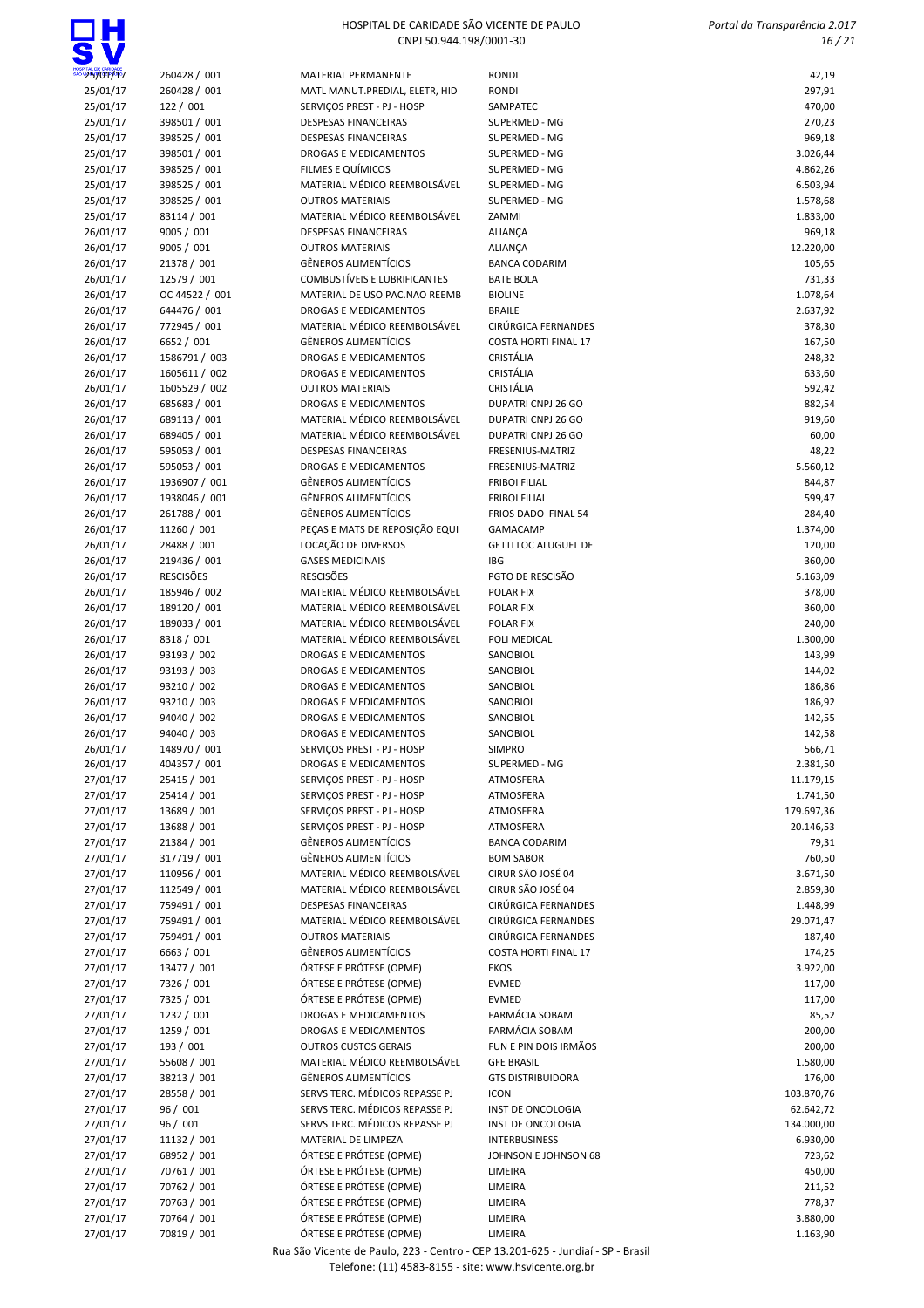## $\Box H$

### HOSPITAL DE CARIDADE SÃO VICENTE DE PAULO CNPJ 50.944.198/0001-30

 Portal da Transparência 2.017 16 / 21

| 25/01/17 | 260428 / 001     | MATERIAL PERMANENTE                 | <b>RONDI</b>                | 42,19      |
|----------|------------------|-------------------------------------|-----------------------------|------------|
| 25/01/17 | 260428 / 001     | MATL MANUT.PREDIAL, ELETR, HID      | <b>RONDI</b>                | 297,91     |
| 25/01/17 | 122 / 001        | SERVICOS PREST - PJ - HOSP          | SAMPATEC                    | 470,00     |
| 25/01/17 | 398501 / 001     | <b>DESPESAS FINANCEIRAS</b>         | SUPERMED - MG               | 270,23     |
| 25/01/17 | 398525 / 001     | <b>DESPESAS FINANCEIRAS</b>         | SUPERMED - MG               | 969,18     |
| 25/01/17 | 398501 / 001     | <b>DROGAS E MEDICAMENTOS</b>        | SUPERMED - MG               | 3.026,44   |
| 25/01/17 | 398525 / 001     | FILMES E QUÍMICOS                   | SUPERMED - MG               | 4.862,26   |
| 25/01/17 | 398525 / 001     | MATERIAL MÉDICO REEMBOLSÁVEL        | SUPERMED - MG               | 6.503,94   |
| 25/01/17 | 398525 / 001     | <b>OUTROS MATERIAIS</b>             | SUPERMED - MG               | 1.578,68   |
| 25/01/17 | 83114 / 001      | MATERIAL MÉDICO REEMBOLSÁVEL        | ZAMMI                       | 1.833,00   |
| 26/01/17 | 9005 / 001       | <b>DESPESAS FINANCEIRAS</b>         | <b>ALIANÇA</b>              | 969,18     |
| 26/01/17 | 9005 / 001       | <b>OUTROS MATERIAIS</b>             | <b>ALIANÇA</b>              | 12.220,00  |
|          | 21378 / 001      | <b>GÊNEROS ALIMENTÍCIOS</b>         |                             | 105,65     |
| 26/01/17 |                  |                                     | <b>BANCA CODARIM</b>        |            |
| 26/01/17 | 12579 / 001      | <b>COMBUSTÍVEIS E LUBRIFICANTES</b> | <b>BATE BOLA</b>            | 731,33     |
| 26/01/17 | OC 44522 / 001   | MATERIAL DE USO PAC.NAO REEMB       | <b>BIOLINE</b>              | 1.078,64   |
| 26/01/17 | 644476 / 001     | DROGAS E MEDICAMENTOS               | <b>BRAILE</b>               | 2.637,92   |
| 26/01/17 | 772945 / 001     | MATERIAL MÉDICO REEMBOLSÁVEL        | <b>CIRÚRGICA FERNANDES</b>  | 378,30     |
| 26/01/17 | 6652 / 001       | <b>GÊNEROS ALIMENTÍCIOS</b>         | <b>COSTA HORTI FINAL 17</b> | 167,50     |
| 26/01/17 | 1586791 / 003    | DROGAS E MEDICAMENTOS               | <b>CRISTÁLIA</b>            | 248,32     |
| 26/01/17 | 1605611 / 002    | <b>DROGAS E MEDICAMENTOS</b>        | <b>CRISTÁLIA</b>            | 633,60     |
| 26/01/17 | 1605529 / 002    | <b>OUTROS MATERIAIS</b>             | CRISTÁLIA                   | 592,42     |
| 26/01/17 | 685683 / 001     | DROGAS E MEDICAMENTOS               | DUPATRI CNPJ 26 GO          | 882,54     |
| 26/01/17 | 689113 / 001     | MATERIAL MÉDICO REEMBOLSÁVEL        | <b>DUPATRI CNPJ 26 GO</b>   | 919,60     |
| 26/01/17 | 689405 / 001     | MATERIAL MÉDICO REEMBOLSÁVEL        | DUPATRI CNPJ 26 GO          | 60,00      |
| 26/01/17 | 595053 / 001     | <b>DESPESAS FINANCEIRAS</b>         | FRESENIUS-MATRIZ            | 48,22      |
| 26/01/17 | 595053 / 001     | <b>DROGAS E MEDICAMENTOS</b>        | FRESENIUS-MATRIZ            | 5.560,12   |
| 26/01/17 | 1936907 / 001    | <b>GÊNEROS ALIMENTÍCIOS</b>         | <b>FRIBOI FILIAL</b>        | 844,87     |
| 26/01/17 | 1938046 / 001    | <b>GÊNEROS ALIMENTÍCIOS</b>         | <b>FRIBOI FILIAL</b>        | 599,47     |
| 26/01/17 | 261788 / 001     | <b>GÊNEROS ALIMENTÍCIOS</b>         | FRIOS DADO FINAL 54         | 284,40     |
| 26/01/17 | 11260 / 001      | PEÇAS E MATS DE REPOSIÇÃO EQUI      | <b>GAMACAMP</b>             | 1.374,00   |
| 26/01/17 | 28488 / 001      | LOCAÇÃO DE DIVERSOS                 | GETTI LOC ALUGUEL DE        | 120,00     |
|          |                  |                                     |                             |            |
| 26/01/17 | 219436 / 001     | <b>GASES MEDICINAIS</b>             | <b>IBG</b>                  | 360,00     |
| 26/01/17 | <b>RESCISÕES</b> | <b>RESCISÕES</b>                    | PGTO DE RESCISÃO            | 5.163,09   |
| 26/01/17 | 185946 / 002     | MATERIAL MÉDICO REEMBOLSÁVEL        | POLAR FIX                   | 378,00     |
| 26/01/17 | 189120 / 001     | MATERIAL MÉDICO REEMBOLSÁVEL        | POLAR FIX                   | 360,00     |
| 26/01/17 | 189033 / 001     | MATERIAL MÉDICO REEMBOLSÁVEL        | POLAR FIX                   | 240,00     |
| 26/01/17 | 8318 / 001       | MATERIAL MÉDICO REEMBOLSÁVEL        | POLI MEDICAL                | 1.300,00   |
| 26/01/17 | 93193 / 002      | <b>DROGAS E MEDICAMENTOS</b>        | SANOBIOL                    | 143,99     |
| 26/01/17 | 93193 / 003      | DROGAS E MEDICAMENTOS               | SANOBIOL                    | 144,02     |
| 26/01/17 | 93210 / 002      | DROGAS E MEDICAMENTOS               | SANOBIOL                    | 186,86     |
| 26/01/17 | 93210 / 003      | DROGAS E MEDICAMENTOS               | SANOBIOL                    | 186,92     |
| 26/01/17 | 94040 / 002      | DROGAS E MEDICAMENTOS               | SANOBIOL                    | 142,55     |
| 26/01/17 | 94040 / 003      | DROGAS E MEDICAMENTOS               | SANOBIOL                    | 142,58     |
| 26/01/17 | 148970 / 001     | SERVIÇOS PREST - PJ - HOSP          | <b>SIMPRO</b>               | 566,71     |
| 26/01/17 | 404357 / 001     | DROGAS E MEDICAMENTOS               | SUPERMED - MG               | 2.381,50   |
| 27/01/17 | 25415 / 001      | SERVICOS PREST - PJ - HOSP          | ATMOSFERA                   | 11.179,15  |
| 27/01/17 | 25414 / 001      | SERVIÇOS PREST - PJ - HOSP          | ATMOSFERA                   | 1.741,50   |
| 27/01/17 | 13689 / 001      | SERVIÇOS PREST - PJ - HOSP          | ATMOSFERA                   | 179.697,36 |
| 27/01/17 | 13688 / 001      | SERVIÇOS PREST - PJ - HOSP          | ATMOSFERA                   | 20.146,53  |
| 27/01/17 | 21384 / 001      | <b>GÊNEROS ALIMENTÍCIOS</b>         | <b>BANCA CODARIM</b>        | 79,31      |
| 27/01/17 | 317719 / 001     | <b>GÊNEROS ALIMENTÍCIOS</b>         | <b>BOM SABOR</b>            | 760,50     |
| 27/01/17 | 110956 / 001     | MATERIAL MÉDICO REEMBOLSÁVEL        | CIRUR SÃO JOSÉ 04           | 3.671,50   |
| 27/01/17 | 112549 / 001     | MATERIAL MÉDICO REEMBOLSÁVEL        | CIRUR SÃO JOSÉ 04           | 2.859,30   |
| 27/01/17 | 759491 / 001     | <b>DESPESAS FINANCEIRAS</b>         | CIRÚRGICA FERNANDES         | 1.448,99   |
|          |                  |                                     |                             |            |
| 27/01/17 | 759491 / 001     | MATERIAL MÉDICO REEMBOLSÁVEL        | CIRÚRGICA FERNANDES         | 29.071,47  |
| 27/01/17 | 759491 / 001     | <b>OUTROS MATERIAIS</b>             | CIRÚRGICA FERNANDES         | 187,40     |
| 27/01/17 | 6663 / 001       | <b>GÊNEROS ALIMENTÍCIOS</b>         | <b>COSTA HORTI FINAL 17</b> | 174,25     |
| 27/01/17 | 13477 / 001      | ÓRTESE E PRÓTESE (OPME)             | <b>EKOS</b>                 | 3.922,00   |
| 27/01/17 | 7326 / 001       | ÓRTESE E PRÓTESE (OPME)             | <b>EVMED</b>                | 117,00     |
| 27/01/17 | 7325 / 001       | ÓRTESE E PRÓTESE (OPME)             | <b>EVMED</b>                | 117,00     |
| 27/01/17 | 1232 / 001       | DROGAS E MEDICAMENTOS               | FARMÁCIA SOBAM              | 85,52      |
| 27/01/17 | 1259 / 001       | DROGAS E MEDICAMENTOS               | <b>FARMÁCIA SOBAM</b>       | 200,00     |
| 27/01/17 | 193 / 001        | <b>OUTROS CUSTOS GERAIS</b>         | FUN E PIN DOIS IRMÃOS       | 200,00     |
| 27/01/17 | 55608 / 001      | MATERIAL MÉDICO REEMBOLSÁVEL        | <b>GFE BRASIL</b>           | 1.580,00   |
| 27/01/17 | 38213 / 001      | <b>GÊNEROS ALIMENTÍCIOS</b>         | <b>GTS DISTRIBUIDORA</b>    | 176,00     |
| 27/01/17 | 28558 / 001      | SERVS TERC. MÉDICOS REPASSE PJ      | <b>ICON</b>                 | 103.870,76 |
| 27/01/17 | 96 / 001         | SERVS TERC. MÉDICOS REPASSE PJ      | INST DE ONCOLOGIA           | 62.642,72  |
| 27/01/17 | 96 / 001         | SERVS TERC. MÉDICOS REPASSE PJ      | INST DE ONCOLOGIA           | 134.000,00 |
| 27/01/17 | 11132 / 001      | MATERIAL DE LIMPEZA                 | INTERBUSINESS               | 6.930,00   |
| 27/01/17 | 68952 / 001      | ÓRTESE E PRÓTESE (OPME)             | JOHNSON E JOHNSON 68        | 723,62     |
| 27/01/17 | 70761 / 001      | ÓRTESE E PRÓTESE (OPME)             | LIMEIRA                     | 450,00     |
| 27/01/17 | 70762 / 001      | ÓRTESE E PRÓTESE (OPME)             | LIMEIRA                     | 211,52     |
| 27/01/17 | 70763 / 001      | ÓRTESE E PRÓTESE (OPME)             | LIMEIRA                     | 778,37     |
| 27/01/17 | 70764 / 001      | ÓRTESE E PRÓTESE (OPME)             | LIMEIRA                     | 3.880,00   |
| 27/01/17 | 70819 / 001      | ÓRTESE E PRÓTESE (OPME)             | LIMEIRA                     | 1.163,90   |
|          |                  |                                     |                             |            |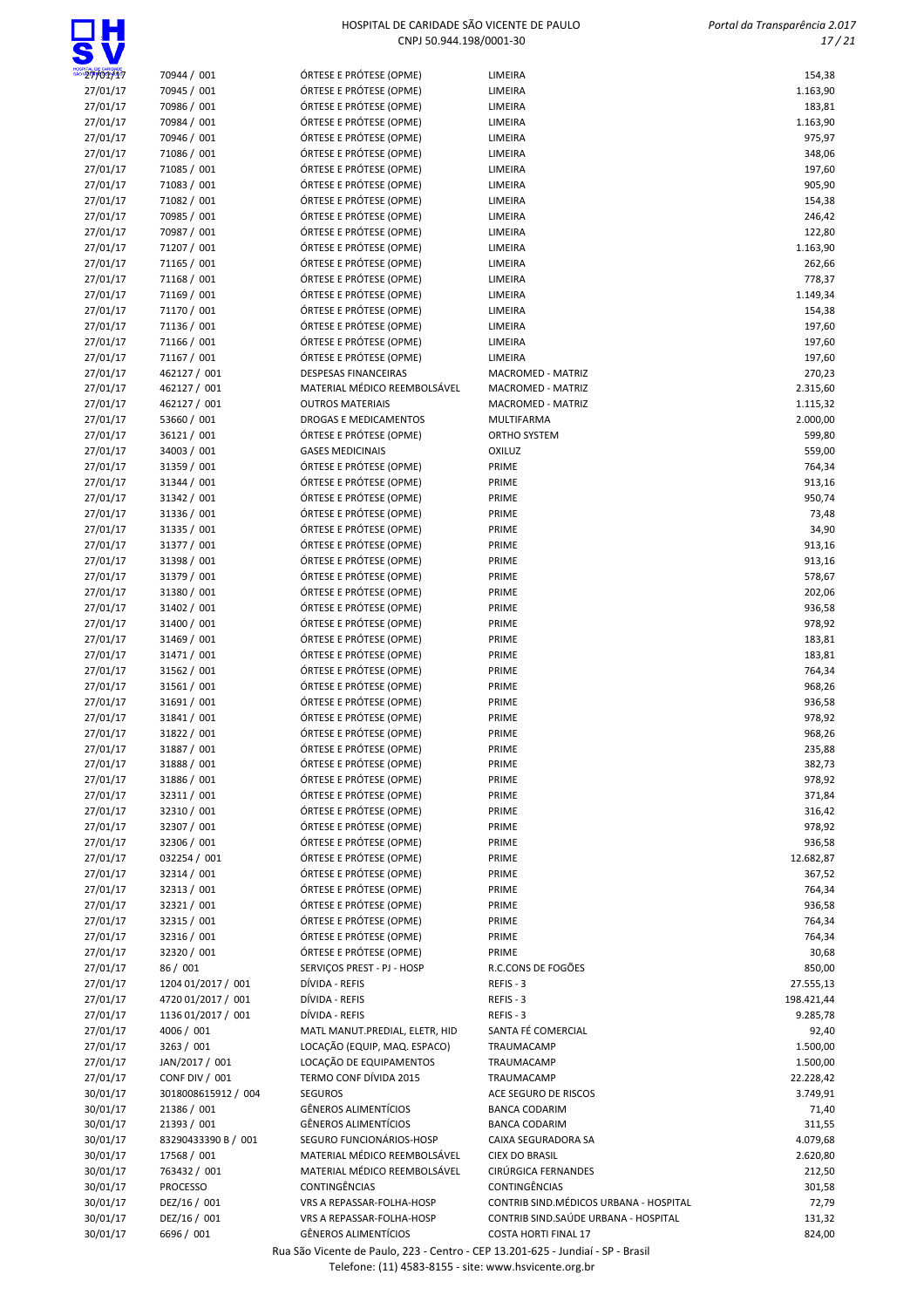|                      |                                  | CNPJ 50.944.198/0001-30                            |                                         | 17/21             |
|----------------------|----------------------------------|----------------------------------------------------|-----------------------------------------|-------------------|
| 27/01/17             | 70944 / 001                      | ÓRTESE E PRÓTESE (OPME)                            | LIMEIRA                                 | 154,38            |
| 27/01/17             | 70945 / 001                      | ÓRTESE E PRÓTESE (OPME)                            | LIMEIRA                                 | 1.163,90          |
| 27/01/17             | 70986 / 001                      | ÓRTESE E PRÓTESE (OPME)                            | LIMEIRA                                 | 183,81            |
| 27/01/17             | 70984 / 001                      | ÓRTESE E PRÓTESE (OPME)                            | LIMEIRA                                 | 1.163,90          |
| 27/01/17             | 70946 / 001                      | ÓRTESE E PRÓTESE (OPME)                            | LIMEIRA                                 | 975,97            |
| 27/01/17             | 71086 / 001                      | ÓRTESE E PRÓTESE (OPME)                            | LIMEIRA                                 | 348,06            |
| 27/01/17             | 71085 / 001                      | ÓRTESE E PRÓTESE (OPME)                            | LIMEIRA                                 | 197,60            |
| 27/01/17             | 71083 / 001                      | ÓRTESE E PRÓTESE (OPME)                            | LIMEIRA                                 | 905,90            |
| 27/01/17             | 71082 / 001                      | ÓRTESE E PRÓTESE (OPME)                            | LIMEIRA                                 | 154,38            |
| 27/01/17             | 70985 / 001                      | ÓRTESE E PRÓTESE (OPME)                            | LIMEIRA                                 | 246,42            |
| 27/01/17             | 70987 / 001                      | ÓRTESE E PRÓTESE (OPME)                            | LIMEIRA                                 | 122,80            |
| 27/01/17             | 71207 / 001                      | ÓRTESE E PRÓTESE (OPME)                            | LIMEIRA                                 | 1.163,90          |
| 27/01/17<br>27/01/17 | 71165 / 001<br>71168 / 001       | ÓRTESE E PRÓTESE (OPME)<br>ÓRTESE E PRÓTESE (OPME) | LIMEIRA<br>LIMEIRA                      | 262,66<br>778,37  |
| 27/01/17             | 71169 / 001                      | ÓRTESE E PRÓTESE (OPME)                            | LIMEIRA                                 | 1.149,34          |
| 27/01/17             | 71170 / 001                      | ÓRTESE E PRÓTESE (OPME)                            | LIMEIRA                                 | 154,38            |
| 27/01/17             | 71136 / 001                      | ÓRTESE E PRÓTESE (OPME)                            | LIMEIRA                                 | 197,60            |
| 27/01/17             | 71166 / 001                      | ÓRTESE E PRÓTESE (OPME)                            | LIMEIRA                                 | 197,60            |
| 27/01/17             | 71167 / 001                      | ÓRTESE E PRÓTESE (OPME)                            | LIMEIRA                                 | 197,60            |
| 27/01/17             | 462127 / 001                     | <b>DESPESAS FINANCEIRAS</b>                        | MACROMED - MATRIZ                       | 270,23            |
| 27/01/17             | 462127 / 001                     | MATERIAL MÉDICO REEMBOLSÁVEL                       | <b>MACROMED - MATRIZ</b>                | 2.315,60          |
| 27/01/17             | 462127 / 001                     | <b>OUTROS MATERIAIS</b>                            | MACROMED - MATRIZ                       | 1.115,32          |
| 27/01/17             | 53660 / 001                      | DROGAS E MEDICAMENTOS                              | MULTIFARMA                              | 2.000,00          |
| 27/01/17             | 36121 / 001                      | ÓRTESE E PRÓTESE (OPME)                            | <b>ORTHO SYSTEM</b>                     | 599,80            |
| 27/01/17             | 34003 / 001                      | <b>GASES MEDICINAIS</b>                            | <b>OXILUZ</b>                           | 559,00            |
| 27/01/17             | 31359 / 001                      | ÓRTESE E PRÓTESE (OPME)                            | PRIME                                   | 764,34            |
| 27/01/17             | 31344 / 001                      | ÓRTESE E PRÓTESE (OPME)                            | PRIME                                   | 913,16            |
| 27/01/17             | 31342 / 001                      | ÓRTESE E PRÓTESE (OPME)                            | PRIME                                   | 950,74            |
| 27/01/17<br>27/01/17 | 31336 / 001<br>31335 / 001       | ÓRTESE E PRÓTESE (OPME)<br>ÓRTESE E PRÓTESE (OPME) | PRIME<br>PRIME                          | 73,48<br>34,90    |
| 27/01/17             | 31377 / 001                      | ÓRTESE E PRÓTESE (OPME)                            | PRIME                                   | 913,16            |
| 27/01/17             | 31398 / 001                      | ÓRTESE E PRÓTESE (OPME)                            | PRIME                                   | 913,16            |
| 27/01/17             | 31379 / 001                      | ÓRTESE E PRÓTESE (OPME)                            | PRIME                                   | 578,67            |
| 27/01/17             | 31380 / 001                      | ÓRTESE E PRÓTESE (OPME)                            | PRIME                                   | 202,06            |
| 27/01/17             | 31402 / 001                      | ÓRTESE E PRÓTESE (OPME)                            | PRIME                                   | 936,58            |
| 27/01/17             | 31400 / 001                      | ÓRTESE E PRÓTESE (OPME)                            | PRIME                                   | 978,92            |
| 27/01/17             | 31469 / 001                      | ÓRTESE E PRÓTESE (OPME)                            | PRIME                                   | 183,81            |
| 27/01/17             | 31471 / 001                      | ÓRTESE E PRÓTESE (OPME)                            | PRIME                                   | 183,81            |
| 27/01/17             | 31562 / 001                      | ÓRTESE E PRÓTESE (OPME)                            | PRIME                                   | 764,34            |
| 27/01/17             | 31561 / 001                      | ÓRTESE E PRÓTESE (OPME)                            | PRIME                                   | 968,26            |
| 27/01/17             | 31691 / 001                      | ÓRTESE E PRÓTESE (OPME)                            | PRIME                                   | 936,58            |
| 27/01/17             | 31841 / 001                      | ÓRTESE E PRÓTESE (OPME)                            | PRIME                                   | 978,92            |
| 27/01/17             | 31822 / 001                      | ORTESE E PROTESE (OPME)                            | PRIME                                   | 968,26            |
| 27/01/17<br>27/01/17 | 31887 / 001<br>31888 / 001       | ÓRTESE E PRÓTESE (OPME)<br>ÓRTESE E PRÓTESE (OPME) | PRIME<br>PRIME                          | 235,88<br>382,73  |
| 27/01/17             | 31886 / 001                      | ÓRTESE E PRÓTESE (OPME)                            | PRIME                                   | 978,92            |
| 27/01/17             | 32311 / 001                      | ÓRTESE E PRÓTESE (OPME)                            | PRIME                                   | 371,84            |
| 27/01/17             | 32310 / 001                      | ÓRTESE E PRÓTESE (OPME)                            | PRIME                                   | 316,42            |
| 27/01/17             | 32307 / 001                      | ÓRTESE E PRÓTESE (OPME)                            | PRIME                                   | 978,92            |
| 27/01/17             | 32306 / 001                      | ÓRTESE E PRÓTESE (OPME)                            | PRIME                                   | 936,58            |
| 27/01/17             | 032254 / 001                     | ÓRTESE E PRÓTESE (OPME)                            | PRIME                                   | 12.682,87         |
| 27/01/17             | 32314 / 001                      | ÓRTESE E PRÓTESE (OPME)                            | PRIME                                   | 367,52            |
| 27/01/17             | 32313 / 001                      | ÓRTESE E PRÓTESE (OPME)                            | PRIME                                   | 764,34            |
| 27/01/17             | 32321 / 001                      | ÓRTESE E PRÓTESE (OPME)                            | PRIME                                   | 936,58            |
| 27/01/17             | 32315 / 001                      | ÓRTESE E PRÓTESE (OPME)                            | PRIME                                   | 764,34            |
| 27/01/17             | 32316 / 001                      | ÓRTESE E PRÓTESE (OPME)                            | PRIME                                   | 764,34            |
| 27/01/17             | 32320 / 001                      | ÓRTESE E PRÓTESE (OPME)                            | PRIME                                   | 30,68             |
| 27/01/17             | 86 / 001                         | SERVIÇOS PREST - PJ - HOSP                         | R.C.CONS DE FOGÕES                      | 850,00            |
| 27/01/17             | 1204 01/2017 / 001               | DÍVIDA - REFIS                                     | REFIS - 3                               | 27.555,13         |
| 27/01/17             | 4720 01/2017 / 001               | DÍVIDA - REFIS                                     | REFIS - 3                               | 198.421,44        |
| 27/01/17<br>27/01/17 | 1136 01/2017 / 001<br>4006 / 001 | DÍVIDA - REFIS<br>MATL MANUT.PREDIAL, ELETR, HID   | REFIS - 3<br>SANTA FÉ COMERCIAL         | 9.285,78<br>92,40 |
| 27/01/17             | 3263 / 001                       | LOCAÇÃO (EQUIP, MAQ. ESPACO)                       | TRAUMACAMP                              | 1.500,00          |
| 27/01/17             | JAN/2017 / 001                   | LOCAÇÃO DE EQUIPAMENTOS                            | TRAUMACAMP                              | 1.500,00          |
| 27/01/17             | CONF DIV / 001                   | TERMO CONF DÍVIDA 2015                             | TRAUMACAMP                              | 22.228,42         |
| 30/01/17             | 3018008615912 / 004              | <b>SEGUROS</b>                                     | ACE SEGURO DE RISCOS                    | 3.749,91          |
| 30/01/17             | 21386 / 001                      | GÊNEROS ALIMENTÍCIOS                               | <b>BANCA CODARIM</b>                    | 71,40             |
| 30/01/17             | 21393 / 001                      | GÊNEROS ALIMENTÍCIOS                               | <b>BANCA CODARIM</b>                    | 311,55            |
| 30/01/17             | 83290433390 B / 001              | SEGURO FUNCIONÁRIOS-HOSP                           | CAIXA SEGURADORA SA                     | 4.079,68          |
| 30/01/17             | 17568 / 001                      | MATERIAL MÉDICO REEMBOLSÁVEL                       | <b>CIEX DO BRASIL</b>                   | 2.620,80          |
| 30/01/17             | 763432 / 001                     | MATERIAL MÉDICO REEMBOLSÁVEL                       | CIRÚRGICA FERNANDES                     | 212,50            |
| 30/01/17             | <b>PROCESSO</b>                  | CONTINGÊNCIAS                                      | CONTINGÊNCIAS                           | 301,58            |
| 30/01/17             | DEZ/16 / 001                     | VRS A REPASSAR-FOLHA-HOSP                          | CONTRIB SIND. MÉDICOS URBANA - HOSPITAL | 72,79             |
| 30/01/17             | DEZ/16 / 001                     | VRS A REPASSAR-FOLHA-HOSP                          | CONTRIB SIND.SAÚDE URBANA - HOSPITAL    | 131,32            |
| 30/01/17             | 6696 / 001                       | GÊNEROS ALIMENTÍCIOS                               | <b>COSTA HORTI FINAL 17</b>             | 824,00            |

HOSPITAL DE CARIDADE SÃO VICENTE DE PAULO

 $\Box H$ 

Portal da Transparência 2.017

Rua São Vicente de Paulo, 223 - Centro - CEP 13.201-625 - Jundiaí - SP - Brasil

Telefone: (11) 4583-8155 - site: www.hsvicente.org.br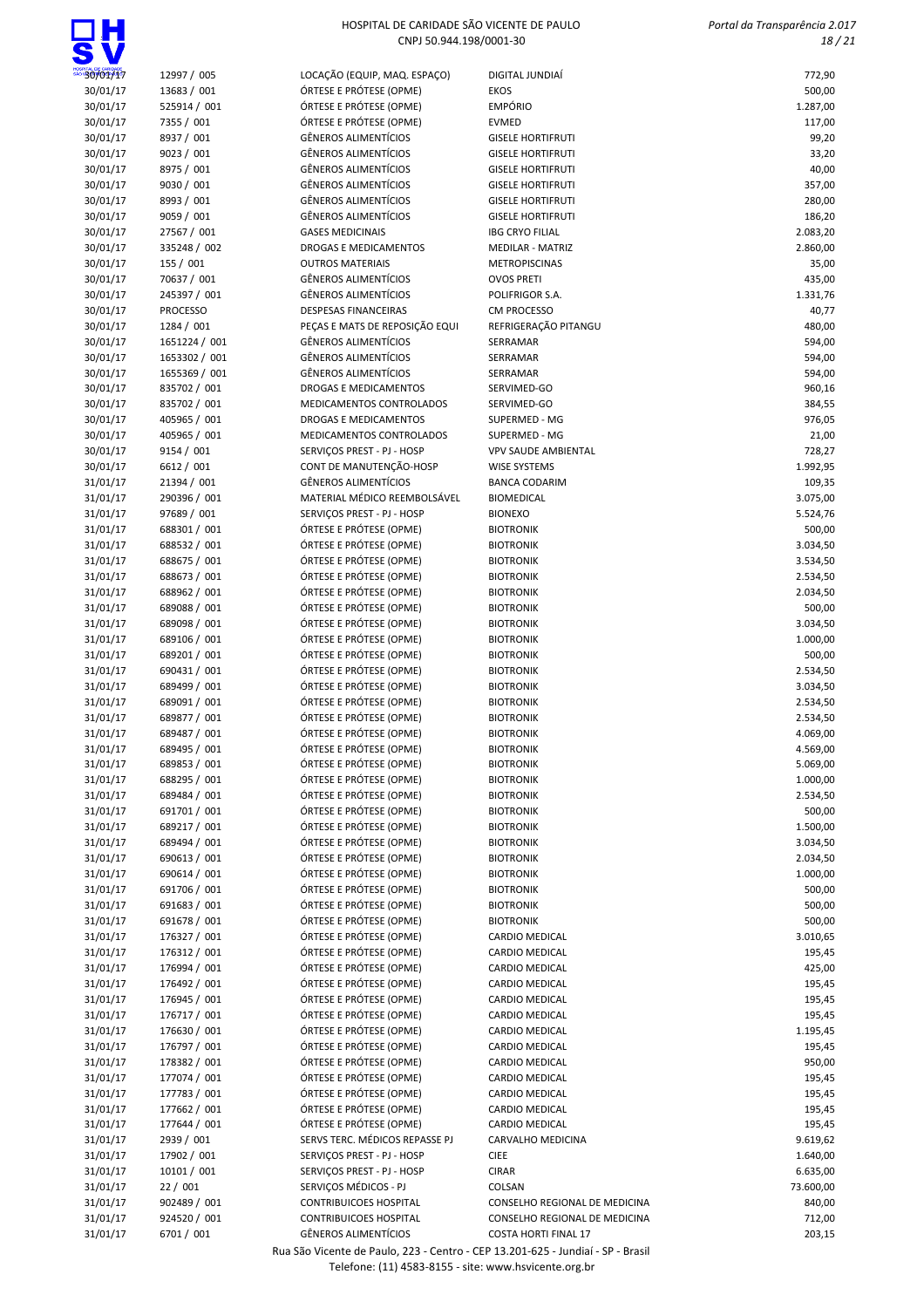

 Portal da Transparência 2.017 18 / 21

| ◥.                   |                              |                                                    |                                      |                      |
|----------------------|------------------------------|----------------------------------------------------|--------------------------------------|----------------------|
| 30/01/17             | 12997 / 005                  | LOCAÇÃO (EQUIP, MAQ. ESPAÇO)                       | DIGITAL JUNDIAÍ                      | 772,90               |
| 30/01/17             | 13683 / 001                  | ÓRTESE E PRÓTESE (OPME)                            | <b>EKOS</b>                          | 500,00               |
| 30/01/17             | 525914 / 001                 | ÓRTESE E PRÓTESE (OPME)                            | <b>EMPÓRIO</b>                       | 1.287,00             |
| 30/01/17             | 7355 / 001                   | ÓRTESE E PRÓTESE (OPME)                            | <b>EVMED</b>                         | 117,00               |
| 30/01/17             | 8937 / 001                   | <b>GÊNEROS ALIMENTÍCIOS</b>                        | <b>GISELE HORTIFRUTI</b>             | 99,20                |
| 30/01/17             | 9023 / 001                   | <b>GÊNEROS ALIMENTÍCIOS</b>                        | <b>GISELE HORTIFRUTI</b>             | 33,20                |
| 30/01/17             | 8975 / 001                   | GÊNEROS ALIMENTÍCIOS                               | <b>GISELE HORTIFRUTI</b>             | 40,00                |
| 30/01/17             | 9030 / 001                   | <b>GÊNEROS ALIMENTÍCIOS</b>                        | <b>GISELE HORTIFRUTI</b>             | 357,00               |
| 30/01/17             | 8993 / 001                   | <b>GÊNEROS ALIMENTÍCIOS</b>                        | <b>GISELE HORTIFRUTI</b>             | 280,00               |
| 30/01/17             | 9059 / 001                   | <b>GÊNEROS ALIMENTÍCIOS</b>                        | <b>GISELE HORTIFRUTI</b>             | 186,20               |
| 30/01/17             | 27567 / 001                  | <b>GASES MEDICINAIS</b>                            | <b>IBG CRYO FILIAL</b>               | 2.083,20             |
| 30/01/17             | 335248 / 002                 | <b>DROGAS E MEDICAMENTOS</b>                       | <b>MEDILAR - MATRIZ</b>              | 2.860,00             |
| 30/01/17             | 155 / 001                    | <b>OUTROS MATERIAIS</b>                            | <b>METROPISCINAS</b>                 | 35,00                |
| 30/01/17             | 70637 / 001                  | <b>GÊNEROS ALIMENTÍCIOS</b>                        | <b>OVOS PRETI</b>                    | 435,00               |
| 30/01/17             | 245397 / 001                 | <b>GÊNEROS ALIMENTÍCIOS</b>                        | POLIFRIGOR S.A.                      | 1.331,76             |
| 30/01/17             | <b>PROCESSO</b>              | <b>DESPESAS FINANCEIRAS</b>                        | <b>CM PROCESSO</b>                   | 40,77                |
| 30/01/17             | 1284 / 001                   | PEÇAS E MATS DE REPOSIÇÃO EQUI                     | REFRIGERAÇÃO PITANGU                 | 480,00               |
| 30/01/17             | 1651224 / 001                | GÊNEROS ALIMENTÍCIOS                               | SERRAMAR                             | 594,00               |
| 30/01/17             | 1653302 / 001                | <b>GÊNEROS ALIMENTÍCIOS</b>                        | SERRAMAR                             | 594,00               |
| 30/01/17             | 1655369 / 001                | <b>GÊNEROS ALIMENTÍCIOS</b>                        | SERRAMAR                             | 594,00               |
| 30/01/17             | 835702 / 001                 | <b>DROGAS E MEDICAMENTOS</b>                       | SERVIMED-GO                          | 960,16               |
| 30/01/17             | 835702 / 001                 | MEDICAMENTOS CONTROLADOS                           | SERVIMED-GO                          | 384,55               |
| 30/01/17             | 405965 / 001<br>405965 / 001 | DROGAS E MEDICAMENTOS                              | SUPERMED - MG                        | 976,05               |
| 30/01/17             |                              | MEDICAMENTOS CONTROLADOS                           | SUPERMED - MG                        | 21,00                |
| 30/01/17             | 9154 / 001                   | SERVICOS PREST - PJ - HOSP                         | <b>VPV SAUDE AMBIENTAL</b>           | 728,27               |
| 30/01/17             | 6612 / 001                   | CONT DE MANUTENÇÃO-HOSP                            | WISE SYSTEMS                         | 1.992,95             |
| 31/01/17             | 21394 / 001                  | <b>GÊNEROS ALIMENTÍCIOS</b>                        | <b>BANCA CODARIM</b>                 | 109,35               |
| 31/01/17             | 290396 / 001                 | MATERIAL MÉDICO REEMBOLSÁVEL                       | <b>BIOMEDICAL</b>                    | 3.075,00             |
| 31/01/17             | 97689 / 001                  | SERVIÇOS PREST - PJ - HOSP                         | <b>BIONEXO</b>                       | 5.524,76             |
| 31/01/17             | 688301 / 001                 | ÓRTESE E PRÓTESE (OPME)                            | <b>BIOTRONIK</b>                     | 500,00               |
| 31/01/17             | 688532 / 001                 | ÓRTESE E PRÓTESE (OPME)<br>ÓRTESE E PRÓTESE (OPME) | <b>BIOTRONIK</b>                     | 3.034,50             |
| 31/01/17<br>31/01/17 | 688675 / 001<br>688673 / 001 | ÓRTESE E PRÓTESE (OPME)                            | <b>BIOTRONIK</b><br><b>BIOTRONIK</b> | 3.534,50<br>2.534,50 |
| 31/01/17             | 688962 / 001                 | ÓRTESE E PRÓTESE (OPME)                            | <b>BIOTRONIK</b>                     | 2.034,50             |
|                      | 689088 / 001                 | ÓRTESE E PRÓTESE (OPME)                            | <b>BIOTRONIK</b>                     | 500,00               |
| 31/01/17             | 689098 / 001                 | ÓRTESE E PRÓTESE (OPME)                            | <b>BIOTRONIK</b>                     |                      |
| 31/01/17<br>31/01/17 | 689106 / 001                 | ÓRTESE E PRÓTESE (OPME)                            | <b>BIOTRONIK</b>                     | 3.034,50             |
|                      | 689201 / 001                 | ÓRTESE E PRÓTESE (OPME)                            |                                      | 1.000,00             |
| 31/01/17             | 690431 / 001                 | ÓRTESE E PRÓTESE (OPME)                            | <b>BIOTRONIK</b><br><b>BIOTRONIK</b> | 500,00               |
| 31/01/17             | 689499 / 001                 |                                                    | <b>BIOTRONIK</b>                     | 2.534,50             |
| 31/01/17             | 689091 / 001                 | ÓRTESE E PRÓTESE (OPME)<br>ÓRTESE E PRÓTESE (OPME) |                                      | 3.034,50             |
| 31/01/17<br>31/01/17 | 689877 / 001                 | ÓRTESE E PRÓTESE (OPME)                            | <b>BIOTRONIK</b><br><b>BIOTRONIK</b> | 2.534,50<br>2.534,50 |
| 31/01/17             | 689487 / 001                 | ÓRTESE E PRÓTESE (OPME)                            | <b>BIOTRONIK</b>                     | 4.069,00             |
| 31/01/17             | 689495 / 001                 | ÓRTESE E PRÓTESE (OPME)                            | <b>BIOTRONIK</b>                     | 4.569,00             |
| 31/01/17             | 689853 / 001                 | ÓRTESE E PRÓTESE (OPME)                            | <b>BIOTRONIK</b>                     | 5.069,00             |
| 31/01/17             | 688295 / 001                 | ÓRTESE E PRÓTESE (OPME)                            | <b>BIOTRONIK</b>                     | 1.000,00             |
| 31/01/17             | 689484 / 001                 | ÓRTESE E PRÓTESE (OPME)                            | <b>BIOTRONIK</b>                     | 2.534,50             |
| 31/01/17             | 691701 / 001                 | ÓRTESE E PRÓTESE (OPME)                            | <b>BIOTRONIK</b>                     | 500,00               |
| 31/01/17             | 689217 / 001                 | ÓRTESE E PRÓTESE (OPME)                            | <b>BIOTRONIK</b>                     | 1.500,00             |
| 31/01/17             | 689494 / 001                 | ÓRTESE E PRÓTESE (OPME)                            | <b>BIOTRONIK</b>                     | 3.034,50             |
| 31/01/17             | 690613 / 001                 | ÓRTESE E PRÓTESE (OPME)                            | <b>BIOTRONIK</b>                     | 2.034,50             |
| 31/01/17             | 690614 / 001                 | ÓRTESE E PRÓTESE (OPME)                            | <b>BIOTRONIK</b>                     | 1.000,00             |
| 31/01/17             | 691706 / 001                 | ÓRTESE E PRÓTESE (OPME)                            | <b>BIOTRONIK</b>                     | 500,00               |
| 31/01/17             | 691683 / 001                 | ÓRTESE E PRÓTESE (OPME)                            | <b>BIOTRONIK</b>                     | 500,00               |
| 31/01/17             | 691678 / 001                 | ÓRTESE E PRÓTESE (OPME)                            | <b>BIOTRONIK</b>                     | 500,00               |
| 31/01/17             | 176327 / 001                 | ÓRTESE E PRÓTESE (OPME)                            | CARDIO MEDICAL                       | 3.010,65             |
| 31/01/17             | 176312 / 001                 | ÓRTESE E PRÓTESE (OPME)                            | CARDIO MEDICAL                       | 195,45               |
| 31/01/17             | 176994 / 001                 | ÓRTESE E PRÓTESE (OPME)                            | CARDIO MEDICAL                       | 425,00               |
| 31/01/17             | 176492 / 001                 | ÓRTESE E PRÓTESE (OPME)                            | CARDIO MEDICAL                       | 195,45               |
| 31/01/17             | 176945 / 001                 | ÓRTESE E PRÓTESE (OPME)                            | CARDIO MEDICAL                       | 195,45               |
| 31/01/17             | 176717 / 001                 | ÓRTESE E PRÓTESE (OPME)                            | CARDIO MEDICAL                       | 195,45               |
| 31/01/17             | 176630 / 001                 | ÓRTESE E PRÓTESE (OPME)                            | CARDIO MEDICAL                       | 1.195,45             |
| 31/01/17             | 176797 / 001                 | ÓRTESE E PRÓTESE (OPME)                            | CARDIO MEDICAL                       | 195,45               |
| 31/01/17             | 178382 / 001                 | ÓRTESE E PRÓTESE (OPME)                            | CARDIO MEDICAL                       | 950,00               |
| 31/01/17             | 177074 / 001                 | ÓRTESE E PRÓTESE (OPME)                            | CARDIO MEDICAL                       | 195,45               |
| 31/01/17             | 177783 / 001                 | ÓRTESE E PRÓTESE (OPME)                            | CARDIO MEDICAL                       | 195,45               |
| 31/01/17             | 177662 / 001                 | ÓRTESE E PRÓTESE (OPME)                            | CARDIO MEDICAL                       | 195,45               |
| 31/01/17             | 177644 / 001                 | ÓRTESE E PRÓTESE (OPME)                            | CARDIO MEDICAL                       | 195,45               |
| 31/01/17             | 2939 / 001                   | SERVS TERC. MÉDICOS REPASSE PJ                     | CARVALHO MEDICINA                    | 9.619,62             |
| 31/01/17             | 17902 / 001                  | SERVIÇOS PREST - PJ - HOSP                         | <b>CIEE</b>                          | 1.640,00             |
| 31/01/17             | 10101 / 001                  | SERVIÇOS PREST - PJ - HOSP                         | <b>CIRAR</b>                         | 6.635,00             |
| 31/01/17             | 22/001                       | SERVIÇOS MÉDICOS - PJ                              | COLSAN                               | 73.600,00            |
| 31/01/17             | 902489 / 001                 | <b>CONTRIBUICOES HOSPITAL</b>                      | CONSELHO REGIONAL DE MEDICINA        | 840,00               |
| 31/01/17             | 924520 / 001                 | <b>CONTRIBUICOES HOSPITAL</b>                      | CONSELHO REGIONAL DE MEDICINA        | 712,00               |
| 31/01/17             | 6701 / 001                   | <b>GÊNEROS ALIMENTÍCIOS</b>                        | <b>COSTA HORTI FINAL 17</b>          | 203,15               |
|                      |                              |                                                    |                                      |                      |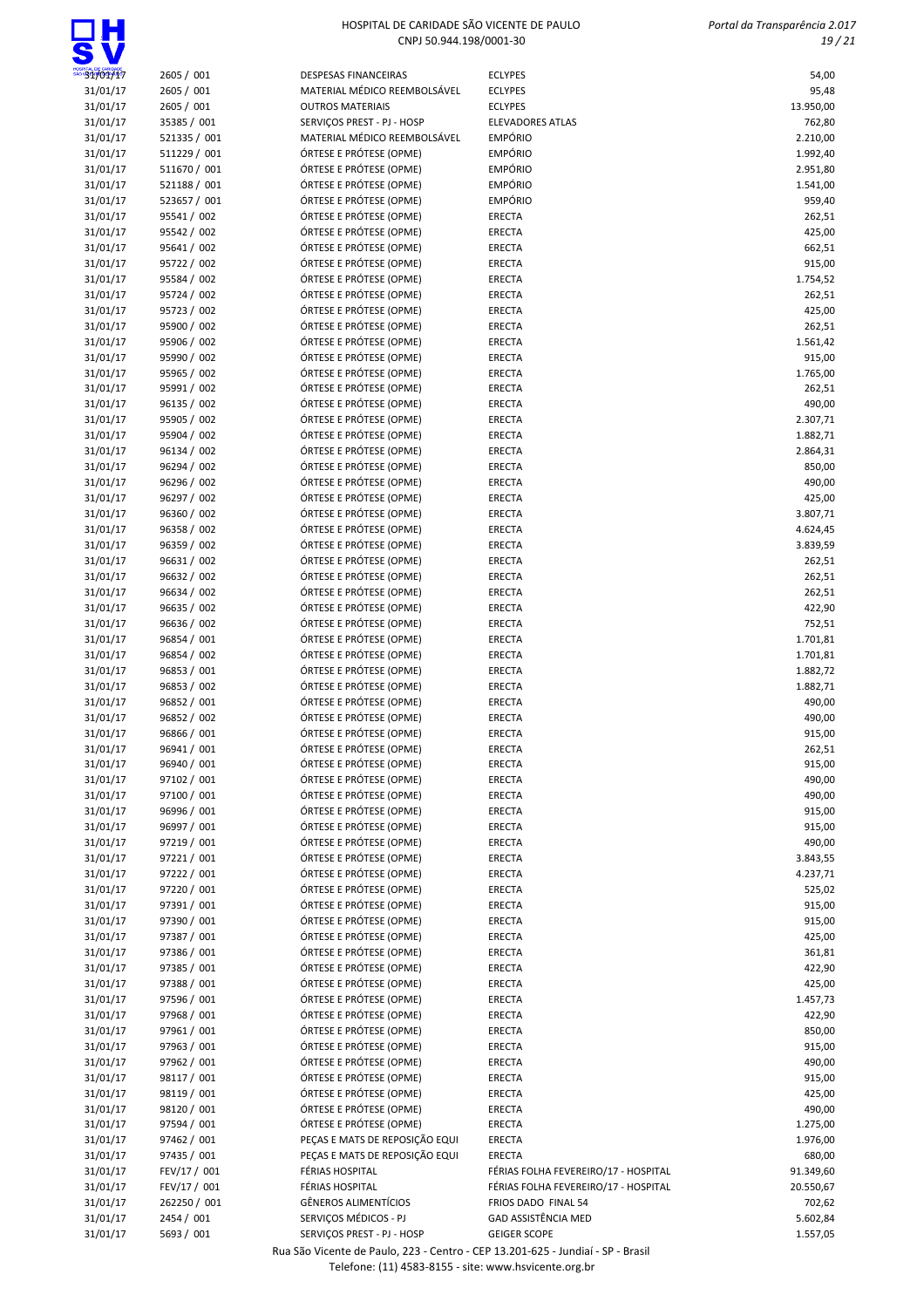

| 31/01/17 | 2605 / 001   | <b>DESPESAS FINANCEIRAS</b>    | <b>ECLYPES</b>                       | 54,00     |
|----------|--------------|--------------------------------|--------------------------------------|-----------|
| 31/01/17 | 2605 / 001   | MATERIAL MÉDICO REEMBOLSÁVEL   | <b>ECLYPES</b>                       | 95,48     |
| 31/01/17 | 2605 / 001   | <b>OUTROS MATERIAIS</b>        | <b>ECLYPES</b>                       | 13.950,00 |
| 31/01/17 | 35385 / 001  | SERVIÇOS PREST - PJ - HOSP     | <b>ELEVADORES ATLAS</b>              | 762,80    |
| 31/01/17 | 521335 / 001 | MATERIAL MÉDICO REEMBOLSÁVEL   | <b>EMPÓRIO</b>                       | 2.210,00  |
| 31/01/17 | 511229 / 001 | ÓRTESE E PRÓTESE (OPME)        | <b>EMPÓRIO</b>                       | 1.992,40  |
| 31/01/17 | 511670 / 001 | ÓRTESE E PRÓTESE (OPME)        | <b>EMPÓRIO</b>                       | 2.951,80  |
| 31/01/17 | 521188 / 001 | ÓRTESE E PRÓTESE (OPME)        | <b>EMPÓRIO</b>                       | 1.541,00  |
| 31/01/17 | 523657 / 001 | ÓRTESE E PRÓTESE (OPME)        | <b>EMPÓRIO</b>                       | 959,40    |
| 31/01/17 | 95541 / 002  | ÓRTESE E PRÓTESE (OPME)        | ERECTA                               | 262,51    |
| 31/01/17 | 95542 / 002  | ÓRTESE E PRÓTESE (OPME)        | ERECTA                               | 425,00    |
| 31/01/17 | 95641 / 002  | ÓRTESE E PRÓTESE (OPME)        | ERECTA                               | 662,51    |
| 31/01/17 | 95722 / 002  | ÓRTESE E PRÓTESE (OPME)        | ERECTA                               | 915,00    |
| 31/01/17 | 95584 / 002  | ÓRTESE E PRÓTESE (OPME)        | ERECTA                               | 1.754,52  |
| 31/01/17 | 95724 / 002  | ÓRTESE E PRÓTESE (OPME)        | ERECTA                               | 262,51    |
| 31/01/17 | 95723 / 002  | ÓRTESE E PRÓTESE (OPME)        | ERECTA                               | 425,00    |
| 31/01/17 | 95900 / 002  | ÓRTESE E PRÓTESE (OPME)        | ERECTA                               | 262,51    |
| 31/01/17 | 95906 / 002  | ÓRTESE E PRÓTESE (OPME)        | ERECTA                               | 1.561,42  |
|          | 95990 / 002  | ÓRTESE E PRÓTESE (OPME)        |                                      | 915,00    |
| 31/01/17 |              |                                | ERECTA                               |           |
| 31/01/17 | 95965 / 002  | ÓRTESE E PRÓTESE (OPME)        | ERECTA                               | 1.765,00  |
| 31/01/17 | 95991 / 002  | ÓRTESE E PRÓTESE (OPME)        | ERECTA                               | 262,51    |
| 31/01/17 | 96135 / 002  | ÓRTESE E PRÓTESE (OPME)        | ERECTA                               | 490,00    |
| 31/01/17 | 95905 / 002  | ÓRTESE E PRÓTESE (OPME)        | ERECTA                               | 2.307,71  |
| 31/01/17 | 95904 / 002  | ÓRTESE E PRÓTESE (OPME)        | ERECTA                               | 1.882,71  |
| 31/01/17 | 96134 / 002  | ÓRTESE E PRÓTESE (OPME)        | ERECTA                               | 2.864,31  |
| 31/01/17 | 96294 / 002  | ÓRTESE E PRÓTESE (OPME)        | ERECTA                               | 850,00    |
| 31/01/17 | 96296 / 002  | ÓRTESE E PRÓTESE (OPME)        | ERECTA                               | 490,00    |
| 31/01/17 | 96297 / 002  | ÓRTESE E PRÓTESE (OPME)        | ERECTA                               | 425,00    |
| 31/01/17 | 96360 / 002  | ÓRTESE E PRÓTESE (OPME)        | ERECTA                               | 3.807,71  |
| 31/01/17 | 96358 / 002  | ÓRTESE E PRÓTESE (OPME)        | ERECTA                               | 4.624,45  |
| 31/01/17 | 96359 / 002  | ÓRTESE E PRÓTESE (OPME)        | ERECTA                               | 3.839,59  |
| 31/01/17 | 96631 / 002  | ÓRTESE E PRÓTESE (OPME)        | ERECTA                               | 262,51    |
| 31/01/17 | 96632 / 002  | ÓRTESE E PRÓTESE (OPME)        | ERECTA                               | 262,51    |
| 31/01/17 | 96634 / 002  | ÓRTESE E PRÓTESE (OPME)        | ERECTA                               | 262,51    |
| 31/01/17 | 96635 / 002  | ÓRTESE E PRÓTESE (OPME)        | ERECTA                               | 422,90    |
| 31/01/17 | 96636 / 002  | ÓRTESE E PRÓTESE (OPME)        | ERECTA                               | 752,51    |
| 31/01/17 | 96854 / 001  | ÓRTESE E PRÓTESE (OPME)        | ERECTA                               | 1.701,81  |
| 31/01/17 | 96854 / 002  | ÓRTESE E PRÓTESE (OPME)        | ERECTA                               | 1.701,81  |
| 31/01/17 | 96853 / 001  | ÓRTESE E PRÓTESE (OPME)        | ERECTA                               | 1.882,72  |
| 31/01/17 | 96853 / 002  | ÓRTESE E PRÓTESE (OPME)        | ERECTA                               | 1.882,71  |
| 31/01/17 | 96852 / 001  | ÓRTESE E PRÓTESE (OPME)        | ERECTA                               | 490,00    |
| 31/01/17 | 96852 / 002  | ÓRTESE E PRÓTESE (OPME)        | ERECTA                               | 490,00    |
| 31/01/17 | 96866 / 001  | ÓRTESE E PRÓTESE (OPME)        | ERECTA                               | 915,00    |
|          | 96941 / 001  | ÓRTESE E PRÓTESE (OPME)        | ERECTA                               |           |
| 31/01/17 |              |                                |                                      | 262,51    |
| 31/01/17 | 96940 / 001  | ÓRTESE E PRÓTESE (OPME)        | ERECTA                               | 915,00    |
| 31/01/17 | 97102 / 001  | ÓRTESE E PRÓTESE (OPME)        | ERECTA                               | 490,00    |
| 31/01/17 | 97100 / 001  | ÓRTESE E PRÓTESE (OPME)        | ERECTA                               | 490,00    |
| 31/01/17 | 96996 / 001  | ÓRTESE E PRÓTESE (OPME)        | ERECTA                               | 915,00    |
| 31/01/17 | 96997 / 001  | ÓRTESE E PRÓTESE (OPME)        | ERECTA                               | 915,00    |
| 31/01/17 | 97219 / 001  | ÓRTESE E PRÓTESE (OPME)        | ERECTA                               | 490,00    |
| 31/01/17 | 97221 / 001  | ÓRTESE E PRÓTESE (OPME)        | ERECTA                               | 3.843,55  |
| 31/01/17 | 97222 / 001  | ÓRTESE E PRÓTESE (OPME)        | <b>ERECTA</b>                        | 4.237,71  |
| 31/01/17 | 97220 / 001  | ÓRTESE E PRÓTESE (OPME)        | ERECTA                               | 525,02    |
| 31/01/17 | 97391 / 001  | ÓRTESE E PRÓTESE (OPME)        | ERECTA                               | 915,00    |
| 31/01/17 | 97390 / 001  | ÓRTESE E PRÓTESE (OPME)        | ERECTA                               | 915,00    |
| 31/01/17 | 97387 / 001  | ÓRTESE E PRÓTESE (OPME)        | ERECTA                               | 425,00    |
| 31/01/17 | 97386 / 001  | ÓRTESE E PRÓTESE (OPME)        | ERECTA                               | 361,81    |
| 31/01/17 | 97385 / 001  | ÓRTESE E PRÓTESE (OPME)        | ERECTA                               | 422,90    |
| 31/01/17 | 97388 / 001  | ÓRTESE E PRÓTESE (OPME)        | ERECTA                               | 425,00    |
| 31/01/17 | 97596 / 001  | ÓRTESE E PRÓTESE (OPME)        | ERECTA                               | 1.457,73  |
| 31/01/17 | 97968 / 001  | ÓRTESE E PRÓTESE (OPME)        | ERECTA                               | 422,90    |
| 31/01/17 | 97961 / 001  | ÓRTESE E PRÓTESE (OPME)        | ERECTA                               | 850,00    |
| 31/01/17 | 97963 / 001  | ÓRTESE E PRÓTESE (OPME)        | ERECTA                               | 915,00    |
| 31/01/17 | 97962 / 001  | ÓRTESE E PRÓTESE (OPME)        | ERECTA                               | 490,00    |
| 31/01/17 | 98117 / 001  | ÓRTESE E PRÓTESE (OPME)        | ERECTA                               | 915,00    |
|          | 98119 / 001  | ÓRTESE E PRÓTESE (OPME)        |                                      | 425,00    |
| 31/01/17 |              |                                | ERECTA                               |           |
| 31/01/17 | 98120 / 001  | ÓRTESE E PRÓTESE (OPME)        | ERECTA                               | 490,00    |
| 31/01/17 | 97594 / 001  | ÓRTESE E PRÓTESE (OPME)        | ERECTA                               | 1.275,00  |
| 31/01/17 | 97462 / 001  | PEÇAS E MATS DE REPOSIÇÃO EQUI | ERECTA                               | 1.976,00  |
| 31/01/17 | 97435 / 001  | PEÇAS E MATS DE REPOSIÇÃO EQUI | ERECTA                               | 680,00    |
| 31/01/17 | FEV/17 / 001 | FÉRIAS HOSPITAL                | FÉRIAS FOLHA FEVEREIRO/17 - HOSPITAL | 91.349,60 |
| 31/01/17 | FEV/17 / 001 | FÉRIAS HOSPITAL                | FÉRIAS FOLHA FEVEREIRO/17 - HOSPITAL | 20.550,67 |
| 31/01/17 | 262250 / 001 | GÊNEROS ALIMENTÍCIOS           | FRIOS DADO FINAL 54                  | 702,62    |
| 31/01/17 | 2454 / 001   | SERVIÇOS MÉDICOS - PJ          | GAD ASSISTÊNCIA MED                  | 5.602,84  |
| 31/01/17 | 5693 / 001   | SERVIÇOS PREST - PJ - HOSP     | <b>GEIGER SCOPE</b>                  | 1.557,05  |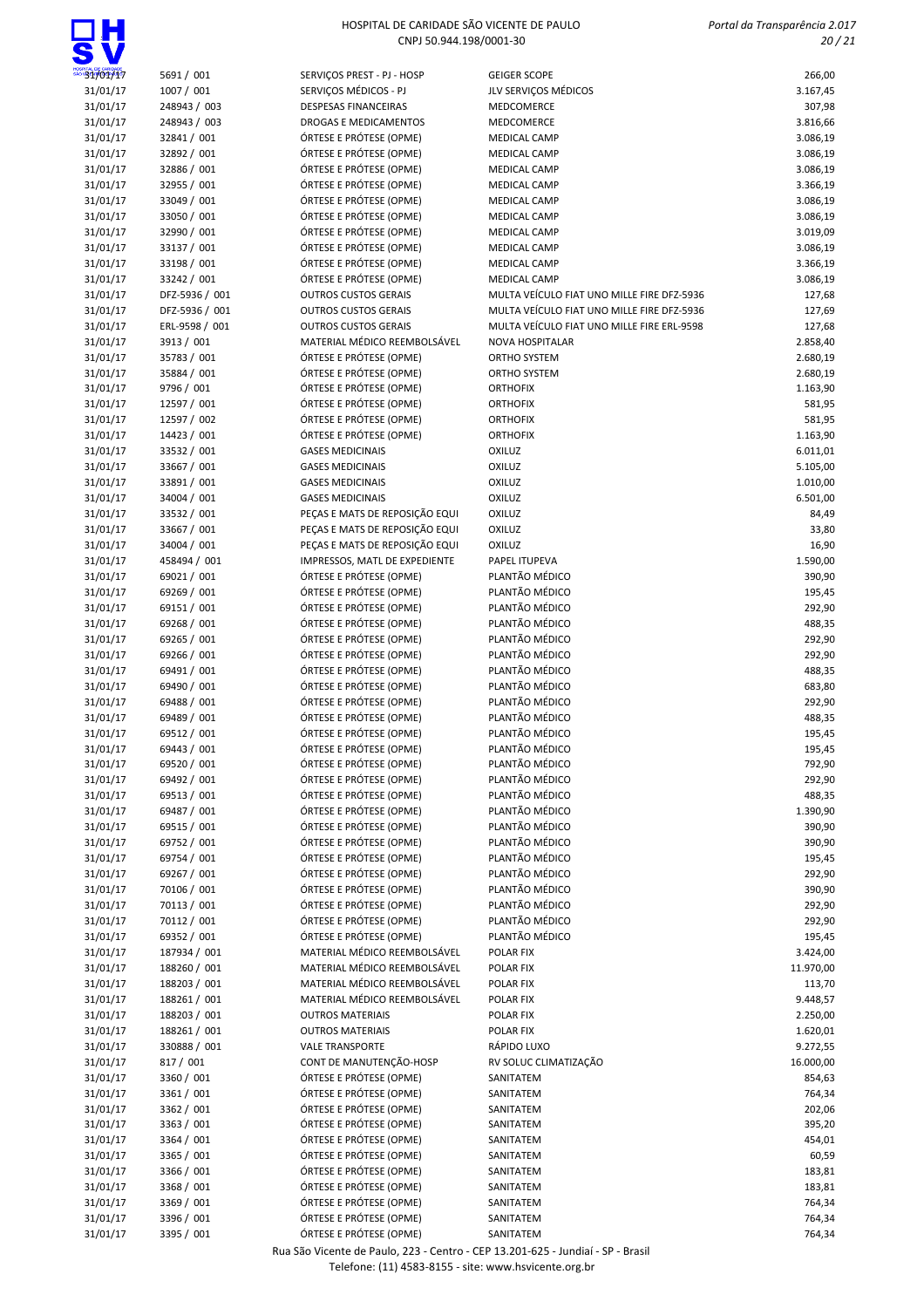| 31/01/17 | 5691 / 001  |
|----------|-------------|
| 31/01/17 | 1007 / 001  |
| 31/01/17 | 248943 / 00 |
| 31/01/17 | 248943 / 00 |
| 31/01/17 | 32841 / 001 |
| 31/01/17 | 32892 / 001 |
| 31/01/17 | 32886 / 001 |
| 31/01/17 | 32955 / 001 |
| 31/01/17 | 33049 / 001 |
| 31/01/17 | 33050 / 001 |
| 31/01/17 | 32990 / 001 |
| 31/01/17 | 33137 / 001 |
| 31/01/17 | 33198 / 001 |
| 31/01/17 | 33242 / 001 |
| 31/01/17 | DFZ-5936 /  |
| 31/01/17 | DFZ-5936 /  |
| 31/01/17 | ERL-9598 /  |
| 31/01/17 | 3913 / 001  |
| 31/01/17 | 35783 / 001 |
| 31/01/17 | 35884 / 001 |
| 31/01/17 | 9796 / 001  |
| 31/01/17 | 12597 / 001 |
| 31/01/17 | 12597 / 002 |
| 31/01/17 | 14423 / 001 |
| 31/01/17 | 33532 / 001 |
| 31/01/17 | 33667 / 001 |
| 31/01/17 | 33891 / 001 |
| 31/01/17 | 34004 / 001 |
| 31/01/17 | 33532 / 001 |
| 31/01/17 | 33667 / 001 |
| 31/01/17 | 34004 / 001 |
| 31/01/17 | 458494 / 00 |
| 31/01/17 | 69021 / 001 |
| 31/01/17 | 69269 / 001 |
| 31/01/17 | 69151 / 001 |
| 31/01/17 | 69268 / 001 |
| 31/01/17 | 69265 / 001 |
| 31/01/17 | 69266 / 001 |
| 31/01/17 | 69491 / 001 |
| 31/01/17 | 69490 / 001 |
| 31/01/17 | 69488 / 001 |
| 31/01/17 | 69489 / 001 |
| 31/01/17 | 69512 / 001 |

| 31/01/17             | 5691 / 001                 | SERVIÇOS PREST - PJ - HOSP                         | <b>GEIGER SCOPE</b>                        | 266,00               |
|----------------------|----------------------------|----------------------------------------------------|--------------------------------------------|----------------------|
| 31/01/17             | 1007 / 001                 | SERVIÇOS MÉDICOS - PJ                              | JLV SERVIÇOS MÉDICOS                       | 3.167,45             |
| 31/01/17             | 248943 / 003               | <b>DESPESAS FINANCEIRAS</b>                        | MEDCOMERCE                                 | 307,98               |
| 31/01/17             | 248943 / 003               | DROGAS E MEDICAMENTOS                              | MEDCOMERCE                                 | 3.816,66             |
| 31/01/17             | 32841 / 001                | ÓRTESE E PRÓTESE (OPME)                            | <b>MEDICAL CAMP</b>                        | 3.086,19             |
| 31/01/17             | 32892 / 001                | ÓRTESE E PRÓTESE (OPME)                            | <b>MEDICAL CAMP</b>                        | 3.086,19             |
| 31/01/17             | 32886 / 001                | ÓRTESE E PRÓTESE (OPME)                            | <b>MEDICAL CAMP</b>                        | 3.086,19             |
| 31/01/17             | 32955 / 001                | ÓRTESE E PRÓTESE (OPME)                            | <b>MEDICAL CAMP</b>                        | 3.366,19             |
| 31/01/17             | 33049 / 001                | ÓRTESE E PRÓTESE (OPME)                            | <b>MEDICAL CAMP</b>                        | 3.086,19             |
| 31/01/17             | 33050 / 001                | ÓRTESE E PRÓTESE (OPME)                            | <b>MEDICAL CAMP</b>                        | 3.086,19             |
| 31/01/17             | 32990 / 001                | ÓRTESE E PRÓTESE (OPME)                            | <b>MEDICAL CAMP</b>                        | 3.019,09             |
| 31/01/17             | 33137 / 001                | ÓRTESE E PRÓTESE (OPME)                            | <b>MEDICAL CAMP</b>                        | 3.086,19             |
| 31/01/17             | 33198 / 001                | ÓRTESE E PRÓTESE (OPME)                            | <b>MEDICAL CAMP</b>                        | 3.366,19             |
| 31/01/17             | 33242 / 001                | ÓRTESE E PRÓTESE (OPME)                            | <b>MEDICAL CAMP</b>                        | 3.086,19             |
| 31/01/17             | DFZ-5936 / 001             | <b>OUTROS CUSTOS GERAIS</b>                        | MULTA VEÍCULO FIAT UNO MILLE FIRE DFZ-5936 | 127,68               |
| 31/01/17             | DFZ-5936 / 001             | <b>OUTROS CUSTOS GERAIS</b>                        | MULTA VEÍCULO FIAT UNO MILLE FIRE DFZ-5936 | 127,69               |
| 31/01/17             | ERL-9598 / 001             | <b>OUTROS CUSTOS GERAIS</b>                        | MULTA VEÍCULO FIAT UNO MILLE FIRE ERL-9598 | 127,68               |
| 31/01/17             | 3913 / 001                 | MATERIAL MÉDICO REEMBOLSÁVEL                       | <b>NOVA HOSPITALAR</b>                     | 2.858,40             |
| 31/01/17             | 35783 / 001                | ÓRTESE E PRÓTESE (OPME)                            | ORTHO SYSTEM                               | 2.680,19             |
| 31/01/17             | 35884 / 001                | ÓRTESE E PRÓTESE (OPME)<br>ÓRTESE E PRÓTESE (OPME) | ORTHO SYSTEM                               | 2.680,19             |
| 31/01/17             | 9796 / 001<br>12597 / 001  | ÓRTESE E PRÓTESE (OPME)                            | <b>ORTHOFIX</b>                            | 1.163,90             |
| 31/01/17             |                            | ÓRTESE E PRÓTESE (OPME)                            | <b>ORTHOFIX</b>                            | 581,95               |
| 31/01/17             | 12597 / 002<br>14423 / 001 | ÓRTESE E PRÓTESE (OPME)                            | <b>ORTHOFIX</b><br><b>ORTHOFIX</b>         | 581,95               |
| 31/01/17<br>31/01/17 | 33532 / 001                | <b>GASES MEDICINAIS</b>                            | <b>OXILUZ</b>                              | 1.163,90<br>6.011,01 |
| 31/01/17             | 33667 / 001                | <b>GASES MEDICINAIS</b>                            | <b>OXILUZ</b>                              | 5.105,00             |
| 31/01/17             | 33891 / 001                | <b>GASES MEDICINAIS</b>                            | <b>OXILUZ</b>                              | 1.010,00             |
| 31/01/17             | 34004 / 001                | <b>GASES MEDICINAIS</b>                            | <b>OXILUZ</b>                              | 6.501,00             |
| 31/01/17             | 33532 / 001                | PEÇAS E MATS DE REPOSIÇÃO EQUI                     | <b>OXILUZ</b>                              | 84,49                |
| 31/01/17             | 33667 / 001                | PEÇAS E MATS DE REPOSIÇÃO EQUI                     | <b>OXILUZ</b>                              | 33,80                |
| 31/01/17             | 34004 / 001                | PEÇAS E MATS DE REPOSIÇÃO EQUI                     | <b>OXILUZ</b>                              | 16,90                |
| 31/01/17             | 458494 / 001               | IMPRESSOS, MATL DE EXPEDIENTE                      | PAPEL ITUPEVA                              | 1.590,00             |
| 31/01/17             | 69021 / 001                | ÓRTESE E PRÓTESE (OPME)                            | PLANTÃO MÉDICO                             | 390,90               |
| 31/01/17             | 69269 / 001                | ÓRTESE E PRÓTESE (OPME)                            | PLANTÃO MÉDICO                             | 195,45               |
| 31/01/17             | 69151 / 001                | ÓRTESE E PRÓTESE (OPME)                            | PLANTÃO MÉDICO                             | 292,90               |
| 31/01/17             | 69268 / 001                | ÓRTESE E PRÓTESE (OPME)                            | PLANTÃO MÉDICO                             | 488,35               |
| 31/01/17             | 69265 / 001                | ÓRTESE E PRÓTESE (OPME)                            | PLANTÃO MÉDICO                             | 292,90               |
| 31/01/17             | 69266 / 001                | ÓRTESE E PRÓTESE (OPME)                            | PLANTÃO MÉDICO                             | 292,90               |
| 31/01/17             | 69491 / 001                | ÓRTESE E PRÓTESE (OPME)                            | PLANTÃO MÉDICO                             | 488,35               |
| 31/01/17             | 69490 / 001                | ÓRTESE E PRÓTESE (OPME)                            | PLANTÃO MÉDICO                             | 683,80               |
| 31/01/17             | 69488 / 001                | ÓRTESE E PRÓTESE (OPME)                            | PLANTÃO MÉDICO                             | 292,90               |
| 31/01/17             | 69489 / 001                | ÓRTESE E PRÓTESE (OPME)                            | PLANTÃO MÉDICO                             | 488,35               |
| 31/01/17             | 69512 / 001                | ÓRTESE E PRÓTESE (OPME)                            | PLANTÃO MÉDICO                             | 195,45               |
| 31/01/17             | 69443 / 001                | ÓRTESE E PRÓTESE (OPME)                            | PLANTÃO MÉDICO                             | 195,45               |
| 31/01/17             | 69520 / 001                | ÓRTESE E PRÓTESE (OPME)                            | PLANTÃO MÉDICO                             | 792,90               |
| 31/01/17             | 69492 / 001                | ÓRTESE E PRÓTESE (OPME)                            | PLANTÃO MÉDICO                             | 292,90               |
| 31/01/17             | 69513 / 001                | ÓRTESE E PRÓTESE (OPME)                            | PLANTÃO MÉDICO                             | 488,35               |
| 31/01/17             | 69487 / 001                | ÓRTESE E PRÓTESE (OPME)                            | PLANTÃO MÉDICO                             | 1.390,90             |
| 31/01/17             | 69515 / 001                | ÓRTESE E PRÓTESE (OPME)                            | PLANTÃO MÉDICO                             | 390,90               |
| 31/01/17             | 69752 / 001                | ÓRTESE E PRÓTESE (OPME)                            | PLANTÃO MÉDICO                             | 390,90               |
| 31/01/17             | 69754 / 001                | ÓRTESE E PRÓTESE (OPME)                            | PLANTÃO MÉDICO                             | 195,45               |
| 31/01/17             | 69267 / 001                | ÓRTESE E PRÓTESE (OPME)                            | PLANTÃO MÉDICO                             | 292,90               |
| 31/01/17             | 70106 / 001                | ÓRTESE E PRÓTESE (OPME)                            | PLANTÃO MÉDICO                             | 390,90               |
| 31/01/17             | 70113 / 001                | ÓRTESE E PRÓTESE (OPME)                            | PLANTÃO MÉDICO                             | 292,90               |
| 31/01/17             | 70112 / 001                | ÓRTESE E PRÓTESE (OPME)                            | PLANTÃO MÉDICO                             | 292,90               |
| 31/01/17             | 69352 / 001                | ÓRTESE E PRÓTESE (OPME)                            | PLANTÃO MÉDICO                             | 195,45               |
| 31/01/17             | 187934 / 001               | MATERIAL MÉDICO REEMBOLSÁVEL                       | POLAR FIX                                  | 3.424,00             |
| 31/01/17             | 188260 / 001               | MATERIAL MÉDICO REEMBOLSÁVEL                       | POLAR FIX                                  | 11.970,00            |
| 31/01/17             | 188203 / 001               | MATERIAL MÉDICO REEMBOLSÁVEL                       | POLAR FIX                                  | 113,70               |
| 31/01/17             | 188261 / 001               | MATERIAL MÉDICO REEMBOLSÁVEL                       | POLAR FIX                                  | 9.448,57             |
| 31/01/17             | 188203 / 001               | <b>OUTROS MATERIAIS</b>                            | POLAR FIX                                  | 2.250,00             |
| 31/01/17             | 188261 / 001               | <b>OUTROS MATERIAIS</b>                            | POLAR FIX                                  | 1.620,01             |
| 31/01/17             | 330888 / 001               | <b>VALE TRANSPORTE</b>                             | RÁPIDO LUXO                                | 9.272,55             |
| 31/01/17             | 817 / 001                  | CONT DE MANUTENÇÃO-HOSP                            | RV SOLUC CLIMATIZAÇÃO                      | 16.000,00            |
| 31/01/17             | 3360 / 001                 | ÓRTESE E PRÓTESE (OPME)                            | SANITATEM                                  | 854,63               |
| 31/01/17             | 3361 / 001                 | ÓRTESE E PRÓTESE (OPME)                            | SANITATEM                                  | 764,34               |
| 31/01/17             | 3362 / 001                 | ÓRTESE E PRÓTESE (OPME)                            | SANITATEM                                  | 202,06               |
| 31/01/17             | 3363 / 001                 | ÓRTESE E PRÓTESE (OPME)                            | SANITATEM                                  | 395,20               |
| 31/01/17             | 3364 / 001                 | ÓRTESE E PRÓTESE (OPME)                            | SANITATEM                                  | 454,01               |
| 31/01/17             | 3365 / 001                 | ÓRTESE E PRÓTESE (OPME)                            | SANITATEM                                  | 60,59                |
| 31/01/17             | 3366 / 001                 | ÓRTESE E PRÓTESE (OPME)                            | SANITATEM                                  | 183,81               |
| 31/01/17             | 3368 / 001                 | ÓRTESE E PRÓTESE (OPME)                            | SANITATEM                                  | 183,81               |
| 31/01/17             | 3369 / 001                 | ÓRTESE E PRÓTESE (OPME)                            | SANITATEM                                  | 764,34               |
| 31/01/17             | 3396 / 001                 | ÓRTESE E PRÓTESE (OPME)                            | SANITATEM                                  | 764,34               |
| 31/01/17             | 3395 / 001                 | ÓRTESE E PRÓTESE (OPME)                            | SANITATEM                                  | 764,34               |

| 31/01/17             | 5691 / 001                    | SERVIÇOS PREST - PJ - HOSP                                       | <b>GEIGER SCOPE</b>                                               | 266,00               |
|----------------------|-------------------------------|------------------------------------------------------------------|-------------------------------------------------------------------|----------------------|
| 31/01/17             | 1007 / 001                    | SERVIÇOS MÉDICOS - PJ                                            | JLV SERVIÇOS MÉDICOS                                              | 3.167,45             |
| 31/01/17             | 248943 / 003                  | <b>DESPESAS FINANCEIRAS</b>                                      | MEDCOMERCE                                                        | 307,98               |
| 31/01/17<br>31/01/17 | 248943 / 003<br>32841 / 001   | <b>DROGAS E MEDICAMENTOS</b><br>ÓRTESE E PRÓTESE (OPME)          | MEDCOMERCE<br><b>MEDICAL CAMP</b>                                 | 3.816,66<br>3.086,19 |
| 31/01/17             | 32892 / 001                   | ÓRTESE E PRÓTESE (OPME)                                          | <b>MEDICAL CAMP</b>                                               | 3.086,19             |
| 31/01/17             | 32886 / 001                   | ÓRTESE E PRÓTESE (OPME)                                          | <b>MEDICAL CAMP</b>                                               | 3.086,19             |
| 31/01/17             | 32955 / 001                   | ÓRTESE E PRÓTESE (OPME)                                          | <b>MEDICAL CAMP</b>                                               | 3.366,19             |
| 31/01/17             | 33049 / 001                   | ÓRTESE E PRÓTESE (OPME)                                          | <b>MEDICAL CAMP</b>                                               | 3.086,19             |
| 31/01/17             | 33050 / 001                   | ÓRTESE E PRÓTESE (OPME)                                          | <b>MEDICAL CAMP</b>                                               | 3.086,19             |
| 31/01/17             | 32990 / 001                   | ÓRTESE E PRÓTESE (OPME)                                          | <b>MEDICAL CAMP</b>                                               | 3.019,09             |
| 31/01/17             | 33137 / 001                   | ÓRTESE E PRÓTESE (OPME)                                          | <b>MEDICAL CAMP</b>                                               | 3.086,19             |
| 31/01/17             | 33198 / 001                   | ÓRTESE E PRÓTESE (OPME)                                          | <b>MEDICAL CAMP</b>                                               | 3.366,19             |
| 31/01/17<br>31/01/17 | 33242 / 001<br>DFZ-5936 / 001 | ÓRTESE E PRÓTESE (OPME)<br><b>OUTROS CUSTOS GERAIS</b>           | <b>MEDICAL CAMP</b><br>MULTA VEÍCULO FIAT UNO MILLE FIRE DFZ-5936 | 3.086,19<br>127,68   |
| 31/01/17             | DFZ-5936 / 001                | <b>OUTROS CUSTOS GERAIS</b>                                      | MULTA VEÍCULO FIAT UNO MILLE FIRE DFZ-5936                        | 127,69               |
| 31/01/17             | ERL-9598 / 001                | <b>OUTROS CUSTOS GERAIS</b>                                      | MULTA VEÍCULO FIAT UNO MILLE FIRE ERL-9598                        | 127,68               |
| 31/01/17             | 3913 / 001                    | MATERIAL MÉDICO REEMBOLSÁVEL                                     | <b>NOVA HOSPITALAR</b>                                            | 2.858,40             |
| 31/01/17             | 35783 / 001                   | ÓRTESE E PRÓTESE (OPME)                                          | ORTHO SYSTEM                                                      | 2.680,19             |
| 31/01/17             | 35884 / 001                   | ÓRTESE E PRÓTESE (OPME)                                          | ORTHO SYSTEM                                                      | 2.680,19             |
| 31/01/17             | 9796 / 001                    | ÓRTESE E PRÓTESE (OPME)                                          | <b>ORTHOFIX</b>                                                   | 1.163,90             |
| 31/01/17             | 12597 / 001                   | ÓRTESE E PRÓTESE (OPME)                                          | <b>ORTHOFIX</b>                                                   | 581,95               |
| 31/01/17             | 12597 / 002                   | ÓRTESE E PRÓTESE (OPME)                                          | <b>ORTHOFIX</b>                                                   | 581,95               |
| 31/01/17             | 14423 / 001                   | ÓRTESE E PRÓTESE (OPME)                                          | <b>ORTHOFIX</b>                                                   | 1.163,90             |
| 31/01/17             | 33532 / 001                   | <b>GASES MEDICINAIS</b>                                          | OXILUZ                                                            | 6.011,01             |
| 31/01/17             | 33667 / 001                   | <b>GASES MEDICINAIS</b>                                          | <b>OXILUZ</b>                                                     | 5.105,00             |
| 31/01/17             | 33891 / 001                   | <b>GASES MEDICINAIS</b>                                          | <b>OXILUZ</b>                                                     | 1.010,00             |
| 31/01/17             | 34004 / 001                   | <b>GASES MEDICINAIS</b>                                          | <b>OXILUZ</b>                                                     | 6.501,00             |
| 31/01/17<br>31/01/17 | 33532 / 001<br>33667 / 001    | PEÇAS E MATS DE REPOSIÇÃO EQUI<br>PEÇAS E MATS DE REPOSIÇÃO EQUI | <b>OXILUZ</b><br><b>OXILUZ</b>                                    | 84,49<br>33,80       |
| 31/01/17             | 34004 / 001                   | PEÇAS E MATS DE REPOSIÇÃO EQUI                                   | <b>OXILUZ</b>                                                     | 16,90                |
| 31/01/17             | 458494 / 001                  | IMPRESSOS, MATL DE EXPEDIENTE                                    | PAPEL ITUPEVA                                                     | 1.590,00             |
| 31/01/17             | 69021 / 001                   | ÓRTESE E PRÓTESE (OPME)                                          | PLANTÃO MÉDICO                                                    | 390,90               |
| 31/01/17             | 69269 / 001                   | ÓRTESE E PRÓTESE (OPME)                                          | PLANTÃO MÉDICO                                                    | 195,45               |
| 31/01/17             | 69151 / 001                   | ÓRTESE E PRÓTESE (OPME)                                          | PLANTÃO MÉDICO                                                    | 292,90               |
| 31/01/17             | 69268 / 001                   | ÓRTESE E PRÓTESE (OPME)                                          | PLANTÃO MÉDICO                                                    | 488,35               |
| 31/01/17             | 69265 / 001                   | ÓRTESE E PRÓTESE (OPME)                                          | PLANTÃO MÉDICO                                                    | 292,90               |
| 31/01/17             | 69266 / 001                   | ÓRTESE E PRÓTESE (OPME)                                          | PLANTÃO MÉDICO                                                    | 292,90               |
| 31/01/17             | 69491 / 001                   | ÓRTESE E PRÓTESE (OPME)                                          | PLANTÃO MÉDICO                                                    | 488,35               |
| 31/01/17             | 69490 / 001                   | ÓRTESE E PRÓTESE (OPME)                                          | PLANTÃO MÉDICO                                                    | 683,80               |
| 31/01/17<br>31/01/17 | 69488 / 001<br>69489 / 001    | ÓRTESE E PRÓTESE (OPME)<br>ÓRTESE E PRÓTESE (OPME)               | PLANTÃO MÉDICO<br>PLANTÃO MÉDICO                                  | 292,90<br>488,35     |
| 31/01/17             | 69512 / 001                   | ÓRTESE E PRÓTESE (OPME)                                          | PLANTÃO MÉDICO                                                    | 195,45               |
| 31/01/17             | 69443 / 001                   | ÓRTESE E PRÓTESE (OPME)                                          | PLANTÃO MÉDICO                                                    | 195,45               |
| 31/01/17             | 69520 / 001                   | ÓRTESE E PRÓTESE (OPME)                                          | PLANTÃO MÉDICO                                                    | 792,90               |
| 31/01/17             | 69492 / 001                   | ÓRTESE E PRÓTESE (OPME)                                          | PLANTÃO MÉDICO                                                    | 292,90               |
| 31/01/17             | 69513 / 001                   | ÓRTESE E PRÓTESE (OPME)                                          | PLANTÃO MÉDICO                                                    | 488,35               |
| 31/01/17             | 69487 / 001                   | ÓRTESE E PRÓTESE (OPME)                                          | PLANTÃO MÉDICO                                                    | 1.390,90             |
| 31/01/17             | 69515 / 001                   | ÓRTESE E PRÓTESE (OPME)                                          | PLANTÃO MÉDICO                                                    | 390,90               |
| 31/01/17             | 69752 / 001                   | ÓRTESE E PRÓTESE (OPME)                                          | PLANTÃO MÉDICO                                                    | 390,90               |
| 31/01/17             | 69754 / 001                   | ÓRTESE E PRÓTESE (OPME)                                          | PLANTÃO MÉDICO                                                    | 195,45               |
| 31/01/17             | 69267 / 001                   | ÓRTESE E PRÓTESE (OPME)                                          | PLANTÃO MÉDICO                                                    | 292,90               |
| 31/01/17             | 70106 / 001                   | ÓRTESE E PRÓTESE (OPME)                                          | PLANTÃO MÉDICO                                                    | 390,90               |
| 31/01/17             | 70113 / 001                   | ÓRTESE E PRÓTESE (OPME)<br>ÓRTESE E PRÓTESE (OPME)               | PLANTÃO MÉDICO<br>PLANTÃO MÉDICO                                  | 292,90               |
| 31/01/17<br>31/01/17 | 70112 / 001<br>69352 / 001    | ÓRTESE E PRÓTESE (OPME)                                          | PLANTÃO MÉDICO                                                    | 292,90<br>195,45     |
| 31/01/17             | 187934 / 001                  | MATERIAL MÉDICO REEMBOLSÁVEL                                     | <b>POLAR FIX</b>                                                  | 3.424,00             |
| 31/01/17             | 188260 / 001                  | MATERIAL MÉDICO REEMBOLSÁVEL                                     | POLAR FIX                                                         | 11.970,00            |
| 31/01/17             | 188203 / 001                  | MATERIAL MÉDICO REEMBOLSÁVEL                                     | POLAR FIX                                                         | 113,70               |
| 31/01/17             | 188261 / 001                  | MATERIAL MÉDICO REEMBOLSÁVEL                                     | POLAR FIX                                                         | 9.448,57             |
| 31/01/17             | 188203 / 001                  | <b>OUTROS MATERIAIS</b>                                          | POLAR FIX                                                         | 2.250,00             |
| 31/01/17             | 188261 / 001                  | <b>OUTROS MATERIAIS</b>                                          | POLAR FIX                                                         | 1.620,01             |
| 31/01/17             | 330888 / 001                  | <b>VALE TRANSPORTE</b>                                           | RÁPIDO LUXO                                                       | 9.272,55             |
| 31/01/17             | 817 / 001                     | CONT DE MANUTENÇÃO-HOSP                                          | RV SOLUC CLIMATIZAÇÃO                                             | 16.000,00            |
| 31/01/17             | 3360 / 001                    | ÓRTESE E PRÓTESE (OPME)                                          | SANITATEM                                                         | 854,63               |
| 31/01/17             | 3361 / 001                    | ÓRTESE E PRÓTESE (OPME)                                          | SANITATEM                                                         | 764,34               |
| 31/01/17             | 3362 / 001                    | ÓRTESE E PRÓTESE (OPME)                                          | SANITATEM                                                         | 202,06               |
| 31/01/17             | 3363 / 001                    | ÓRTESE E PRÓTESE (OPME)                                          | SANITATEM                                                         | 395,20               |
| 31/01/17<br>31/01/17 | 3364 / 001                    | ÓRTESE E PRÓTESE (OPME)<br>ÓRTESE E PRÓTESE (OPME)               | SANITATEM<br>SANITATEM                                            | 454,01<br>60,59      |
| 31/01/17             | 3365 / 001<br>3366 / 001      | ÓRTESE E PRÓTESE (OPME)                                          | SANITATEM                                                         | 183,81               |
| 31/01/17             | 3368 / 001                    | ÓRTESE E PRÓTESE (OPME)                                          | SANITATEM                                                         | 183,81               |
| 31/01/17             | 3369 / 001                    | ÓRTESE E PRÓTESE (OPME)                                          | SANITATEM                                                         | 764,34               |
| 31/01/17             | 3396 / 001                    | ÓRTESE E PRÓTESE (OPME)                                          | SANITATEM                                                         | 764,34               |
|                      |                               |                                                                  |                                                                   |                      |